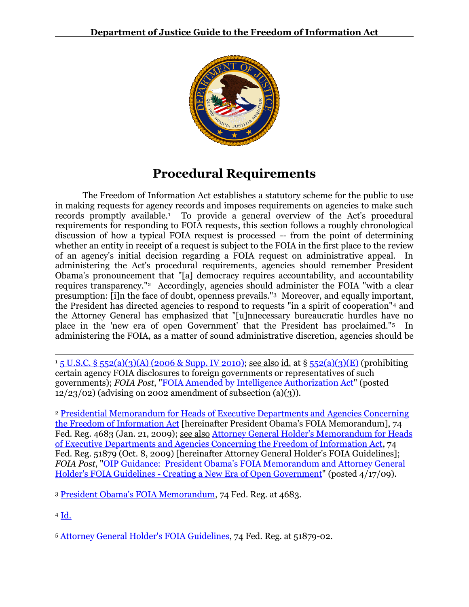

# **Procedural Requirements**

The Freedom of Information Act establishes a statutory scheme for the public to use in making requests for agency records and imposes requirements on agencies to make such records promptly available. 1 To provide a general overview of the Act's procedural requirements for responding to FOIA requests, this section follows a roughly chronological discussion of how a typical FOIA request is processed -- from the point of determining whether an entity in receipt of a request is subject to the FOIA in the first place to the review of an agency's initial decision regarding a FOIA request on administrative appeal. In administering the Act's procedural requirements, agencies should remember President Obama's pronouncement that "[a] democracy requires accountability, and accountability requires transparency."<sup>2</sup> Accordingly, agencies should administer the FOIA "with a clear presumption: [i]n the face of doubt, openness prevails."3 Moreover, and equally important, the President has directed agencies to respond to requests "in a spirit of cooperation"<sup>4</sup> and the Attorney General has emphasized that "[u]nnecessary bureaucratic hurdles have no place in the 'new era of open Government' that the President has proclaimed."<sup>5</sup> In administering the FOIA, as a matter of sound administrative discretion, agencies should be

 $\overline{a}$ <sup>1</sup> 5 U.S.C. § [552\(a\)\(3\)\(A\) \(2006 & Supp. IV 2010\);](http://www.justice.gov/oip/amended-foia-redlined-2010.pdf) see also id. at § [552\(a\)\(3\)\(E\)](http://www.justice.gov/oip/amended-foia-redlined-2010.pdf) (prohibiting certain agency FOIA disclosures to foreign governments or representatives of such governments); *FOIA Post*, ["FOIA Amended by Intelligence Authorization Act"](http://www.justice.gov/oip/foiapost/2002foiapost38.htm) (posted  $12/23/02$  (advising on 2002 amendment of subsection  $(a)(3)$ ).

<sup>2</sup> [Presidential Memorandum for Heads of Executive Departments and Agencies Concerning](http://www.justice.gov/oip/foia_guide09/presidential-foia.pdf)  [the Freedom of Information Act](http://www.justice.gov/oip/foia_guide09/presidential-foia.pdf) [hereinafter President Obama's FOIA Memorandum], 74 Fed. Reg. 4683 (Jan. 21, 2009); see also [Attorney General Holder's Memorandum for Heads](http://www.justice.gov/ag/foia-memo-march2009.pdf)  [of Executive Departments and Agencies Concerning the Freedom of Information Act,](http://www.justice.gov/ag/foia-memo-march2009.pdf) 74 Fed. Reg. 51879 (Oct. 8, 2009) [hereinafter Attorney General Holder's FOIA Guidelines]; *FOIA Post*, ["OIP Guidance: President Obama's FOIA Memorandum and Attorney General](http://www.justice.gov/oip/foiapost/2009foiapost8.htm)  Holder's FOIA Guidelines - [Creating a New Era of Open Government"](http://www.justice.gov/oip/foiapost/2009foiapost8.htm) (posted 4/17/09).

<sup>3</sup> [President Obama's FOIA Memorandum,](http://www.justice.gov/oip/foia_guide09/presidential-foia.pdf) 74 Fed. Reg. at 4683.

<sup>4</sup> [Id.](http://www.justice.gov/oip/foia_guide09/presidential-foia.pdf)

<sup>5</sup> [Attorney General Holder's FOIA Guidelines,](http://www.justice.gov/ag/foia-memo-march2009.pdf) 74 Fed. Reg. at 51879-02.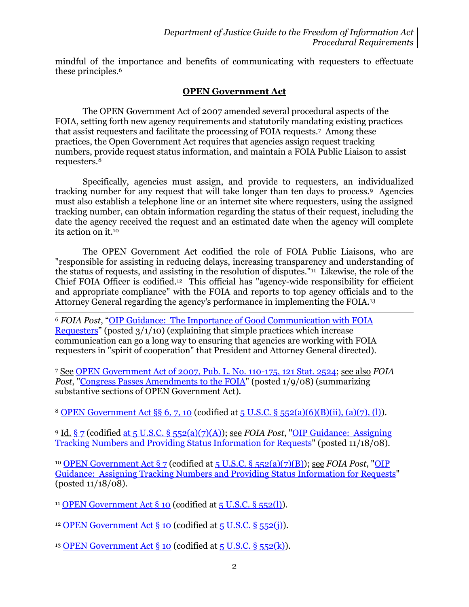mindful of the importance and benefits of communicating with requesters to effectuate these principles.<sup>6</sup>

## **OPEN Government Act**

The OPEN Government Act of 2007 amended several procedural aspects of the FOIA, setting forth new agency requirements and statutorily mandating existing practices that assist requesters and facilitate the processing of FOIA requests.<sup>7</sup> Among these practices, the Open Government Act requires that agencies assign request tracking numbers, provide request status information, and maintain a FOIA Public Liaison to assist requesters.<sup>8</sup>

Specifically, agencies must assign, and provide to requesters, an individualized tracking number for any request that will take longer than ten days to process.9 Agencies must also establish a telephone line or an internet site where requesters, using the assigned tracking number, can obtain information regarding the status of their request, including the date the agency received the request and an estimated date when the agency will complete its action on it.<sup>10</sup>

The OPEN Government Act codified the role of FOIA Public Liaisons, who are "responsible for assisting in reducing delays, increasing transparency and understanding of the status of requests, and assisting in the resolution of disputes."<sup>11</sup> Likewise, the role of the Chief FOIA Officer is codified. <sup>12</sup> This official has "agency-wide responsibility for efficient and appropriate compliance" with the FOIA and reports to top agency officials and to the Attorney General regarding the agency's performance in implementing the FOIA.<sup>13</sup>

<sup>6</sup> *FOIA Post*, "OIP Guidance: [The Importance of Good Communication with FOIA](http://www.justice.gov/oip/foiapost/2010foiapost5.htm)  [Requesters](http://www.justice.gov/oip/foiapost/2010foiapost5.htm)" (posted 3/1/10) (explaining that simple practices which increase communication can go a long way to ensuring that agencies are working with FOIA requesters in "spirit of cooperation" that President and Attorney General directed).

<sup>7</sup> See [OPEN Government Act of 2007, Pub. L. No. 110-175, 121 Stat. 2524;](http://www.gpo.gov/fdsys/pkg/PLAW-110publ175/pdf/PLAW-110publ175.pdf) see also *FOIA Post*, ["Congress Passes Amendments to the FOIA"](http://www.justice.gov/oip/foiapost/2008foiapost9.htm) (posted 1/9/08) (summarizing substantive sections of OPEN Government Act).

<sup>8</sup> [OPEN Government Act §§ 6, 7, 10](http://www.gpo.gov/fdsys/pkg/PLAW-110publ175/pdf/PLAW-110publ175.pdf) (codified at [5 U.S.C. § 552\(a\)\(6\)\(B\)\(ii\), \(a\)\(7\),](http://www.justice.gov/oip/amended-foia-redlined-2010.pdf) (l)).

<sup>9</sup> Id. [§ 7](http://www.gpo.gov/fdsys/pkg/PLAW-110publ175/pdf/PLAW-110publ175.pdf) (codified at 5 U.S.C. § [552\(a\)\(7\)\(A\)\)](http://www.justice.gov/oip/amended-foia-redlined-2010.pdf); see *FOIA Post*, ["OIP Guidance: Assigning](http://www.justice.gov/oip/foiapost/2008foiapost30.htm)  [Tracking Numbers and Providing Status Information for Requests"](http://www.justice.gov/oip/foiapost/2008foiapost30.htm) (posted 11/18/08).

<sup>10</sup> [OPEN Government Act § 7](http://www.gpo.gov/fdsys/pkg/PLAW-110publ175/pdf/PLAW-110publ175.pdf) (codified at 5 U.S.C. § [552\(a\)\(7\)\(B\)\)](http://www.justice.gov/oip/amended-foia-redlined-2010.pdf); see *FOIA Post*, "OIP [Guidance: Assigning Tracking Numbers and Providing Status Information for Requests"](http://www.justice.gov/oip/foiapost/2008foiapost30.htm) (posted 11/18/08).

<sup>11</sup> OPEN Government Act  $\S$  10 (codified at  $5$  U.S.C.  $\S$   $552(l)$ ).

l

<sup>12</sup> [OPEN Government Act § 10](http://www.gpo.gov/fdsys/pkg/PLAW-110publ175/pdf/PLAW-110publ175.pdf) (codified at  $5$  U.S.C. §  $552(i)$ ).

<sup>13</sup> [OPEN Government Act § 10](http://www.gpo.gov/fdsys/pkg/PLAW-110publ175/pdf/PLAW-110publ175.pdf) (codified at  $5$  U.S.C. §  $552(k)$ ).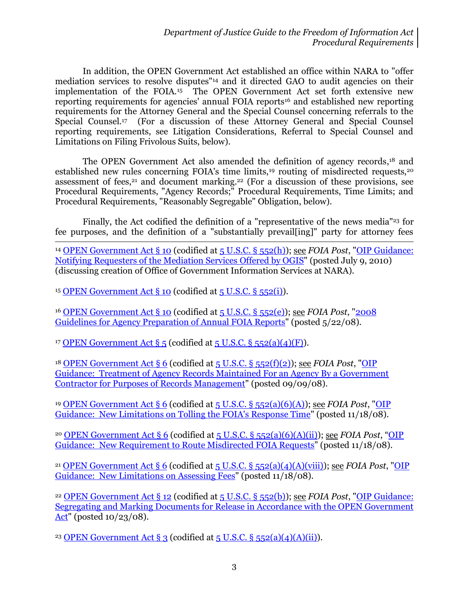In addition, the OPEN Government Act established an office within NARA to "offer mediation services to resolve disputes" <sup>14</sup> and it directed GAO to audit agencies on their implementation of the FOIA.<sup>15</sup> The OPEN Government Act set forth extensive new reporting requirements for agencies' annual FOIA reports<sup>16</sup> and established new reporting requirements for the Attorney General and the Special Counsel concerning referrals to the Special Counsel.<sup>17</sup> (For a discussion of these Attorney General and Special Counsel reporting requirements, see Litigation Considerations, Referral to Special Counsel and Limitations on Filing Frivolous Suits, below).

The OPEN Government Act also amended the definition of agency records, <sup>18</sup> and established new rules concerning FOIA's time limits,<sup>19</sup> routing of misdirected requests,<sup>20</sup> assessment of fees, $21$  and document marking. $22$  (For a discussion of these provisions, see Procedural Requirements, "Agency Records;" Procedural Requirements, Time Limits; and Procedural Requirements, "Reasonably Segregable" Obligation, below).

Finally, the Act codified the definition of a "representative of the news media"<sup>23</sup> for fee purposes, and the definition of a "substantially prevail[ing]" party for attorney fees

l <sup>14</sup> [OPEN Government Act § 10](http://www.gpo.gov/fdsys/pkg/PLAW-110publ175/pdf/PLAW-110publ175.pdf) (codified a[t 5 U.S.C. §](http://www.justice.gov/oip/amended-foia-redlined-2010.pdf) 552(h)); see *FOIA Post*, ["OIP Guidance:](http://www.justice.gov/oip/foiapost/2010foiapost21.htm)  [Notifying Requesters of the Mediation Services Offered by OGIS"](http://www.justice.gov/oip/foiapost/2010foiapost21.htm) (posted July 9, 2010) (discussing creation of Office of Government Information Services at NARA).

<sup>15</sup> [OPEN Government Act § 10](http://www.gpo.gov/fdsys/pkg/PLAW-110publ175/pdf/PLAW-110publ175.pdf) (codified at  $5$  U.S.C. §  $552(i)$ ).

<sup>16</sup> [OPEN Government Act § 10](http://www.gpo.gov/fdsys/pkg/PLAW-110publ175/pdf/PLAW-110publ175.pdf) (codified a[t 5 U.S.C. § 552\(e\)\)](http://www.justice.gov/oip/amended-foia-redlined-2010.pdf); see *FOIA Post*, ["2008](http://www.justice.gov/oip/foiapost/guidance-annualreport-052008.pdf)  [Guidelines for Agency Preparation of Annual FOIA Reports"](http://www.justice.gov/oip/foiapost/guidance-annualreport-052008.pdf) (posted 5/22/08).

<sup>17</sup> OPEN Government Act  $\S$  5 (codified at 5 U.S.C.  $\S$  [552\(a\)\(4\)\(F\)\)](http://www.justice.gov/oip/amended-foia-redlined-2010.pdf).

<sup>18</sup> [OPEN Government Act](http://www.gpo.gov/fdsys/pkg/PLAW-110publ175/pdf/PLAW-110publ175.pdf) § 6 (codified at  $5$  U.S.C. §  $552(f)(2)$ ); see *FOIA Post*, "OIP [Guidance: Treatment of Agency Records Maintained For an Agency By a Government](http://www.justice.gov/oip/foiapost/agencyrecords.htm)  [Contractor for Purposes of Records Management"](http://www.justice.gov/oip/foiapost/agencyrecords.htm) (posted 09/09/08).

<sup>19</sup> [OPEN Government Act](http://www.gpo.gov/fdsys/pkg/PLAW-110publ175/pdf/PLAW-110publ175.pdf) § 6 (codified at [5 U.S.C. § 552\(a\)\(6\)\(A\)\)](http://www.justice.gov/oip/amended-foia-redlined-2010.pdf); see *FOIA Post*, ["OIP](http://www.justice.gov/oip/foiapost/2008foiapost29.htm)  [Guidance: New Limitations on Tolling the FOIA's Response Time"](http://www.justice.gov/oip/foiapost/2008foiapost29.htm) (posted 11/18/08).

<sup>20</sup> [OPEN Government Act](http://www.gpo.gov/fdsys/pkg/PLAW-110publ175/pdf/PLAW-110publ175.pdf) § 6 (codified at [5 U.S.C. § 552\(a\)\(6\)\(A\)\(ii\)\)](http://www.justice.gov/oip/amended-foia-redlined-2010.pdf); see *FOIA Post*, "[OIP](http://www.justice.gov/oip/foiapost/2008foiapost31.htm)  Guidance: [New Requirement to Route Misdirected](http://www.justice.gov/oip/foiapost/2008foiapost31.htm) FOIA Requests" (posted 11/18/08).

<sup>21</sup> [OPEN Government Act](http://www.gpo.gov/fdsys/pkg/PLAW-110publ175/pdf/PLAW-110publ175.pdf) § 6 (codified at 5 U.S.C. § [552\(a\)\(4\)\(A\)\(viii\)\)](http://www.justice.gov/oip/amended-foia-redlined-2010.pdf); see *FOIA Post*, "OIP [Guidance: New Limitations on Assessing Fees"](http://www.justice.gov/oip/foiapost/2008foiapost28.htm) (posted 11/18/08).

<sup>22</sup> OPEN [Government Act](http://www.gpo.gov/fdsys/pkg/PLAW-110publ175/pdf/PLAW-110publ175.pdf) § 12 (codified at [5 U.S.C. § 552\(b\)\)](http://www.justice.gov/oip/amended-foia-redlined-2010.pdf); see *FOIA Post*, ["OIP Guidance:](http://www.justice.gov/oip/foiapost/2008foiapost26.htm)  [Segregating and Marking Documents for Release in Accordance with the OPEN Government](http://www.justice.gov/oip/foiapost/2008foiapost26.htm)  [Act"](http://www.justice.gov/oip/foiapost/2008foiapost26.htm) (posted 10/23/08).

<sup>23</sup> [OPEN Government Act](http://www.gpo.gov/fdsys/pkg/PLAW-110publ175/pdf/PLAW-110publ175.pdf) § 3 (codified at  $5$  U.S.C. §  $552(a)(4)(A)(ii)$ ).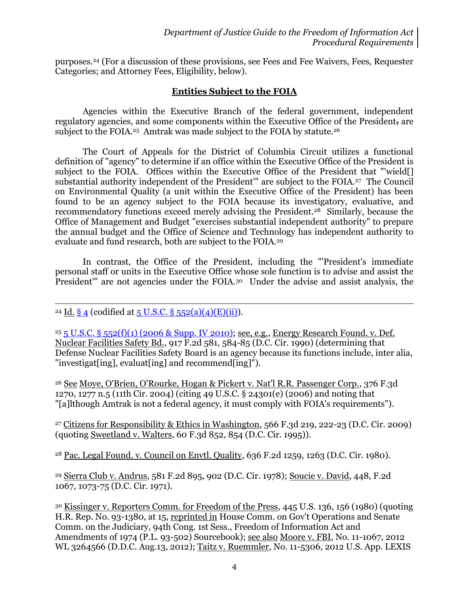purposes.<sup>24</sup> (For a discussion of these provisions, see Fees and Fee Waivers, Fees, Requester Categories; and Attorney Fees, Eligibility, below).

## **Entities Subject to the FOIA**

Agencies within the Executive Branch of the federal government, independent regulatory agencies, and some components within the Executive Office of the President, are subject to the FOIA.<sup>25</sup> Amtrak was made subject to the FOIA by statute.<sup>26</sup>

The Court of Appeals for the District of Columbia Circuit utilizes a functional definition of "agency" to determine if an office within the Executive Office of the President is subject to the FOIA. Offices within the Executive Office of the President that "'wield[] substantial authority independent of the President" are subject to the FOIA.<sup>27</sup> The Council on Environmental Quality (a unit within the Executive Office of the President) has been found to be an agency subject to the FOIA because its investigatory, evaluative, and recommendatory functions exceed merely advising the President.28 Similarly, because the Office of Management and Budget "exercises substantial independent authority" to prepare the annual budget and the Office of Science and Technology has independent authority to evaluate and fund research, both are subject to the FOIA.<sup>29</sup>

In contrast, the Office of the President, including the "'President's immediate personal staff or units in the Executive Office whose sole function is to advise and assist the President''' are not agencies under the FOIA.<sup>30</sup> Under the advise and assist analysis, the

#### $\overline{a}$ <sup>24</sup> Id. [§ 4](http://www.gpo.gov/fdsys/pkg/PLAW-110publ175/pdf/PLAW-110publ175.pdf) (codified at  $5$  U.S.C. §  $552(a)(4)(E)(ii)$ ).

<sup>25</sup> 5 U.S.C. § [552\(f\)\(1\) \(2006 & Supp. IV 2010\);](http://www.justice.gov/oip/amended-foia-redlined-2010.pdf) see, e.g., Energy Research Found. v. Def. Nuclear Facilities Safety Bd., 917 F.2d 581, 584-85 (D.C. Cir. 1990) (determining that Defense Nuclear Facilities Safety Board is an agency because its functions include, inter alia, "investigat[ing], evaluat[ing] and recommend[ing]").

<sup>26</sup> See Moye, O'Brien, O'Rourke, Hogan & Pickert v. Nat'l R.R. Passenger Corp., 376 F.3d 1270, 1277 n.5 (11th Cir. 2004) (citing 49 U.S.C. § 24301(e) (2006) and noting that "[a]lthough Amtrak is not a federal agency, it must comply with FOIA's requirements").

<sup>27</sup> Citizens for Responsibility & Ethics in Washington, 566 F.3d 219, 222-23 (D.C. Cir. 2009) (quoting Sweetland v. Walters, 60 F.3d 852, 854 (D.C. Cir. 1995)).

<sup>28</sup> Pac. Legal Found. v. Council on Envtl. Quality, 636 F.2d 1259, 1263 (D.C. Cir. 1980).

<sup>29</sup> Sierra Club v. Andrus, 581 F.2d 895, 902 (D.C. Cir. 1978); Soucie v. David, 448, F.2d 1067, 1073-75 (D.C. Cir. 1971).

<sup>30</sup> Kissinger v. Reporters Comm. for Freedom of the Press, 445 U.S. 136, 156 (1980) (quoting H.R. Rep. No. 93-1380, at 15, reprinted in House Comm. on Gov't Operations and Senate Comm. on the Judiciary, 94th Cong. 1st Sess., Freedom of Information Act and Amendments of 1974 (P.L. 93-502) Sourcebook); see also Moore v. FBI, No. 11-1067, 2012 WL 3264566 (D.D.C. Aug.13, 2012); Taitz v. Ruemmler, No. 11-5306, 2012 U.S. App. LEXIS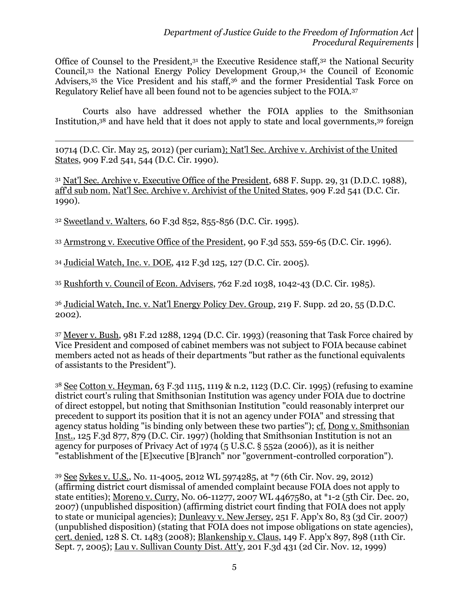Office of Counsel to the President,<sup>31</sup> the Executive Residence staff,<sup>32</sup> the National Security Council,<sup>33</sup> the National Energy Policy Development Group,<sup>34</sup> the Council of Economic Advisers,<sup>35</sup> the Vice President and his staff,<sup>36</sup> and the former Presidential Task Force on Regulatory Relief have all been found not to be agencies subject to the FOIA.<sup>37</sup>

Courts also have addressed whether the FOIA applies to the Smithsonian Institution, <sup>38</sup> and have held that it does not apply to state and local governments,<sup>39</sup> foreign

 $\overline{a}$ 10714 (D.C. Cir. May 25, 2012) (per curiam); Nat'l Sec. Archive v. Archivist of the United States, 909 F.2d 541, 544 (D.C. Cir. 1990).

<sup>31</sup> Nat'l Sec. Archive v. Executive Office of the President, 688 F. Supp. 29, 31 (D.D.C. 1988), aff'd sub nom. Nat'l Sec. Archive v. Archivist of the United States, 909 F.2d 541 (D.C. Cir. 1990).

<sup>32</sup> Sweetland v. Walters, 60 F.3d 852, 855-856 (D.C. Cir. 1995).

<sup>33</sup> Armstrong v. Executive Office of the President, 90 F.3d 553, 559-65 (D.C. Cir. 1996).

<sup>34</sup> Judicial Watch, Inc. v. DOE, 412 F.3d 125, 127 (D.C. Cir. 2005).

<sup>35</sup> Rushforth v. Council of Econ. Advisers, 762 F.2d 1038, 1042-43 (D.C. Cir. 1985).

<sup>36</sup> Judicial Watch, Inc. v. Nat'l Energy Policy Dev. Group, 219 F. Supp. 2d 20, 55 (D.D.C. 2002).

<sup>37</sup> Meyer v. Bush, 981 F.2d 1288, 1294 (D.C. Cir. 1993) (reasoning that Task Force chaired by Vice President and composed of cabinet members was not subject to FOIA because cabinet members acted not as heads of their departments "but rather as the functional equivalents of assistants to the President").

<sup>38</sup> See Cotton v. Heyman, 63 F.3d 1115, 1119 & n.2, 1123 (D.C. Cir. 1995) (refusing to examine district court's ruling that Smithsonian Institution was agency under FOIA due to doctrine of direct estoppel, but noting that Smithsonian Institution "could reasonably interpret our precedent to support its position that it is not an agency under FOIA" and stressing that agency status holding "is binding only between these two parties"); cf. Dong v. Smithsonian Inst., 125 F.3d 877, 879 (D.C. Cir. 1997) (holding that Smithsonian Institution is not an agency for purposes of Privacy Act of 1974 (5 U.S.C. § 552a (2006)), as it is neither "establishment of the [E]xecutive [B]ranch" nor "government-controlled corporation").

<sup>39</sup> See Sykes v. U.S., No. 11-4005, 2012 WL 5974285, at \*7 (6th Cir. Nov. 29, 2012) (affirming district court dismissal of amended complaint because FOIA does not apply to state entities); Moreno v. Curry, No. 06-11277, 2007 WL 4467580, at \*1-2 (5th Cir. Dec. 20, 2007) (unpublished disposition) (affirming district court finding that FOIA does not apply to state or municipal agencies); Dunleavy v. New Jersey, 251 F. App'x 80, 83 (3d Cir. 2007) (unpublished disposition) (stating that FOIA does not impose obligations on state agencies), cert. denied, 128 S. Ct. 1483 (2008); Blankenship v. Claus, 149 F. App'x 897, 898 (11th Cir. Sept. 7, 2005); Lau v. Sullivan County Dist. Att'y, 201 F.3d 431 (2d Cir. Nov. 12, 1999)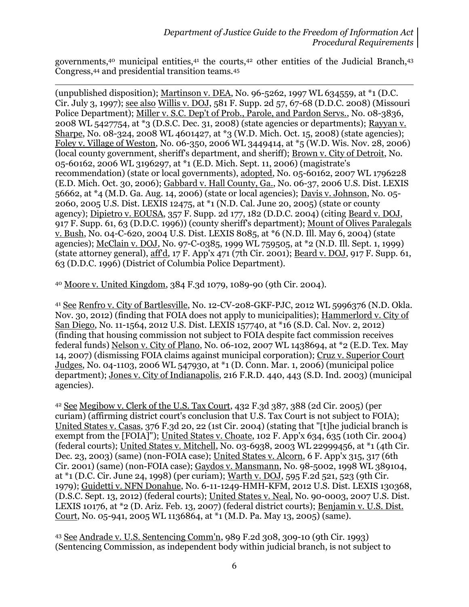governments,<sup>40</sup> municipal entities,<sup>41</sup> the courts,<sup>42</sup> other entities of the Judicial Branch,<sup>43</sup> Congress,<sup>44</sup> and presidential transition teams.<sup>45</sup>

(unpublished disposition); Martinson v. DEA, No. 96-5262, 1997 WL 634559, at \*1 (D.C. Cir. July 3, 1997); see also Willis v. DOJ, 581 F. Supp. 2d 57, 67-68 (D.D.C. 2008) (Missouri Police Department); Miller v. S.C. Dep't of Prob., Parole, and Pardon Servs., No. 08-3836, 2008 WL 5427754, at \*3 (D.S.C. Dec. 31, 2008) (state agencies or departments); Rayyan v. Sharpe, No. 08-324, 2008 WL 4601427, at \*3 (W.D. Mich. Oct. 15, 2008) (state agencies); Foley v. Village of Weston, No. 06-350, 2006 WL 3449414, at \*5 (W.D. Wis. Nov. 28, 2006) (local county government, sheriff's department, and sheriff); Brown v. City of Detroit, No. 05-60162, 2006 WL 3196297, at \*1 (E.D. Mich. Sept. 11, 2006) (magistrate's recommendation) (state or local governments), adopted, No. 05-60162, 2007 WL 1796228 (E.D. Mich. Oct. 30, 2006); Gabbard v. Hall County, Ga., No. 06-37, 2006 U.S. Dist. LEXIS 56662, at \*4 (M.D. Ga. Aug. 14, 2006) (state or local agencies); Davis v. Johnson, No. 05- 2060, 2005 U.S. Dist. LEXIS 12475, at \*1 (N.D. Cal. June 20, 2005) (state or county agency); Dipietro v. EOUSA, 357 F. Supp. 2d 177, 182 (D.D.C. 2004) (citing Beard v. DOJ, 917 F. Supp. 61, 63 (D.D.C. 1996)) (county sheriff's department); Mount of Olives Paralegals v. Bush, No. 04-C-620, 2004 U.S. Dist. LEXIS 8085, at \*6 (N.D. Ill. May 6, 2004) (state agencies); McClain v. DOJ, No. 97-C-0385, 1999 WL 759505, at \*2 (N.D. Ill. Sept. 1, 1999) (state attorney general), aff'd, 17 F. App'x 471 (7th Cir. 2001); Beard v. DOJ, 917 F. Supp. 61, 63 (D.D.C. 1996) (District of Columbia Police Department).

<sup>40</sup> Moore v. United Kingdom, 384 F.3d 1079, 1089-90 (9th Cir. 2004).

 $\overline{a}$ 

<sup>41</sup> See Renfro v. City of Bartlesville, No. 12-CV-208-GKF-PJC, 2012 WL 5996376 (N.D. Okla. Nov. 30, 2012) (finding that FOIA does not apply to municipalities); Hammerlord v. City of San Diego, No. 11-1564, 2012 U.S. Dist. LEXIS 157740, at \*16 (S.D. Cal. Nov. 2, 2012) (finding that housing commission not subject to FOIA despite fact commission receives federal funds) Nelson v. City of Plano, No. 06-102, 2007 WL 1438694, at \*2 (E.D. Tex. May 14, 2007) (dismissing FOIA claims against municipal corporation); Cruz v. Superior Court Judges, No. 04-1103, 2006 WL 547930, at \*1 (D. Conn. Mar. 1, 2006) (municipal police department); Jones v. City of Indianapolis, 216 F.R.D. 440, 443 (S.D. Ind. 2003) (municipal agencies).

<sup>42</sup> See Megibow v. Clerk of the U.S. Tax Court, 432 F.3d 387, 388 (2d Cir. 2005) (per curiam) (affirming district court's conclusion that U.S. Tax Court is not subject to FOIA); United States v. Casas, 376 F.3d 20, 22 (1st Cir. 2004) (stating that "[t]he judicial branch is exempt from the [FOIA]"); United States v. Choate, 102 F. App'x 634, 635 (10th Cir. 2004) (federal courts); United States v. Mitchell, No. 03-6938, 2003 WL 22999456, at \*1 (4th Cir. Dec. 23, 2003) (same) (non-FOIA case); United States v. Alcorn, 6 F. App'x 315, 317 (6th Cir. 2001) (same) (non-FOIA case); Gaydos v. Mansmann, No. 98-5002, 1998 WL 389104, at \*1 (D.C. Cir. June 24, 1998) (per curiam); Warth v. DOJ, 595 F.2d 521, 523 (9th Cir. 1979); Guidetti v. NFN Donahue, No. 6-11-1249-HMH-KFM, 2012 U.S. Dist. LEXIS 130368, (D.S.C. Sept. 13, 2012) (federal courts); United States v. Neal, No. 90-0003, 2007 U.S. Dist. LEXIS 10176, at \*2 (D. Ariz. Feb. 13, 2007) (federal district courts); Benjamin v. U.S. Dist. Court, No. 05-941, 2005 WL 1136864, at \*1 (M.D. Pa. May 13, 2005) (same).

<sup>43</sup> See Andrade v. U.S. Sentencing Comm'n, 989 F.2d 308, 309-10 (9th Cir. 1993) (Sentencing Commission, as independent body within judicial branch, is not subject to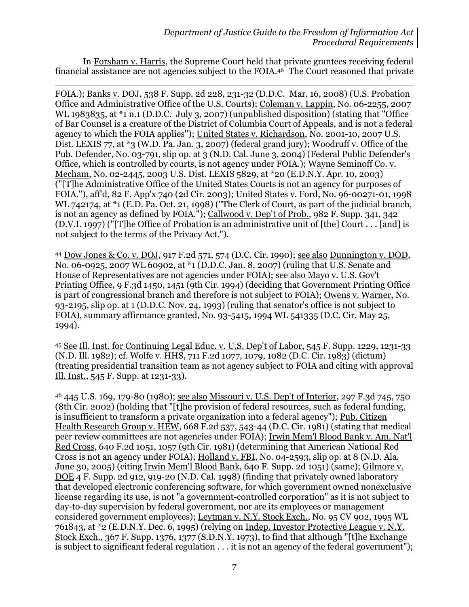In Forsham v. Harris, the Supreme Court held that private grantees receiving federal financial assistance are not agencies subject to the FOIA. <sup>46</sup> The Court reasoned that private

 $\overline{a}$ 

FOIA.); Banks v. DOJ, 538 F. Supp. 2d 228, 231-32 (D.D.C. Mar. 16, 2008) (U.S. Probation Office and Administrative Office of the U.S. Courts); Coleman v. Lappin, No. 06-2255, 2007 WL 1983835, at \*1 n.1 (D.D.C. July 3, 2007) (unpublished disposition) (stating that "Office of Bar Counsel is a creature of the District of Columbia Court of Appeals, and is not a federal agency to which the FOIA applies"); United States v. Richardson, No. 2001-10, 2007 U.S. Dist. LEXIS 77, at \*3 (W.D. Pa. Jan. 3, 2007) (federal grand jury); Woodruff v. Office of the Pub. Defender, No. 03-791, slip op. at 3 (N.D. Cal. June 3, 2004) (Federal Public Defender's Office, which is controlled by courts, is not agency under FOIA.); Wayne Seminoff Co. v. Mecham, No. 02-2445, 2003 U.S. Dist. LEXIS 5829, at \*20 (E.D.N.Y. Apr. 10, 2003) ("[T]he Administrative Office of the United States Courts is not an agency for purposes of FOIA."), aff'd, 82 F. App'x 740 (2d Cir. 2003); United States v. Ford, No. 96-00271-01, 1998 WL 742174, at \*1 (E.D. Pa. Oct. 21, 1998) ("The Clerk of Court, as part of the judicial branch, is not an agency as defined by FOIA."); Callwood v. Dep't of Prob., 982 F. Supp. 341, 342 (D.V.I. 1997) ("[T]he Office of Probation is an administrative unit of [the] Court . . . [and] is not subject to the terms of the Privacy Act.").

<sup>44</sup> Dow Jones & Co. v. DOJ, 917 F.2d 571, 574 (D.C. Cir. 1990); see also Dunnington v. DOD, No. 06-0925, 2007 WL 60902, at \*1 (D.D.C. Jan. 8, 2007) (ruling that U.S. Senate and House of Representatives are not agencies under FOIA); see also Mayo v. U.S. Gov't Printing Office, 9 F.3d 1450, 1451 (9th Cir. 1994) (deciding that Government Printing Office is part of congressional branch and therefore is not subject to FOIA); Owens v. Warner, No. 93-2195, slip op. at 1 (D.D.C. Nov. 24, 1993) (ruling that senator's office is not subject to FOIA), summary affirmance granted, No. 93-5415, 1994 WL 541335 (D.C. Cir. May 25, 1994).

<sup>45</sup> See Ill. Inst. for Continuing Legal Educ. v. U.S. Dep't of Labor, 545 F. Supp. 1229, 1231-33 (N.D. Ill. 1982); cf. Wolfe v. HHS, 711 F.2d 1077, 1079, 1082 (D.C. Cir. 1983) (dictum) (treating presidential transition team as not agency subject to FOIA and citing with approval Ill. Inst., 545 F. Supp. at 1231-33).

<sup>46</sup> 445 U.S. 169, 179-80 (1980); see also Missouri v. U.S. Dep't of Interior, 297 F.3d 745, 750 (8th Cir. 2002) (holding that "[t]he provision of federal resources, such as federal funding, is insufficient to transform a private organization into a federal agency"); Pub. Citizen Health Research Group v. HEW, 668 F.2d 537, 543-44 (D.C. Cir. 1981) (stating that medical peer review committees are not agencies under FOIA); Irwin Mem'l Blood Bank v. Am. Nat'l Red Cross, 640 F.2d 1051, 1057 (9th Cir. 1981) (determining that American National Red Cross is not an agency under FOIA); Holland v. FBI, No. 04-2593, slip op. at 8 (N.D. Ala. June 30, 2005) (citing Irwin Mem'l Blood Bank, 640 F. Supp. 2d 1051) (same); Gilmore v. DOE 4 F. Supp. 2d 912, 919-20 (N.D. Cal. 1998) (finding that privately owned laboratory that developed electronic conferencing software, for which government owned nonexclusive license regarding its use, is not "a government-controlled corporation" as it is not subject to day-to-day supervision by federal government, nor are its employees or management considered government employees); Leytman v. N.Y. Stock Exch., No. 95 CV 902, 1995 WL 761843, at \*2 (E.D.N.Y. Dec. 6, 1995) (relying on Indep. Investor Protective League v. N.Y. Stock Exch., 367 F. Supp. 1376, 1377 (S.D.N.Y. 1973), to find that although "[t]he Exchange is subject to significant federal regulation . . . it is not an agency of the federal government");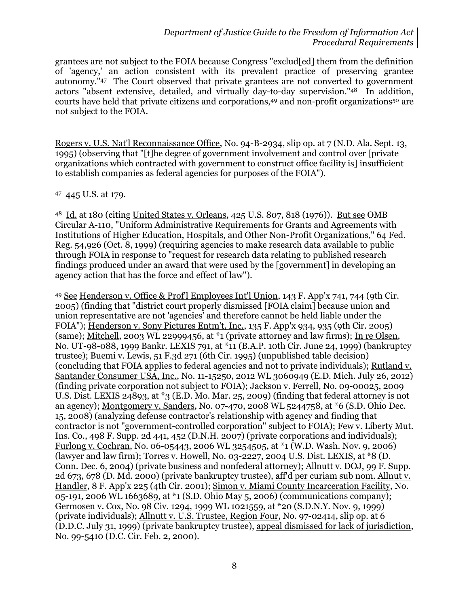grantees are not subject to the FOIA because Congress "exclud[ed] them from the definition of 'agency,' an action consistent with its prevalent practice of preserving grantee autonomy."<sup>47</sup> The Court observed that private grantees are not converted to government actors "absent extensive, detailed, and virtually day-to-day supervision."48 In addition, courts have held that private citizens and corporations,<sup>49</sup> and non-profit organizations<sup>50</sup> are not subject to the FOIA.

Rogers v. U.S. Nat'l Reconnaissance Office, No. 94-B-2934, slip op. at 7 (N.D. Ala. Sept. 13, 1995) (observing that "[t]he degree of government involvement and control over [private organizations which contracted with government to construct office facility is] insufficient to establish companies as federal agencies for purposes of the FOIA").

47 445 U.S. at 179.

 $\overline{a}$ 

<sup>48</sup> Id. at 180 (citing United States v. Orleans, 425 U.S. 807, 818 (1976)). But see OMB Circular A-110, "Uniform Administrative Requirements for Grants and Agreements with Institutions of Higher Education, Hospitals, and Other Non-Profit Organizations," 64 Fed. Reg. 54,926 (Oct. 8, 1999) (requiring agencies to make research data available to public through FOIA in response to "request for research data relating to published research findings produced under an award that were used by the [government] in developing an agency action that has the force and effect of law").

<sup>49</sup> See Henderson v. Office & Prof'l Employees Int'l Union, 143 F. App'x 741, 744 (9th Cir. 2005) (finding that "district court properly dismissed [FOIA claim] because union and union representative are not 'agencies' and therefore cannot be held liable under the FOIA"); Henderson v. Sony Pictures Entm't, Inc., 135 F. App'x 934, 935 (9th Cir. 2005) (same); Mitchell, 2003 WL 22999456, at \*1 (private attorney and law firms); In re Olsen, No. UT-98-088, 1999 Bankr. LEXIS 791, at \*11 (B.A.P. 10th Cir. June 24, 1999) (bankruptcy trustee); Buemi v. Lewis, 51 F.3d 271 (6th Cir. 1995) (unpublished table decision) (concluding that FOIA applies to federal agencies and not to private individuals); Rutland v. Santander Consumer USA, Inc., No. 11-15250, 2012 WL 3060949 (E.D. Mich. July 26, 2012) (finding private corporation not subject to FOIA); Jackson v. Ferrell, No. 09-00025, 2009 U.S. Dist. LEXIS 24893, at \*3 (E.D. Mo. Mar. 25, 2009) (finding that federal attorney is not an agency); Montgomery v. Sanders, No. 07-470, 2008 WL 5244758, at \*6 (S.D. Ohio Dec. 15, 2008) (analyzing defense contractor's relationship with agency and finding that contractor is not "government-controlled corporation" subject to FOIA); Few v. Liberty Mut. Ins. Co., 498 F. Supp. 2d 441, 452 (D.N.H. 2007) (private corporations and individuals); Furlong v. Cochran, No. 06-05443, 2006 WL 3254505, at \*1 (W.D. Wash. Nov. 9, 2006) (lawyer and law firm); Torres v. Howell, No. 03-2227, 2004 U.S. Dist. LEXIS, at \*8 (D. Conn. Dec. 6, 2004) (private business and nonfederal attorney); Allnutt v. DOJ, 99 F. Supp. 2d 673, 678 (D. Md. 2000) (private bankruptcy trustee), aff'd per curiam sub nom. Allnut v. Handler, 8 F. App'x 225 (4th Cir. 2001); Simon v. Miami County Incarceration Facility, No. 05-191, 2006 WL 1663689, at \*1 (S.D. Ohio May 5, 2006) (communications company); Germosen v. Cox, No. 98 Civ. 1294, 1999 WL 1021559, at \*20 (S.D.N.Y. Nov. 9, 1999) (private individuals); Allnutt v. U.S. Trustee, Region Four, No. 97-02414, slip op. at 6 (D.D.C. July 31, 1999) (private bankruptcy trustee), appeal dismissed for lack of jurisdiction, No. 99-5410 (D.C. Cir. Feb. 2, 2000).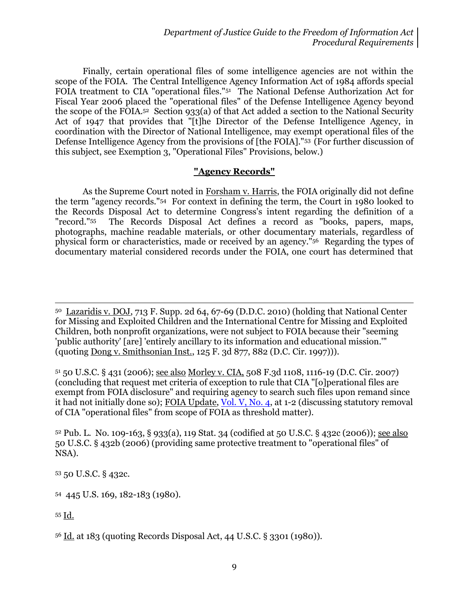Finally, certain operational files of some intelligence agencies are not within the scope of the FOIA. The Central Intelligence Agency Information Act of 1984 affords special FOIA treatment to CIA "operational files."<sup>51</sup> The National Defense Authorization Act for Fiscal Year 2006 placed the "operational files" of the Defense Intelligence Agency beyond the scope of the FOIA.52 Section 933(a) of that Act added a section to the National Security Act of 1947 that provides that "[t]he Director of the Defense Intelligence Agency, in coordination with the Director of National Intelligence, may exempt operational files of the Defense Intelligence Agency from the provisions of [the FOIA]."53 (For further discussion of this subject, see Exemption 3, "Operational Files" Provisions, below.)

### **"Agency Records"**

As the Supreme Court noted in Forsham v. Harris, the FOIA originally did not define the term "agency records."54 For context in defining the term, the Court in 1980 looked to the Records Disposal Act to determine Congress's intent regarding the definition of a "record."<sup>55</sup> The Records Disposal Act defines a record as "books, papers, maps, photographs, machine readable materials, or other documentary materials, regardless of physical form or characteristics, made or received by an agency."56 Regarding the types of documentary material considered records under the FOIA, one court has determined that

<sup>50</sup> Lazaridis v. DOJ, 713 F. Supp. 2d 64, 67-69 (D.D.C. 2010) (holding that National Center for Missing and Exploited Children and the International Centre for Missing and Exploited Children, both nonprofit organizations, were not subject to FOIA because their "seeming 'public authority' [are] 'entirely ancillary to its information and educational mission.'" (quoting Dong v. Smithsonian Inst., 125 F. 3d 877, 882 (D.C. Cir. 1997))).

<sup>51</sup> 50 U.S.C. § 431 (2006); see also Morley v. CIA, 508 F.3d 1108, 1116-19 (D.C. Cir. 2007) (concluding that request met criteria of exception to rule that CIA "[o]perational files are exempt from FOIA disclosure" and requiring agency to search such files upon remand since it had not initially done so); FOIA Update, [Vol. V, No. 4,](http://www.justice.gov/oip/foia_updates/Vol_V_4/page1.htm) at 1-2 (discussing statutory removal of CIA "operational files" from scope of FOIA as threshold matter).

<sup>52</sup> Pub. L. No. 109-163, § 933(a), 119 Stat. 34 (codified at 50 U.S.C. § 432c (2006)); see also 50 U.S.C. § 432b (2006) (providing same protective treatment to "operational files" of NSA).

<sup>53</sup> 50 U.S.C. § 432c.

<sup>54</sup> 445 U.S. 169, 182-183 (1980).

<sup>55</sup> Id.

l

<sup>56</sup> Id. at 183 (quoting Records Disposal Act, 44 U.S.C. § 3301 (1980)).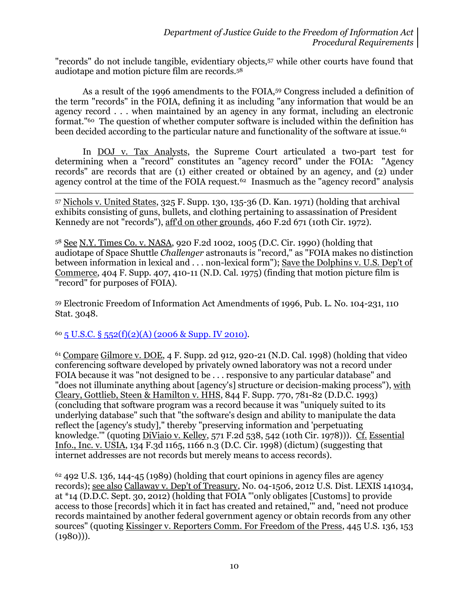"records" do not include tangible, evidentiary objects,<sup>57</sup> while other courts have found that audiotape and motion picture film are records.<sup>58</sup>

As a result of the 1996 amendments to the FOIA, <sup>59</sup> Congress included a definition of the term "records" in the FOIA, defining it as including "any information that would be an agency record . . . when maintained by an agency in any format, including an electronic format."60 The question of whether computer software is included within the definition has been decided according to the particular nature and functionality of the software at issue.<sup>61</sup>

In DOJ v. Tax Analysts, the Supreme Court articulated a two-part test for determining when a "record" constitutes an "agency record" under the FOIA: "Agency records" are records that are (1) either created or obtained by an agency, and (2) under agency control at the time of the FOIA request.<sup>62</sup> Inasmuch as the "agency record" analysis

<sup>57</sup> Nichols v. United States, 325 F. Supp. 130, 135-36 (D. Kan. 1971) (holding that archival exhibits consisting of guns, bullets, and clothing pertaining to assassination of President Kennedy are not "records"), aff'd on other grounds, 460 F.2d 671 (10th Cir. 1972).

<sup>58</sup> See N.Y. Times Co. v. NASA, 920 F.2d 1002, 1005 (D.C. Cir. 1990) (holding that audiotape of Space Shuttle *Challenger* astronauts is "record," as "FOIA makes no distinction between information in lexical and . . . non-lexical form"); Save the Dolphins v. U.S. Dep't of Commerce, 404 F. Supp. 407, 410-11 (N.D. Cal. 1975) (finding that motion picture film is "record" for purposes of FOIA).

<sup>59</sup> Electronic Freedom of Information Act Amendments of 1996, Pub. L. No. 104-231, 110 Stat. 3048.

 $60\overline{5}$  U.S.C. §  $552(f)(2)(A)$  (2006 & Supp. IV 2010).

l

<sup>61</sup> Compare Gilmore v. DOE, 4 F. Supp. 2d 912, 920-21 (N.D. Cal. 1998) (holding that video conferencing software developed by privately owned laboratory was not a record under FOIA because it was "not designed to be . . . responsive to any particular database" and "does not illuminate anything about [agency's] structure or decision-making process"), with Cleary, Gottlieb, Steen & Hamilton v. HHS, 844 F. Supp. 770, 781-82 (D.D.C. 1993) (concluding that software program was a record because it was "uniquely suited to its underlying database" such that "the software's design and ability to manipulate the data reflect the [agency's study]," thereby "preserving information and 'perpetuating knowledge.'" (quoting DiViaio v. Kelley, 571 F.2d 538, 542 (10th Cir. 1978))). Cf. Essential Info., Inc. v. USIA, 134 F.3d 1165, 1166 n.3 (D.C. Cir. 1998) (dictum) (suggesting that internet addresses are not records but merely means to access records).

 $62$  492 U.S. 136, 144-45 (1989) (holding that court opinions in agency files are agency records); see also Callaway v. Dep't of Treasury, No. 04-1506, 2012 U.S. Dist. LEXIS 141034, at \*14 (D.D.C. Sept. 30, 2012) (holding that FOIA "'only obligates [Customs] to provide access to those [records] which it in fact has created and retained,'" and, "need not produce records maintained by another federal government agency or obtain records from any other sources" (quoting Kissinger v. Reporters Comm. For Freedom of the Press, 445 U.S. 136, 153  $(1980))$ .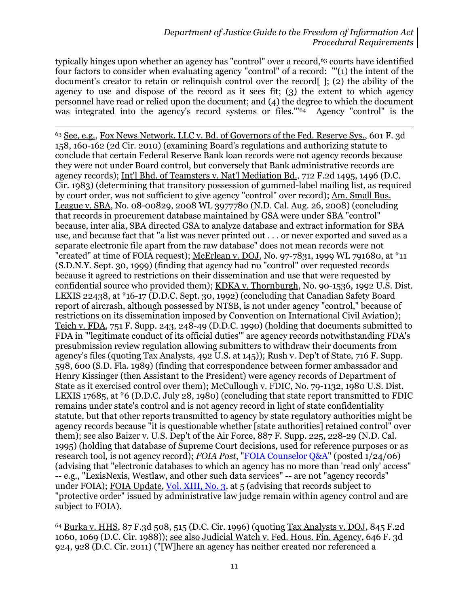typically hinges upon whether an agency has "control" over a record,<sup>63</sup> courts have identified four factors to consider when evaluating agency "control" of a record: "'(1) the intent of the document's creator to retain or relinquish control over the record[ ]; (2) the ability of the agency to use and dispose of the record as it sees fit; (3) the extent to which agency personnel have read or relied upon the document; and (4) the degree to which the document was integrated into the agency's record systems or files."<sup>64</sup> Agency "control" is the

 $\overline{a}$ <sup>63</sup> See, e.g., Fox News Network, LLC v. Bd. of Governors of the Fed. Reserve Sys., 601 F. 3d 158, 160-162 (2d Cir. 2010) (examining Board's regulations and authorizing statute to conclude that certain Federal Reserve Bank loan records were not agency records because they were not under Board control, but conversely that Bank administrative records are agency records); Int'l Bhd. of Teamsters v. Nat'l Mediation Bd., 712 F.2d 1495, 1496 (D.C. Cir. 1983) (determining that transitory possession of gummed-label mailing list, as required by court order, was not sufficient to give agency "control" over record); Am. Small Bus. League v. SBA, No. 08-00829, 2008 WL 3977780 (N.D. Cal. Aug. 26, 2008) (concluding that records in procurement database maintained by GSA were under SBA "control" because, inter alia, SBA directed GSA to analyze database and extract information for SBA use, and because fact that "a list was never printed out . . . or never exported and saved as a separate electronic file apart from the raw database" does not mean records were not "created" at time of FOIA request); McErlean v. DOJ, No. 97-7831, 1999 WL 791680, at \*11 (S.D.N.Y. Sept. 30, 1999) (finding that agency had no "control" over requested records because it agreed to restrictions on their dissemination and use that were requested by confidential source who provided them); KDKA v. Thornburgh, No. 90-1536, 1992 U.S. Dist. LEXIS 22438, at \*16-17 (D.D.C. Sept. 30, 1992) (concluding that Canadian Safety Board report of aircrash, although possessed by NTSB, is not under agency "control," because of restrictions on its dissemination imposed by Convention on International Civil Aviation); Teich v. FDA, 751 F. Supp. 243, 248-49 (D.D.C. 1990) (holding that documents submitted to FDA in "'legitimate conduct of its official duties'" are agency records notwithstanding FDA's presubmission review regulation allowing submitters to withdraw their documents from agency's files (quoting Tax Analysts, 492 U.S. at 145)); Rush v. Dep't of State, 716 F. Supp. 598, 600 (S.D. Fla. 1989) (finding that correspondence between former ambassador and Henry Kissinger (then Assistant to the President) were agency records of Department of State as it exercised control over them); McCullough v. FDIC, No. 79-1132, 1980 U.S. Dist. LEXIS 17685, at \*6 (D.D.C. July 28, 1980) (concluding that state report transmitted to FDIC remains under state's control and is not agency record in light of state confidentiality statute, but that other reports transmitted to agency by state regulatory authorities might be agency records because "it is questionable whether [state authorities] retained control" over them); see also Baizer v. U.S. Dep't of the Air Force, 887 F. Supp. 225, 228-29 (N.D. Cal. 1995) (holding that database of Supreme Court decisions, used for reference purposes or as research tool, is not agency record); *FOIA Post*, ["FOIA Counselor Q&A"](http://www.justice.gov/oip/foiapost/2006foiapost3.htm) (posted 1/24/06) (advising that "electronic databases to which an agency has no more than 'read only' access" -- e.g., "LexisNexis, Westlaw, and other such data services" -- are not "agency records" under FOIA); FOIA Update, [Vol. XIII, No. 3,](http://www.justice.gov/oip/foia_updates/Vol_XIII_3/page_3.htm) at 5 (advising that records subject to "protective order" issued by administrative law judge remain within agency control and are subject to FOIA).

<sup>64</sup> Burka v. HHS, 87 F.3d 508, 515 (D.C. Cir. 1996) (quoting Tax Analysts v. DOJ, 845 F.2d 1060, 1069 (D.C. Cir. 1988)); see also Judicial Watch v. Fed. Hous. Fin. Agency, 646 F. 3d 924, 928 (D.C. Cir. 2011) ("[W]here an agency has neither created nor referenced a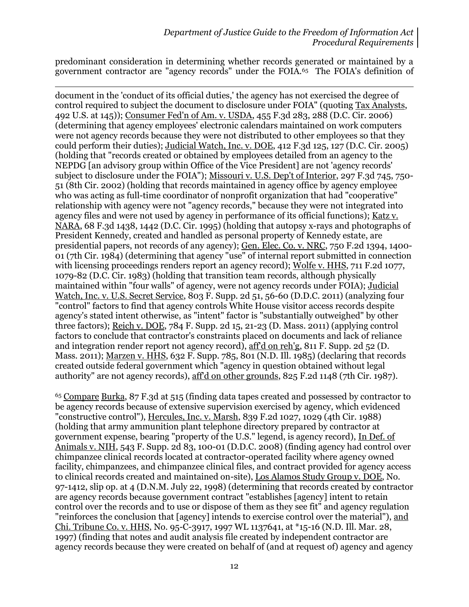predominant consideration in determining whether records generated or maintained by a government contractor are "agency records" under the FOIA.<sup>65</sup> The FOIA's definition of

 $\overline{a}$ document in the 'conduct of its official duties,' the agency has not exercised the degree of control required to subject the document to disclosure under FOIA" (quoting Tax Analysts, 492 U.S. at 145)); Consumer Fed'n of Am. v. USDA, 455 F.3d 283, 288 (D.C. Cir. 2006) (determining that agency employees' electronic calendars maintained on work computers were not agency records because they were not distributed to other employees so that they could perform their duties); Judicial Watch, Inc. v. DOE, 412 F.3d 125, 127 (D.C. Cir. 2005) (holding that "records created or obtained by employees detailed from an agency to the NEPDG [an advisory group within Office of the Vice President] are not 'agency records' subject to disclosure under the FOIA"); Missouri v. U.S. Dep't of Interior, 297 F.3d 745, 750- 51 (8th Cir. 2002) (holding that records maintained in agency office by agency employee who was acting as full-time coordinator of nonprofit organization that had "cooperative" relationship with agency were not "agency records," because they were not integrated into agency files and were not used by agency in performance of its official functions); Katz v. NARA, 68 F.3d 1438, 1442 (D.C. Cir. 1995) (holding that autopsy x-rays and photographs of President Kennedy, created and handled as personal property of Kennedy estate, are presidential papers, not records of any agency); Gen. Elec. Co. v. NRC, 750 F.2d 1394, 1400- 01 (7th Cir. 1984) (determining that agency "use" of internal report submitted in connection with licensing proceedings renders report an agency record); Wolfe v. HHS, 711 F.2d 1077, 1079-82 (D.C. Cir. 1983) (holding that transition team records, although physically maintained within "four walls" of agency, were not agency records under FOIA); Judicial Watch, Inc. v. U.S. Secret Service, 803 F. Supp. 2d 51, 56-60 (D.D.C. 2011) (analyzing four "control" factors to find that agency controls White House visitor access records despite agency's stated intent otherwise, as "intent" factor is "substantially outweighed" by other three factors); Reich v. DOE, 784 F. Supp. 2d 15, 21-23 (D. Mass. 2011) (applying control factors to conclude that contractor's constraints placed on documents and lack of reliance and integration render report not agency record), aff'd on reh'g, 811 F. Supp. 2d 52 (D. Mass. 2011); Marzen v. HHS, 632 F. Supp. 785, 801 (N.D. Ill. 1985) (declaring that records created outside federal government which "agency in question obtained without legal authority" are not agency records), aff'd on other grounds, 825 F.2d 1148 (7th Cir. 1987).

<sup>65</sup> Compare Burka, 87 F.3d at 515 (finding data tapes created and possessed by contractor to be agency records because of extensive supervision exercised by agency, which evidenced "constructive control"), Hercules, Inc. v. Marsh, 839 F.2d 1027, 1029 (4th Cir. 1988) (holding that army ammunition plant telephone directory prepared by contractor at government expense, bearing "property of the U.S." legend, is agency record), In Def. of Animals v. NIH, 543 F. Supp. 2d 83, 100-01 (D.D.C. 2008) (finding agency had control over chimpanzee clinical records located at contractor-operated facility where agency owned facility, chimpanzees, and chimpanzee clinical files, and contract provided for agency access to clinical records created and maintained on-site), Los Alamos Study Group v. DOE, No. 97-1412, slip op. at 4 (D.N.M. July 22, 1998) (determining that records created by contractor are agency records because government contract "establishes [agency] intent to retain control over the records and to use or dispose of them as they see fit" and agency regulation "reinforces the conclusion that [agency] intends to exercise control over the material"), and Chi. Tribune Co. v. HHS, No. 95-C-3917, 1997 WL 1137641, at \*15-16 (N.D. Ill. Mar. 28, 1997) (finding that notes and audit analysis file created by independent contractor are agency records because they were created on behalf of (and at request of) agency and agency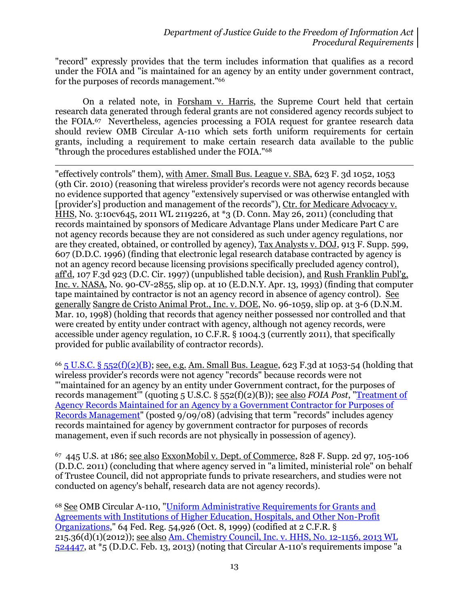"record" expressly provides that the term includes information that qualifies as a record under the FOIA and "is maintained for an agency by an entity under government contract, for the purposes of records management."<sup>66</sup>

On a related note, in Forsham v. Harris, the Supreme Court held that certain research data generated through federal grants are not considered agency records subject to the FOIA.<sup>67</sup> Nevertheless, agencies processing a FOIA request for grantee research data should review OMB Circular A-110 which sets forth uniform requirements for certain grants, including a requirement to make certain research data available to the public "through the procedures established under the FOIA." 68

l "effectively controls" them), with Amer. Small Bus. League v. SBA, 623 F. 3d 1052, 1053 (9th Cir. 2010) (reasoning that wireless provider's records were not agency records because no evidence supported that agency "extensively supervised or was otherwise entangled with [provider's] production and management of the records"), Ctr. for Medicare Advocacy v. HHS, No. 3:10cv645, 2011 WL 2119226, at \*3 (D. Conn. May 26, 2011) (concluding that records maintained by sponsors of Medicare Advantage Plans under Medicare Part C are not agency records because they are not considered as such under agency regulations, nor are they created, obtained, or controlled by agency), Tax Analysts v. DOJ, 913 F. Supp. 599, 607 (D.D.C. 1996) (finding that electronic legal research database contracted by agency is not an agency record because licensing provisions specifically precluded agency control), aff'd, 107 F.3d 923 (D.C. Cir. 1997) (unpublished table decision), and Rush Franklin Publ'g, Inc. v. NASA, No. 90-CV-2855, slip op. at 10 (E.D.N.Y. Apr. 13, 1993) (finding that computer tape maintained by contractor is not an agency record in absence of agency control). See generally Sangre de Cristo Animal Prot., Inc. v. DOE, No. 96-1059, slip op. at 3-6 (D.N.M. Mar. 10, 1998) (holding that records that agency neither possessed nor controlled and that were created by entity under contract with agency, although not agency records, were accessible under agency regulation, 10 C.F.R. § 1004.3 (currently 2011), that specifically provided for public availability of contractor records).

 $66\frac{1}{5}$  U.S.C. § 552(f)(2)(B); see, e.g. Am. Small Bus. League, 623 F.3d at 1053-54 (holding that wireless provider's records were not agency "records" because records were not "'maintained for an agency by an entity under Government contract, for the purposes of records management'" (quoting 5 U.S.C. § 552(f)(2)(B)); see also *FOIA Post*, ["Treatment of](http://www.justice.gov/oip/foiapost/agencyrecords.htm)  [Agency Records Maintained for an Agency by a Government Contractor for Purposes of](http://www.justice.gov/oip/foiapost/agencyrecords.htm)  [Records Management"](http://www.justice.gov/oip/foiapost/agencyrecords.htm) (posted 9/09/08) (advising that term "records" includes agency records maintained for agency by government contractor for purposes of records management, even if such records are not physically in possession of agency).

67 445 U.S. at 186; see also ExxonMobil v. Dept. of Commerce, 828 F. Supp. 2d 97, 105-106 (D.D.C. 2011) (concluding that where agency served in "a limited, ministerial role" on behalf of Trustee Council, did not appropriate funds to private researchers, and studies were not conducted on agency's behalf, research data are not agency records).

<sup>68</sup> See OMB Circular A-110, ["Uniform Administrative Requirements](http://www.whitehouse.gov/omb/circulars_a110) for Grants and [Agreements with Institutions of Higher Education, Hospitals, and Other Non-Profit](http://www.whitehouse.gov/omb/circulars_a110)  [Organizations,](http://www.whitehouse.gov/omb/circulars_a110)" 64 Fed. Reg. 54,926 (Oct. 8, 1999) (codified at 2 C.F.R. § 215.36(d)(1)(2012)); see also [Am. Chemistry Council, Inc. v. HHS, No. 12-1156, 2013 WL](http://blogs.justice.gov/court-decisions/archives/185)  [524447,](http://blogs.justice.gov/court-decisions/archives/185) at \*5 (D.D.C. Feb. 13, 2013) (noting that Circular A-110's requirements impose "a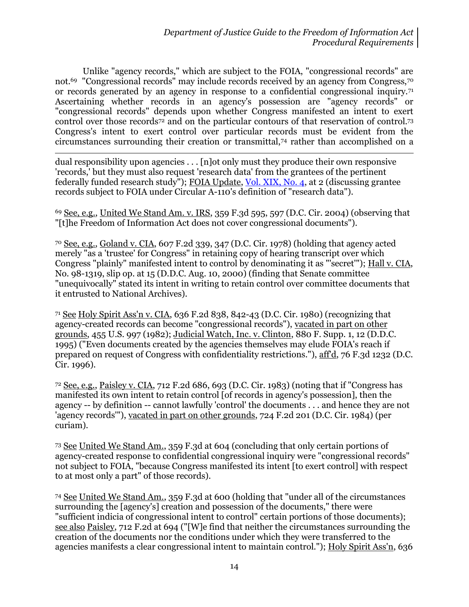Unlike "agency records," which are subject to the FOIA, "congressional records" are not.69 "Congressional records" may include records received by an agency from Congress,<sup>70</sup> or records generated by an agency in response to a confidential congressional inquiry.<sup>71</sup> Ascertaining whether records in an agency's possession are "agency records" or "congressional records" depends upon whether Congress manifested an intent to exert control over those records<sup>72</sup> and on the particular contours of that reservation of control.73 Congress's intent to exert control over particular records must be evident from the circumstances surrounding their creation or transmittal,<sup>74</sup> rather than accomplished on a

 $\overline{a}$ dual responsibility upon agencies . . . [n]ot only must they produce their own responsive 'records,' but they must also request 'research data' from the grantees of the pertinent federally funded research study"); FOIA Update, [Vol. XIX, No. 4,](http://www.justice.gov/oip/foia_updates/Vol_XIX_4/page2.htm) at 2 (discussing grantee records subject to FOIA under Circular A-110's definition of "research data").

<sup>69</sup> See, e.g., United We Stand Am. v. IRS, 359 F.3d 595, 597 (D.C. Cir. 2004) (observing that "[t]he Freedom of Information Act does not cover congressional documents").

<sup>70</sup> See, e.g., Goland v. CIA, 607 F.2d 339, 347 (D.C. Cir. 1978) (holding that agency acted merely "as a 'trustee' for Congress" in retaining copy of hearing transcript over which Congress "plainly" manifested intent to control by denominating it as "'secret'"); Hall v. CIA, No. 98-1319, slip op. at 15 (D.D.C. Aug. 10, 2000) (finding that Senate committee "unequivocally" stated its intent in writing to retain control over committee documents that it entrusted to National Archives).

<sup>71</sup> See Holy Spirit Ass'n v. CIA, 636 F.2d 838, 842-43 (D.C. Cir. 1980) (recognizing that agency-created records can become "congressional records"), vacated in part on other grounds, 455 U.S. 997 (1982); Judicial Watch, Inc. v. Clinton, 880 F. Supp. 1, 12 (D.D.C. 1995) ("Even documents created by the agencies themselves may elude FOIA's reach if prepared on request of Congress with confidentiality restrictions."), aff'd, 76 F.3d 1232 (D.C. Cir. 1996).

<sup>72</sup> See, e.g., Paisley v. CIA, 712 F.2d 686, 693 (D.C. Cir. 1983) (noting that if "Congress has manifested its own intent to retain control [of records in agency's possession], then the agency -- by definition -- cannot lawfully 'control' the documents . . . and hence they are not 'agency records'"), vacated in part on other grounds, 724 F.2d 201 (D.C. Cir. 1984) (per curiam).

<sup>73</sup> See United We Stand Am., 359 F.3d at 604 (concluding that only certain portions of agency-created response to confidential congressional inquiry were "congressional records" not subject to FOIA, "because Congress manifested its intent [to exert control] with respect to at most only a part" of those records).

<sup>74</sup> See United We Stand Am., 359 F.3d at 600 (holding that "under all of the circumstances surrounding the [agency's] creation and possession of the documents," there were "sufficient indicia of congressional intent to control" certain portions of those documents); see also Paisley, 712 F.2d at 694 ("[W]e find that neither the circumstances surrounding the creation of the documents nor the conditions under which they were transferred to the agencies manifests a clear congressional intent to maintain control."); Holy Spirit Ass'n, 636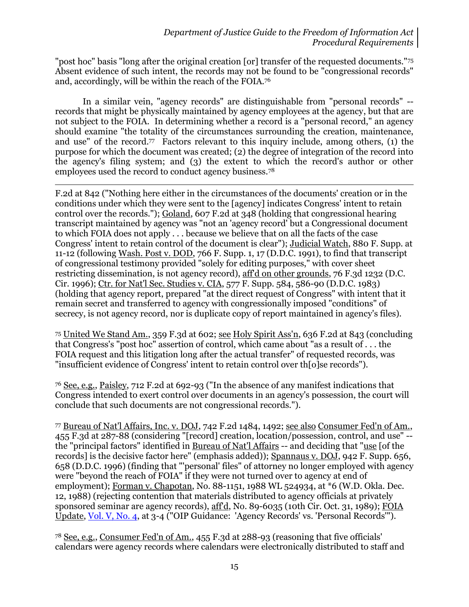"post hoc" basis "long after the original creation [or] transfer of the requested documents."<sup>75</sup> Absent evidence of such intent, the records may not be found to be "congressional records" and, accordingly, will be within the reach of the FOIA.<sup>76</sup>

In a similar vein, "agency records" are distinguishable from "personal records" - records that might be physically maintained by agency employees at the agency, but that are not subject to the FOIA. In determining whether a record is a "personal record," an agency should examine "the totality of the circumstances surrounding the creation, maintenance, and use" of the record.<sup>77</sup> Factors relevant to this inquiry include, among others, (1) the purpose for which the document was created; (2) the degree of integration of the record into the agency's filing system; and (3) the extent to which the record's author or other employees used the record to conduct agency business.<sup>78</sup>

 $\overline{a}$ 

F.2d at 842 ("Nothing here either in the circumstances of the documents' creation or in the conditions under which they were sent to the [agency] indicates Congress' intent to retain control over the records."); Goland, 607 F.2d at 348 (holding that congressional hearing transcript maintained by agency was "not an 'agency record' but a Congressional document to which FOIA does not apply . . . because we believe that on all the facts of the case Congress' intent to retain control of the document is clear"); Judicial Watch, 880 F. Supp. at 11-12 (following Wash. Post v. DOD, 766 F. Supp. 1, 17 (D.D.C. 1991), to find that transcript of congressional testimony provided "solely for editing purposes," with cover sheet restricting dissemination, is not agency record), aff'd on other grounds, 76 F.3d 1232 (D.C. Cir. 1996); Ctr. for Nat'l Sec. Studies v. CIA, 577 F. Supp. 584, 586-90 (D.D.C. 1983) (holding that agency report, prepared "at the direct request of Congress" with intent that it remain secret and transferred to agency with congressionally imposed "conditions" of secrecy, is not agency record, nor is duplicate copy of report maintained in agency's files).

<sup>75</sup> United We Stand Am., 359 F.3d at 602; see Holy Spirit Ass'n, 636 F.2d at 843 (concluding that Congress's "post hoc" assertion of control, which came about "as a result of . . . the FOIA request and this litigation long after the actual transfer" of requested records, was "insufficient evidence of Congress' intent to retain control over th[o]se records").

<sup>76</sup> See, e.g., Paisley, 712 F.2d at 692-93 ("In the absence of any manifest indications that Congress intended to exert control over documents in an agency's possession, the court will conclude that such documents are not congressional records.").

<sup>77</sup> Bureau of Nat'l Affairs, Inc. v. DOJ, 742 F.2d 1484, 1492; see also Consumer Fed'n of Am., 455 F.3d at 287-88 (considering "[record] creation, location/possession, control, and use" - the "principal factors" identified in Bureau of Nat'l Affairs -- and deciding that "use [of the records] is the decisive factor here" (emphasis added)); Spannaus v. DOJ, 942 F. Supp. 656, 658 (D.D.C. 1996) (finding that "'personal' files" of attorney no longer employed with agency were "beyond the reach of FOIA" if they were not turned over to agency at end of employment); Forman v. Chapotan, No. 88-1151, 1988 WL 524934, at \*6 (W.D. Okla. Dec. 12, 1988) (rejecting contention that materials distributed to agency officials at privately sponsored seminar are agency records), aff'd, No. 89-6035 (10th Cir. Oct. 31, 1989); FOIA Update, [Vol. V, No. 4,](http://www.justice.gov/oip/foia_updates/Vol_V_4/page5.htm) at 3-4 ("OIP Guidance: 'Agency Records' vs. 'Personal Records'").

<sup>78</sup> See, e.g., Consumer Fed'n of Am., 455 F.3d at 288-93 (reasoning that five officials' calendars were agency records where calendars were electronically distributed to staff and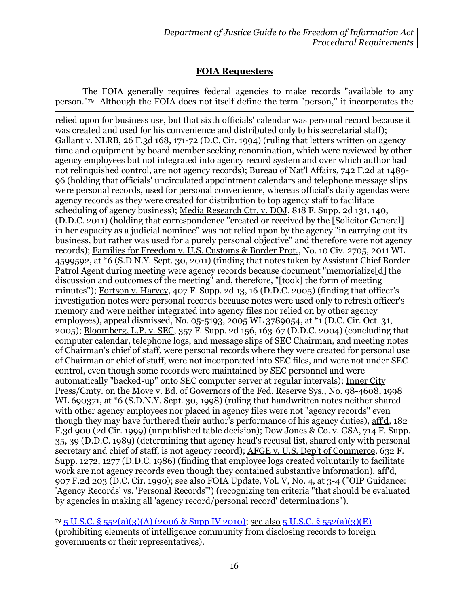## **FOIA Requesters**

The FOIA generally requires federal agencies to make records "available to any person."79 Although the FOIA does not itself define the term "person," it incorporates the

l

relied upon for business use, but that sixth officials' calendar was personal record because it was created and used for his convenience and distributed only to his secretarial staff); Gallant v. NLRB, 26 F.3d 168, 171-72 (D.C. Cir. 1994) (ruling that letters written on agency time and equipment by board member seeking renomination, which were reviewed by other agency employees but not integrated into agency record system and over which author had not relinquished control, are not agency records); Bureau of Nat'l Affairs, 742 F.2d at 1489- 96 (holding that officials' uncirculated appointment calendars and telephone message slips were personal records, used for personal convenience, whereas official's daily agendas were agency records as they were created for distribution to top agency staff to facilitate scheduling of agency business); Media Research Ctr. v. DOJ, 818 F. Supp. 2d 131, 140, (D.D.C. 2011) (holding that correspondence "created or received by the [Solicitor General] in her capacity as a judicial nominee" was not relied upon by the agency "in carrying out its business, but rather was used for a purely personal objective" and therefore were not agency records); Families for Freedom v. U.S. Customs & Border Prot., No. 10 Civ. 2705, 2011 WL 4599592, at \*6 (S.D.N.Y. Sept. 30, 2011) (finding that notes taken by Assistant Chief Border Patrol Agent during meeting were agency records because document "memorialize[d] the discussion and outcomes of the meeting" and, therefore, "[took] the form of meeting minutes"); Fortson v. Harvey, 407 F. Supp. 2d 13, 16 (D.D.C. 2005) (finding that officer's investigation notes were personal records because notes were used only to refresh officer's memory and were neither integrated into agency files nor relied on by other agency employees), appeal dismissed, No. 05-5193, 2005 WL 3789054, at \*1 (D.C. Cir. Oct. 31, 2005); Bloomberg, L.P. v. SEC, 357 F. Supp. 2d 156, 163-67 (D.D.C. 2004) (concluding that computer calendar, telephone logs, and message slips of SEC Chairman, and meeting notes of Chairman's chief of staff, were personal records where they were created for personal use of Chairman or chief of staff, were not incorporated into SEC files, and were not under SEC control, even though some records were maintained by SEC personnel and were automatically "backed-up" onto SEC computer server at regular intervals); Inner City Press/Cmty. on the Move v. Bd. of Governors of the Fed. Reserve Sys., No. 98-4608, 1998 WL 690371, at \*6 (S.D.N.Y. Sept. 30, 1998) (ruling that handwritten notes neither shared with other agency employees nor placed in agency files were not "agency records" even though they may have furthered their author's performance of his agency duties), aff'd, 182 F.3d 900 (2d Cir. 1999) (unpublished table decision); Dow Jones & Co. v. GSA, 714 F. Supp. 35, 39 (D.D.C. 1989) (determining that agency head's recusal list, shared only with personal secretary and chief of staff, is not agency record); AFGE v. U.S. Dep't of Commerce, 632 F. Supp. 1272, 1277 (D.D.C. 1986) (finding that employee logs created voluntarily to facilitate work are not agency records even though they contained substantive information), aff'd, 907 F.2d 203 (D.C. Cir. 1990); see also FOIA Update, Vol. V, No. 4, at 3-4 ("OIP Guidance: 'Agency Records' vs. 'Personal Records'") (recognizing ten criteria "that should be evaluated by agencies in making all 'agency record/personal record' determinations").

<sup>79</sup> [5 U.S.C. § 552\(a\)\(3\)\(A\) \(2006 & Supp IV 2010\);](http://www.justice.gov/oip/amended-foia-redlined-2010.pdf) see also [5 U.S.C. § 552\(a\)\(3\)\(E\)](http://www.justice.gov/oip/amended-foia-redlined-2010.pdf) (prohibiting elements of intelligence community from disclosing records to foreign governments or their representatives).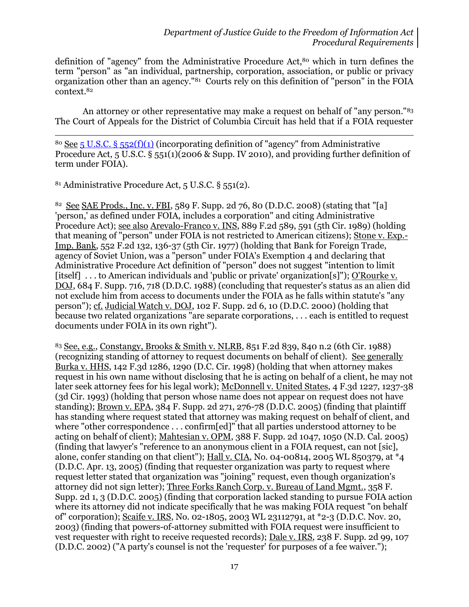definition of "agency" from the Administrative Procedure Act,<sup>80</sup> which in turn defines the term "person" as "an individual, partnership, corporation, association, or public or privacy organization other than an agency."<sup>81</sup> Courts rely on this definition of "person" in the FOIA context.<sup>82</sup>

An attorney or other representative may make a request on behalf of "any person."<sup>83</sup> The Court of Appeals for the District of Columbia Circuit has held that if a FOIA requester

<sup>80</sup> See [5 U.S.C. § 552\(f\)\(1\)](http://www.justice.gov/oip/amended-foia-redlined-2010.pdf) (incorporating definition of "agency" from Administrative Procedure Act, 5 U.S.C. § 551(1)(2006 & Supp. IV 2010), and providing further definition of term under FOIA).

<sup>81</sup> Administrative Procedure Act, 5 U.S.C. § 551(2).

 $\overline{a}$ 

<sup>82</sup> See SAE Prods., Inc. v. FBI, 589 F. Supp. 2d 76, 80 (D.D.C. 2008) (stating that "[a] 'person,' as defined under FOIA, includes a corporation" and citing Administrative Procedure Act); see also Arevalo-Franco v. INS, 889 F.2d 589, 591 (5th Cir. 1989) (holding that meaning of "person" under FOIA is not restricted to American citizens); Stone v. Exp.-Imp. Bank, 552 F.2d 132, 136-37 (5th Cir. 1977) (holding that Bank for Foreign Trade, agency of Soviet Union, was a "person" under FOIA's Exemption 4 and declaring that Administrative Procedure Act definition of "person" does not suggest "intention to limit [itself] ... to American individuals and 'public or private' organization[s]"); O'Rourke v. DOJ, 684 F. Supp. 716, 718 (D.D.C. 1988) (concluding that requester's status as an alien did not exclude him from access to documents under the FOIA as he falls within statute's "any person"); cf. Judicial Watch v. DOJ, 102 F. Supp. 2d 6, 10 (D.D.C. 2000) (holding that because two related organizations "are separate corporations, . . . each is entitled to request documents under FOIA in its own right").

<sup>83</sup> See, e.g., Constangy, Brooks & Smith v. NLRB, 851 F.2d 839, 840 n.2 (6th Cir. 1988) (recognizing standing of attorney to request documents on behalf of client). See generally Burka v. HHS, 142 F.3d 1286, 1290 (D.C. Cir. 1998) (holding that when attorney makes request in his own name without disclosing that he is acting on behalf of a client, he may not later seek attorney fees for his legal work); McDonnell v. United States, 4 F.3d 1227, 1237-38 (3d Cir. 1993) (holding that person whose name does not appear on request does not have standing); Brown v. EPA, 384 F. Supp. 2d 271, 276-78 (D.D.C. 2005) (finding that plaintiff has standing where request stated that attorney was making request on behalf of client, and where "other correspondence . . . confirm[ed]" that all parties understood attorney to be acting on behalf of client); Mahtesian v. OPM, 388 F. Supp. 2d 1047, 1050 (N.D. Cal. 2005) (finding that lawyer's "reference to an anonymous client in a FOIA request, can not [sic], alone, confer standing on that client"); Hall v. CIA, No. 04-00814, 2005 WL 850379, at  $*_{4}$ (D.D.C. Apr. 13, 2005) (finding that requester organization was party to request where request letter stated that organization was "joining" request, even though organization's attorney did not sign letter); Three Forks Ranch Corp. v. Bureau of Land Mgmt., 358 F. Supp. 2d 1, 3 (D.D.C. 2005) (finding that corporation lacked standing to pursue FOIA action where its attorney did not indicate specifically that he was making FOIA request "on behalf of" corporation); Scaife v. IRS, No. 02-1805, 2003 WL 23112791, at \*2-3 (D.D.C. Nov. 20, 2003) (finding that powers-of-attorney submitted with FOIA request were insufficient to vest requester with right to receive requested records); Dale v. IRS, 238 F. Supp. 2d 99, 107 (D.D.C. 2002) ("A party's counsel is not the 'requester' for purposes of a fee waiver.");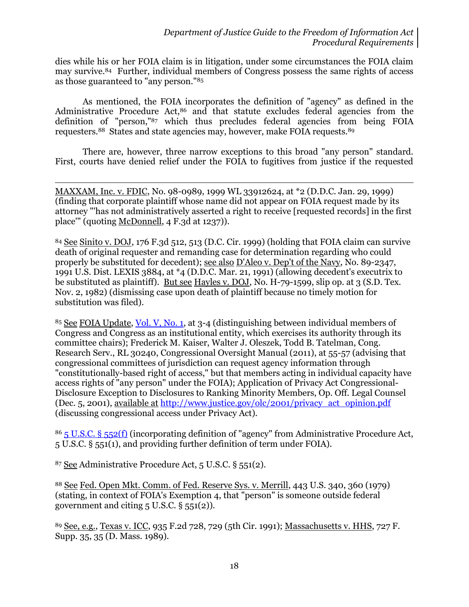dies while his or her FOIA claim is in litigation, under some circumstances the FOIA claim may survive.84 Further, individual members of Congress possess the same rights of access as those guaranteed to "any person."<sup>85</sup>

As mentioned, the FOIA incorporates the definition of "agency" as defined in the Administrative Procedure Act,<sup>86</sup> and that statute excludes federal agencies from the definition of "person,"<sup>87</sup> which thus precludes federal agencies from being FOIA requesters.88 States and state agencies may, however, make FOIA requests.<sup>89</sup>

There are, however, three narrow exceptions to this broad "any person" standard. First, courts have denied relief under the FOIA to fugitives from justice if the requested

l MAXXAM, Inc. v. FDIC, No. 98-0989, 1999 WL 33912624, at \*2 (D.D.C. Jan. 29, 1999) (finding that corporate plaintiff whose name did not appear on FOIA request made by its attorney "'has not administratively asserted a right to receive [requested records] in the first place'" (quoting McDonnell, 4 F.3d at 1237)).

<sup>84</sup> See Sinito v. DOJ, 176 F.3d 512, 513 (D.C. Cir. 1999) (holding that FOIA claim can survive death of original requester and remanding case for determination regarding who could properly be substituted for decedent); see also D'Aleo v. Dep't of the Navy, No. 89-2347, 1991 U.S. Dist. LEXIS 3884, at \*4 (D.D.C. Mar. 21, 1991) (allowing decedent's executrix to be substituted as plaintiff). <u>But see Hayles v. DOJ</u>, No. H-79-1599, slip op. at 3 (S.D. Tex. Nov. 2, 1982) (dismissing case upon death of plaintiff because no timely motion for substitution was filed).

<sup>85</sup> See FOIA Update, [Vol. V, No. 1,](http://www.justice.gov/oip/foia_updates/Vol_V_1/page3.htm) at 3-4 (distinguishing between individual members of Congress and Congress as an institutional entity, which exercises its authority through its committee chairs); Frederick M. Kaiser, Walter J. Oleszek, Todd B. Tatelman, Cong. Research Serv., RL 30240, Congressional Oversight Manual (2011), at 55-57 (advising that congressional committees of jurisdiction can request agency information through "constitutionally-based right of access," but that members acting in individual capacity have access rights of "any person" under the FOIA); Application of Privacy Act Congressional-Disclosure Exception to Disclosures to Ranking Minority Members, Op. Off. Legal Counsel (Dec. 5, 2001), available at [http://www.justice.gov/olc/2001/privacy\\_act\\_opinion.pdf](http://www.justice.gov/olc/2001/privacy_act_opinion.pdf) (discussing congressional access under Privacy Act).

<sup>86</sup> [5 U.S.C. § 552\(f\)](http://www.justice.gov/oip/amended-foia-redlined-2010.pdf) (incorporating definition of "agency" from Administrative Procedure Act, 5 U.S.C. § 551(1), and providing further definition of term under FOIA).

<sup>87</sup> See Administrative Procedure Act, 5 U.S.C. § 551(2).

<sup>88</sup> See Fed. Open Mkt. Comm. of Fed. Reserve Sys. v. Merrill, 443 U.S. 340, 360 (1979) (stating, in context of FOIA's Exemption 4, that "person" is someone outside federal government and citing  $5$  U.S.C.  $\S$   $551(2)$ ).

<sup>89</sup> See, e.g., Texas v. ICC, 935 F.2d 728, 729 (5th Cir. 1991); Massachusetts v. HHS, 727 F. Supp. 35, 35 (D. Mass. 1989).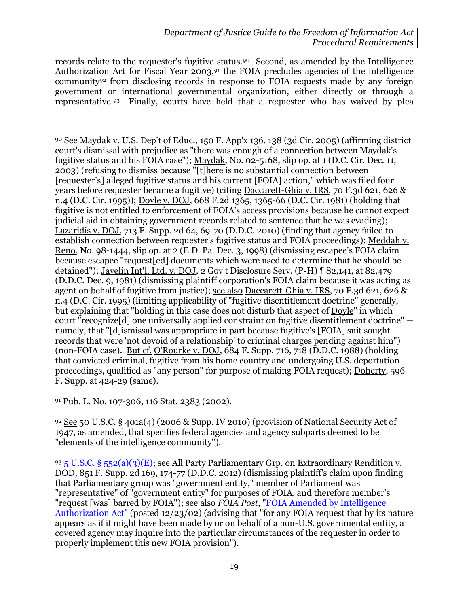records relate to the requester's fugitive status.90 Second, as amended by the Intelligence Authorization Act for Fiscal Year  $2003$ ,<sup>91</sup> the FOIA precludes agencies of the intelligence community<sup>92</sup> from disclosing records in response to FOIA requests made by any foreign government or international governmental organization, either directly or through a representative.93 Finally, courts have held that a requester who has waived by plea

 $\overline{a}$ <sup>90</sup> See Maydak v. U.S. Dep't of Educ., 150 F. App'x 136, 138 (3d Cir. 2005) (affirming district court's dismissal with prejudice as "there was enough of a connection between Maydak's fugitive status and his FOIA case"); Maydak, No. 02-5168, slip op. at 1 (D.C. Cir. Dec. 11, 2003) (refusing to dismiss because "[t]here is no substantial connection between [requester's] alleged fugitive status and his current [FOIA] action," which was filed four years before requester became a fugitive) (citing Daccarett-Ghia v. IRS, 70 F.3d 621, 626 & n.4 (D.C. Cir. 1995)); Doyle v. DOJ, 668 F.2d 1365, 1365-66 (D.C. Cir. 1981) (holding that fugitive is not entitled to enforcement of FOIA's access provisions because he cannot expect judicial aid in obtaining government records related to sentence that he was evading); Lazaridis v. DOJ, 713 F. Supp. 2d 64, 69-70 (D.D.C. 2010) (finding that agency failed to establish connection between requester's fugitive status and FOIA proceedings); Meddah v. Reno, No. 98-1444, slip op. at 2 (E.D. Pa. Dec. 3, 1998) (dismissing escapee's FOIA claim because escapee "request[ed] documents which were used to determine that he should be detained"); Javelin Int'l, Ltd. v. DOJ, 2 Gov't Disclosure Serv. (P-H) ¶ 82,141, at 82,479 (D.D.C. Dec. 9, 1981) (dismissing plaintiff corporation's FOIA claim because it was acting as agent on behalf of fugitive from justice); see also Daccarett-Ghia v. IRS, 70 F.3d 621, 626 & n.4 (D.C. Cir. 1995) (limiting applicability of "fugitive disentitlement doctrine" generally, but explaining that "holding in this case does not disturb that aspect of Doyle" in which court "recognize[d] one universally applied constraint on fugitive disentitlement doctrine" - namely, that "[d]ismissal was appropriate in part because fugitive's [FOIA] suit sought records that were 'not devoid of a relationship' to criminal charges pending against him") (non-FOIA case). But cf. O'Rourke v. DOJ, 684 F. Supp. 716, 718 (D.D.C. 1988) (holding that convicted criminal, fugitive from his home country and undergoing U.S. deportation proceedings, qualified as "any person" for purpose of making FOIA request); Doherty, 596 F. Supp. at 424-29 (same).

<sup>91</sup> Pub. L. No. 107-306, 116 Stat. 2383 (2002).

 $92$  See 50 U.S.C. § 401a(4) (2006 & Supp. IV 2010) (provision of National Security Act of 1947, as amended, that specifies federal agencies and agency subparts deemed to be "elements of the intelligence community").

93 5 U.S.C. § [552\(a\)\(3\)\(E\);](http://www.justice.gov/oip/amended-foia-redlined-2010.pdf) see All Party Parliamentary Grp. on Extraordinary Rendition v. DOD, 851 F. Supp. 2d 169, 174-77 (D.D.C. 2012) (dismissing plaintiff's claim upon finding that Parliamentary group was "government entity," member of Parliament was "representative" of "government entity" for purposes of FOIA, and therefore member's "request [was] barred by FOIA"); see also *FOIA Post*, ["FOIA Amended by Intelligence](http://www.justice.gov/oip/foiapost/2002foiapost38.htm)  [Authorization Act"](http://www.justice.gov/oip/foiapost/2002foiapost38.htm) (posted 12/23/02) (advising that "for any FOIA request that by its nature appears as if it might have been made by or on behalf of a non-U.S. governmental entity, a covered agency may inquire into the particular circumstances of the requester in order to properly implement this new FOIA provision").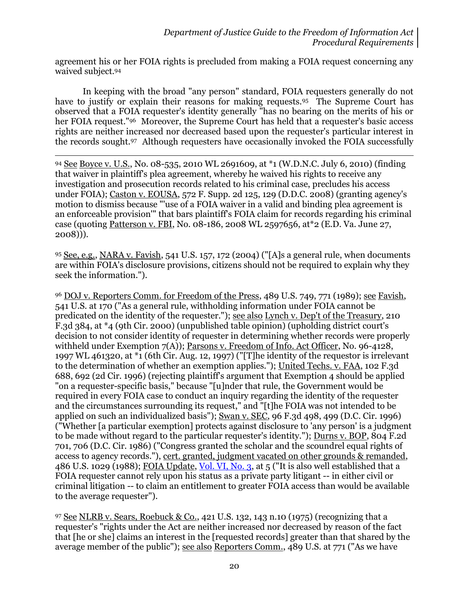agreement his or her FOIA rights is precluded from making a FOIA request concerning any waived subject.<sup>94</sup>

In keeping with the broad "any person" standard, FOIA requesters generally do not have to justify or explain their reasons for making requests.<sup>95</sup> The Supreme Court has observed that a FOIA requester's identity generally "has no bearing on the merits of his or her FOIA request."<sup>96</sup> Moreover, the Supreme Court has held that a requester's basic access rights are neither increased nor decreased based upon the requester's particular interest in the records sought.<sup>97</sup> Although requesters have occasionally invoked the FOIA successfully

 $\overline{a}$ 

94 See Boyce v. U.S., No. 08-535, 2010 WL 2691609, at \*1 (W.D.N.C. July 6, 2010) (finding that waiver in plaintiff's plea agreement, whereby he waived his rights to receive any investigation and prosecution records related to his criminal case, precludes his access under FOIA); Caston v. EOUSA, 572 F. Supp. 2d 125, 129 (D.D.C. 2008) (granting agency's motion to dismiss because "'use of a FOIA waiver in a valid and binding plea agreement is an enforceable provision'" that bars plaintiff's FOIA claim for records regarding his criminal case (quoting Patterson v. FBI, No. 08-186, 2008 WL 2597656, at\*2 (E.D. Va. June 27, 2008))).

95 See, e.g., NARA v. Favish, 541 U.S. 157, 172 (2004) ("[A]s a general rule, when documents are within FOIA's disclosure provisions, citizens should not be required to explain why they seek the information.").

<sup>96</sup> DOJ v. Reporters Comm. for Freedom of the Press, 489 U.S. 749, 771 (1989); see Favish, 541 U.S. at 170 ("As a general rule, withholding information under FOIA cannot be predicated on the identity of the requester."); see also Lynch v. Dep't of the Treasury, 210 F.3d 384, at \*4 (9th Cir. 2000) (unpublished table opinion) (upholding district court's decision to not consider identity of requester in determining whether records were properly withheld under Exemption 7(A)); Parsons v. Freedom of Info. Act Officer, No. 96-4128, 1997 WL 461320, at \*1 (6th Cir. Aug. 12, 1997) ("[T]he identity of the requestor is irrelevant to the determination of whether an exemption applies."); United Techs. v. FAA, 102 F.3d 688, 692 (2d Cir. 1996) (rejecting plaintiff's argument that Exemption 4 should be applied "on a requester-specific basis," because "[u]nder that rule, the Government would be required in every FOIA case to conduct an inquiry regarding the identity of the requester and the circumstances surrounding its request," and "[t]he FOIA was not intended to be applied on such an individualized basis"); Swan v. SEC, 96 F.3d 498, 499 (D.C. Cir. 1996) ("Whether [a particular exemption] protects against disclosure to 'any person' is a judgment to be made without regard to the particular requester's identity."); Durns v. BOP, 804 F.2d 701, 706 (D.C. Cir. 1986) ("Congress granted the scholar and the scoundrel equal rights of access to agency records."), cert. granted, judgment vacated on other grounds & remanded, 486 U.S. 1029 (1988); FOIA Update, [Vol. VI, No. 3,](http://www.justice.gov/oip/foia_updates/Vol_VI_3/page5.htm) at 5 ("It is also well established that a FOIA requester cannot rely upon his status as a private party litigant -- in either civil or criminal litigation -- to claim an entitlement to greater FOIA access than would be available to the average requester").

<sup>97</sup> See NLRB v. Sears, Roebuck & Co., 421 U.S. 132, 143 n.10 (1975) (recognizing that a requester's "rights under the Act are neither increased nor decreased by reason of the fact that [he or she] claims an interest in the [requested records] greater than that shared by the average member of the public"); see also Reporters Comm., 489 U.S. at 771 ("As we have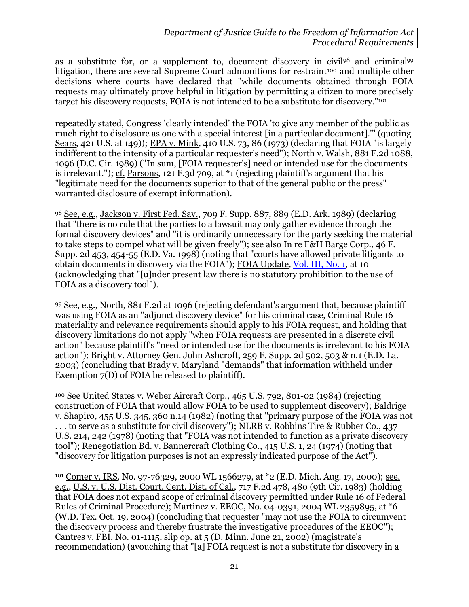as a substitute for, or a supplement to, document discovery in civil<sup>98</sup> and criminal<sup>99</sup> litigation, there are several Supreme Court admonitions for restraint<sup>100</sup> and multiple other decisions where courts have declared that "while documents obtained through FOIA requests may ultimately prove helpful in litigation by permitting a citizen to more precisely target his discovery requests, FOIA is not intended to be a substitute for discovery."<sup>101</sup>

 $\overline{\phantom{a}}$ repeatedly stated, Congress 'clearly intended' the FOIA 'to give any member of the public as much right to disclosure as one with a special interest [in a particular document]." (quoting Sears, 421 U.S. at 149)); EPA v. Mink, 410 U.S. 73, 86 (1973) (declaring that FOIA "is largely indifferent to the intensity of a particular requester's need"); North v. Walsh, 881 F.2d 1088, 1096 (D.C. Cir. 1989) ("In sum, [FOIA requester's] need or intended use for the documents is irrelevant."); cf. Parsons, 121 F.3d 709, at \*1 (rejecting plaintiff's argument that his "legitimate need for the documents superior to that of the general public or the press" warranted disclosure of exempt information).

98 See, e.g., Jackson v. First Fed. Sav., 709 F. Supp. 887, 889 (E.D. Ark. 1989) (declaring that "there is no rule that the parties to a lawsuit may only gather evidence through the formal discovery devices" and "it is ordinarily unnecessary for the party seeking the material to take steps to compel what will be given freely"); see also In re F&H Barge Corp., 46 F. Supp. 2d 453, 454-55 (E.D. Va. 1998) (noting that "courts have allowed private litigants to obtain documents in discovery via the FOIA"); FOIA Update, [Vol. III, No. 1,](http://www.justice.gov/oip/foia_updates/Vol_III_1/page6.htm) at 10 (acknowledging that "[u]nder present law there is no statutory prohibition to the use of FOIA as a discovery tool").

<sup>99</sup> See, e.g., North, 881 F.2d at 1096 (rejecting defendant's argument that, because plaintiff was using FOIA as an "adjunct discovery device" for his criminal case, Criminal Rule 16 materiality and relevance requirements should apply to his FOIA request, and holding that discovery limitations do not apply "when FOIA requests are presented in a discrete civil action" because plaintiff's "need or intended use for the documents is irrelevant to his FOIA action"); Bright v. Attorney Gen. John Ashcroft, 259 F. Supp. 2d 502, 503 & n.1 (E.D. La. 2003) (concluding that Brady v. Maryland "demands" that information withheld under Exemption 7(D) of FOIA be released to plaintiff).

<sup>100</sup> See United States v. Weber Aircraft Corp., 465 U.S. 792, 801-02 (1984) (rejecting construction of FOIA that would allow FOIA to be used to supplement discovery); Baldrige v. Shapiro, 455 U.S. 345, 360 n.14 (1982) (noting that "primary purpose of the FOIA was not ... to serve as a substitute for civil discovery"); NLRB v. Robbins Tire & Rubber Co., 437 U.S. 214, 242 (1978) (noting that "FOIA was not intended to function as a private discovery tool"); <u>Renegotiation Bd. v. Bannercraft Clothing Co.</u>, 415 U.S. 1, 24 (1974) (noting that "discovery for litigation purposes is not an expressly indicated purpose of the Act").

<sup>101</sup> Comer v. IRS, No. 97-76329, 2000 WL 1566279, at \*2 (E.D. Mich. Aug. 17, 2000); see, e.g., U.S. v. U.S. Dist. Court, Cent. Dist. of Cal., 717 F.2d 478, 480 (9th Cir. 1983) (holding that FOIA does not expand scope of criminal discovery permitted under Rule 16 of Federal Rules of Criminal Procedure); Martinez v. EEOC, No. 04-0391, 2004 WL 2359895, at \*6 (W.D. Tex. Oct. 19, 2004) (concluding that requester "may not use the FOIA to circumvent the discovery process and thereby frustrate the investigative procedures of the EEOC"); Cantres v. FBI, No. 01-1115, slip op. at 5 (D. Minn. June 21, 2002) (magistrate's recommendation) (avouching that "[a] FOIA request is not a substitute for discovery in a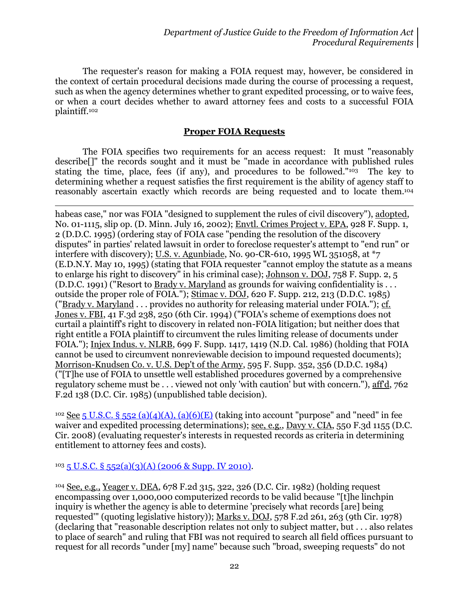The requester's reason for making a FOIA request may, however, be considered in the context of certain procedural decisions made during the course of processing a request, such as when the agency determines whether to grant expedited processing, or to waive fees, or when a court decides whether to award attorney fees and costs to a successful FOIA plaintiff.<sup>102</sup>

#### **Proper FOIA Requests**

The FOIA specifies two requirements for an access request: It must "reasonably describe[]" the records sought and it must be "made in accordance with published rules stating the time, place, fees (if any), and procedures to be followed."103 The key to determining whether a request satisfies the first requirement is the ability of agency staff to reasonably ascertain exactly which records are being requested and to locate them.<sup>104</sup>

habeas case," nor was FOIA "designed to supplement the rules of civil discovery"), adopted, No. 01-1115, slip op. (D. Minn. July 16, 2002); Envtl. Crimes Project v. EPA, 928 F. Supp. 1, 2 (D.D.C. 1995) (ordering stay of FOIA case "pending the resolution of the discovery disputes" in parties' related lawsuit in order to foreclose requester's attempt to "end run" or interfere with discovery); U.S. v. Agunbiade, No. 90-CR-610, 1995 WL 351058, at \*7 (E.D.N.Y. May 10, 1995) (stating that FOIA requester "cannot employ the statute as a means to enlarge his right to discovery<sup>"</sup> in his criminal case); Johnson v. DOJ, 758 F. Supp. 2, 5 (D.D.C. 1991) ("Resort to Brady v. Maryland as grounds for waiving confidentiality is . . . outside the proper role of FOIA."); Stimac v. DOJ, 620 F. Supp. 212, 213 (D.D.C. 1985) ("Brady v. Maryland . . . provides no authority for releasing material under FOIA."); cf. Jones v. FBI, 41 F.3d 238, 250 (6th Cir. 1994) ("FOIA's scheme of exemptions does not curtail a plaintiff's right to discovery in related non-FOIA litigation; but neither does that right entitle a FOIA plaintiff to circumvent the rules limiting release of documents under FOIA."); Injex Indus. v. NLRB, 699 F. Supp. 1417, 1419 (N.D. Cal. 1986) (holding that FOIA cannot be used to circumvent nonreviewable decision to impound requested documents); Morrison-Knudsen Co. v. U.S. Dep't of the Army, 595 F. Supp. 352, 356 (D.D.C. 1984) ("[T]he use of FOIA to unsettle well established procedures governed by a comprehensive regulatory scheme must be . . . viewed not only 'with caution' but with concern."), aff'd, 762 F.2d 138 (D.C. Cir. 1985) (unpublished table decision).

<sup>102</sup> See 5 U.S.C. § [552 \(a\)\(4\)\(A\), \(a\)\(6\)\(E\)](http://www.justice.gov/oip/amended-foia-redlined-2010.pdf) (taking into account "purpose" and "need" in fee waiver and expedited processing determinations); <u>see, e.g., Davy v. CIA</u>, 550 F.3d 1155 (D.C. Cir. 2008) (evaluating requester's interests in requested records as criteria in determining entitlement to attorney fees and costs).

#### $103\overline{5}$  U.S.C. §  $552(a)(3)(A)$  (2006 & Supp. IV 2010).

 $\overline{a}$ 

<sup>104</sup> See, e.g., Yeager v. DEA, 678 F.2d 315, 322, 326 (D.C. Cir. 1982) (holding request encompassing over 1,000,000 computerized records to be valid because "[t]he linchpin inquiry is whether the agency is able to determine 'precisely what records [are] being requested'" (quoting legislative history)); Marks v. DOJ, 578 F.2d 261, 263 (9th Cir. 1978) (declaring that "reasonable description relates not only to subject matter, but . . . also relates to place of search" and ruling that FBI was not required to search all field offices pursuant to request for all records "under [my] name" because such "broad, sweeping requests" do not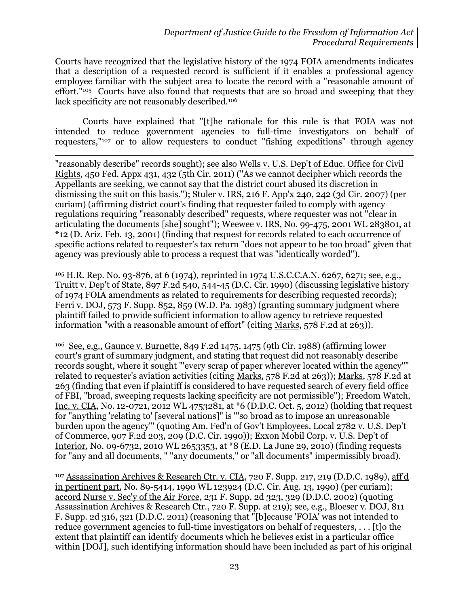Courts have recognized that the legislative history of the 1974 FOIA amendments indicates that a description of a requested record is sufficient if it enables a professional agency employee familiar with the subject area to locate the record with a "reasonable amount of effort."<sup>105</sup> Courts have also found that requests that are so broad and sweeping that they lack specificity are not reasonably described.<sup>106</sup>

Courts have explained that "[t]he rationale for this rule is that FOIA was not intended to reduce government agencies to full-time investigators on behalf of requesters,"<sup>107</sup> or to allow requesters to conduct "fishing expeditions" through agency

 $\overline{\phantom{a}}$ 

"reasonably describe" records sought); see also Wells v. U.S. Dep't of Educ. Office for Civil Rights, 450 Fed. Appx 431, 432 (5th Cir. 2011) ("As we cannot decipher which records the Appellants are seeking, we cannot say that the district court abused its discretion in dismissing the suit on this basis."); Stuler v. IRS, 216 F. App'x 240, 242 (3d Cir. 2007) (per curiam) (affirming district court's finding that requester failed to comply with agency regulations requiring "reasonably described" requests, where requester was not "clear in articulating the documents [she] sought"); Weewee v. IRS, No. 99-475, 2001 WL 283801, at \*12 (D. Ariz. Feb. 13, 2001) (finding that request for records related to each occurrence of specific actions related to requester's tax return "does not appear to be too broad" given that agency was previously able to process a request that was "identically worded").

<sup>105</sup> H.R. Rep. No. 93-876, at 6 (1974), reprinted in 1974 U.S.C.C.A.N. 6267, 6271; see, e.g., Truitt v. Dep't of State, 897 F.2d 540, 544-45 (D.C. Cir. 1990) (discussing legislative history of 1974 FOIA amendments as related to requirements for describing requested records); Ferri v. DOJ, 573 F. Supp. 852, 859 (W.D. Pa. 1983) (granting summary judgment where plaintiff failed to provide sufficient information to allow agency to retrieve requested information "with a reasonable amount of effort" (citing Marks, 578 F.2d at 263)).

<sup>106</sup> See, e.g., Gaunce v. Burnette, 849 F.2d 1475, 1475 (9th Cir. 1988) (affirming lower court's grant of summary judgment, and stating that request did not reasonably describe records sought, where it sought "'every scrap of paper wherever located within the agency''" related to requester's aviation activities (citing Marks, 578 F.2d at 263)); Marks, 578 F.2d at 263 (finding that even if plaintiff is considered to have requested search of every field office of FBI, "broad, sweeping requests lacking specificity are not permissible"); Freedom Watch, Inc. v. CIA, No. 12-0721, 2012 WL 4753281, at \*6 (D.D.C. Oct. 5, 2012) (holding that request for "anything 'relating to' [several nations]" is "'so broad as to impose an unreasonable burden upon the agency'" (quoting Am. Fed'n of Gov't Employees, Local 2782 v. U.S. Dep't of Commerce, 907 F.2d 203, 209 (D.C. Cir. 1990)); Exxon Mobil Corp. v. U.S. Dep't of Interior, No. 09-6732, 2010 WL 2653353, at \*8 (E.D. La June 29, 2010) (finding requests for "any and all documents, " "any documents," or "all documents" impermissibly broad).

<sup>107</sup> Assassination Archives & Research Ctr. v. CIA, 720 F. Supp. 217, 219 (D.D.C. 1989), aff'd in pertinent part, No. 89-5414, 1990 WL 123924 (D.C. Cir. Aug. 13, 1990) (per curiam); accord Nurse v. Sec'y of the Air Force, 231 F. Supp. 2d 323, 329 (D.D.C. 2002) (quoting Assassination Archives & Research Ctr., 720 F. Supp. at 219); see, e.g., Bloeser v. DOJ, 811 F. Supp. 2d 316, 321 (D.D.C. 2011) (reasoning that "[b]ecause 'FOIA' was not intended to reduce government agencies to full-time investigators on behalf of requesters, . . . [t]o the extent that plaintiff can identify documents which he believes exist in a particular office within [DOJ], such identifying information should have been included as part of his original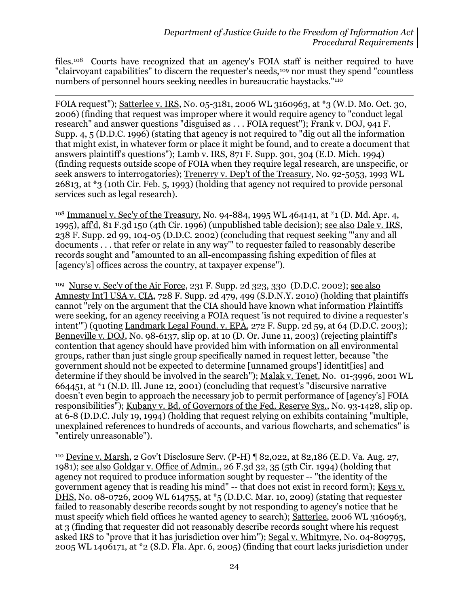files.108 Courts have recognized that an agency's FOIA staff is neither required to have "clairvoyant capabilities" to discern the requester's needs,<sup>109</sup> nor must they spend "countless" numbers of personnel hours seeking needles in bureaucratic haystacks."<sup>110</sup>

 $\overline{\phantom{a}}$ 

FOIA request"); Satterlee v. IRS, No. 05-3181, 2006 WL 3160963, at \*3 (W.D. Mo. Oct. 30, 2006) (finding that request was improper where it would require agency to "conduct legal research" and answer questions "disguised as . . . FOIA request"); Frank v. DOJ, 941 F. Supp. 4, 5 (D.D.C. 1996) (stating that agency is not required to "dig out all the information that might exist, in whatever form or place it might be found, and to create a document that answers plaintiff's questions"); Lamb v. IRS, 871 F. Supp. 301, 304 (E.D. Mich. 1994) (finding requests outside scope of FOIA when they require legal research, are unspecific, or seek answers to interrogatories); Trenerry v. Dep't of the Treasury, No. 92-5053, 1993 WL 26813, at \*3 (10th Cir. Feb. 5, 1993) (holding that agency not required to provide personal services such as legal research).

<sup>108</sup> Immanuel v. Sec'y of the Treasury, No. 94-884, 1995 WL 464141, at \*1 (D. Md. Apr. 4, 1995), aff'd, 81 F.3d 150 (4th Cir. 1996) (unpublished table decision); see also Dale v. IRS, 238 F. Supp. 2d 99, 104-05 (D.D.C. 2002) (concluding that request seeking "'any and all documents . . . that refer or relate in any way'" to requester failed to reasonably describe records sought and "amounted to an all-encompassing fishing expedition of files at [agency's] offices across the country, at taxpayer expense").

<sup>109</sup> Nurse v. Sec'y of the Air Force, 231 F. Supp. 2d 323, 330 (D.D.C. 2002); see also Amnesty Int'l USA v. CIA, 728 F. Supp. 2d 479, 499 (S.D.N.Y. 2010) (holding that plaintiffs cannot "rely on the argument that the CIA should have known what information Plaintiffs were seeking, for an agency receiving a FOIA request 'is not required to divine a requester's intent'") (quoting Landmark Legal Found. v. EPA, 272 F. Supp. 2d 59, at 64 (D.D.C. 2003); Benneville v. DOJ, No. 98-6137, slip op. at 10 (D. Or. June 11, 2003) (rejecting plaintiff's contention that agency should have provided him with information on all environmental groups, rather than just single group specifically named in request letter, because "the government should not be expected to determine [unnamed groups'] identit[ies] and determine if they should be involved in the search"); Malak v. Tenet, No. 01-3996, 2001 WL 664451, at \*1 (N.D. Ill. June 12, 2001) (concluding that request's "discursive narrative doesn't even begin to approach the necessary job to permit performance of [agency's] FOIA responsibilities"); Kubany v. Bd. of Governors of the Fed. Reserve Sys., No. 93-1428, slip op. at 6-8 (D.D.C. July 19, 1994) (holding that request relying on exhibits containing "multiple, unexplained references to hundreds of accounts, and various flowcharts, and schematics" is "entirely unreasonable").

<sup>110</sup> Devine v. Marsh, 2 Gov't Disclosure Serv. (P-H) ¶ 82,022, at 82,186 (E.D. Va. Aug. 27, 1981); see also Goldgar v. Office of Admin., 26 F.3d 32, 35 (5th Cir. 1994) (holding that agency not required to produce information sought by requester -- "the identity of the government agency that is reading his mind" -- that does not exist in record form); Keys v. DHS, No. 08-0726, 2009 WL 614755, at \*5 (D.D.C. Mar. 10, 2009) (stating that requester failed to reasonably describe records sought by not responding to agency's notice that he must specify which field offices he wanted agency to search); Satterlee, 2006 WL 3160963, at 3 (finding that requester did not reasonably describe records sought where his request asked IRS to "prove that it has jurisdiction over him"); Segal v. Whitmyre, No. 04-809795, 2005 WL 1406171, at \*2 (S.D. Fla. Apr. 6, 2005) (finding that court lacks jurisdiction under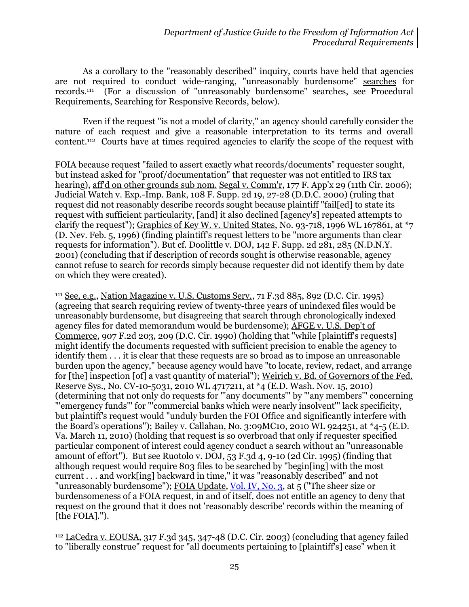As a corollary to the "reasonably described" inquiry, courts have held that agencies are not required to conduct wide-ranging, "unreasonably burdensome" searches for records.<sup>111</sup> (For a discussion of "unreasonably burdensome" searches, see Procedural Requirements, Searching for Responsive Records, below).

Even if the request "is not a model of clarity," an agency should carefully consider the nature of each request and give a reasonable interpretation to its terms and overall content.112 Courts have at times required agencies to clarify the scope of the request with

 $\overline{a}$ FOIA because request "failed to assert exactly what records/documents" requester sought, but instead asked for "proof/documentation" that requester was not entitled to IRS tax hearing), aff'd on other grounds sub nom. Segal v. Comm'r, 177 F. App'x 29 (11th Cir. 2006); Judicial Watch v. Exp.-Imp. Bank, 108 F. Supp. 2d 19, 27-28 (D.D.C. 2000) (ruling that request did not reasonably describe records sought because plaintiff "fail[ed] to state its request with sufficient particularity, [and] it also declined [agency's] repeated attempts to clarify the request"); Graphics of Key W. v. United States, No. 93-718, 1996 WL 167861, at  $*$ 7 (D. Nev. Feb. 5, 1996) (finding plaintiff's request letters to be "more arguments than clear requests for information"). But cf. Doolittle v. DOJ, 142 F. Supp. 2d 281, 285 (N.D.N.Y. 2001) (concluding that if description of records sought is otherwise reasonable, agency cannot refuse to search for records simply because requester did not identify them by date on which they were created).

<sup>111</sup> See, e.g., Nation Magazine v. U.S. Customs Serv., 71 F.3d 885, 892 (D.C. Cir. 1995) (agreeing that search requiring review of twenty-three years of unindexed files would be unreasonably burdensome, but disagreeing that search through chronologically indexed agency files for dated memorandum would be burdensome); AFGE v. U.S. Dep't of Commerce, 907 F.2d 203, 209 (D.C. Cir. 1990) (holding that "while [plaintiff's requests] might identify the documents requested with sufficient precision to enable the agency to identify them . . . it is clear that these requests are so broad as to impose an unreasonable burden upon the agency," because agency would have "to locate, review, redact, and arrange for [the] inspection [of] a vast quantity of material"); Weirich v. Bd. of Governors of the Fed. Reserve Sys., No. CV-10-5031, 2010 WL 4717211, at \*4 (E.D. Wash. Nov. 15, 2010) (determining that not only do requests for "'any documents'" by "'any members'" concerning "'emergency funds'" for "'commercial banks which were nearly insolvent'" lack specificity, but plaintiff's request would "unduly burden the FOI Office and significantly interfere with the Board's operations"); Bailey v. Callahan, No. 3:09MC10, 2010 WL 924251, at \*4-5 (E.D. Va. March 11, 2010) (holding that request is so overbroad that only if requester specified particular component of interest could agency conduct a search without an "unreasonable amount of effort"). But see Ruotolo v. DOJ, 53 F.3d 4, 9-10 (2d Cir. 1995) (finding that although request would require 803 files to be searched by "begin[ing] with the most current . . . and work[ing] backward in time," it was "reasonably described" and not "unreasonably burdensome"); FOIA Update, [Vol. IV, No. 3,](http://www.justice.gov/oip/foia_updates/Vol_IV_3/page5.htm) at 5 ("The sheer size or burdensomeness of a FOIA request, in and of itself, does not entitle an agency to deny that request on the ground that it does not 'reasonably describe' records within the meaning of [the FOIA].").

<sup>112</sup> LaCedra v. EOUSA, 317 F.3d 345, 347-48 (D.C. Cir. 2003) (concluding that agency failed to "liberally construe" request for "all documents pertaining to [plaintiff's] case" when it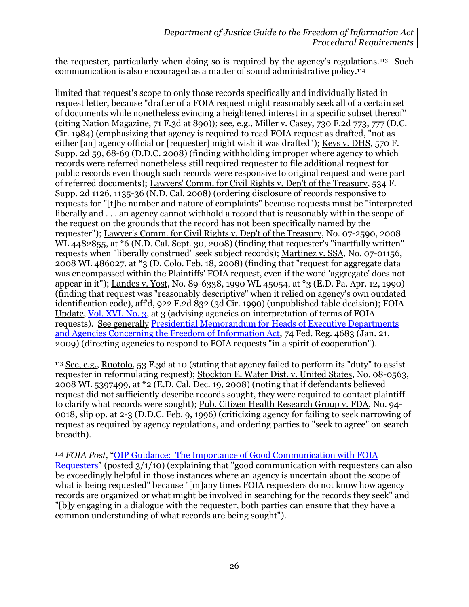the requester, particularly when doing so is required by the agency's regulations.113 Such communication is also encouraged as a matter of sound administrative policy.<sup>114</sup>

 $\overline{a}$ limited that request's scope to only those records specifically and individually listed in request letter, because "drafter of a FOIA request might reasonably seek all of a certain set of documents while nonetheless evincing a heightened interest in a specific subset thereof" (citing Nation Magazine, 71 F.3d at 890)); see, e.g., Miller v. Casey, 730 F.2d 773, 777 (D.C. Cir. 1984) (emphasizing that agency is required to read FOIA request as drafted, "not as either [an] agency official or [requester] might wish it was drafted"); Keys v. DHS, 570 F. Supp. 2d 59, 68-69 (D.D.C. 2008) (finding withholding improper where agency to which records were referred nonetheless still required requester to file additional request for public records even though such records were responsive to original request and were part of referred documents); Lawyers' Comm. for Civil Rights v. Dep't of the Treasury, 534 F. Supp. 2d 1126, 1135-36 (N.D. Cal. 2008) (ordering disclosure of records responsive to requests for "[t]he number and nature of complaints" because requests must be "interpreted liberally and . . . an agency cannot withhold a record that is reasonably within the scope of the request on the grounds that the record has not been specifically named by the requester"); Lawyer's Comm. for Civil Rights v. Dep't of the Treasury, No. 07-2590, 2008 WL 4482855, at \*6 (N.D. Cal. Sept. 30, 2008) (finding that requester's "inartfully written" requests when "liberally construed" seek subject records); Martinez v. SSA, No. 07-01156, 2008 WL 486027, at \*3 (D. Colo. Feb. 18, 2008) (finding that "request for aggregate data was encompassed within the Plaintiffs' FOIA request, even if the word 'aggregate' does not appear in it"); Landes v. Yost, No. 89-6338, 1990 WL 45054, at \*3 (E.D. Pa. Apr. 12, 1990) (finding that request was "reasonably descriptive" when it relied on agency's own outdated identification code), aff'd, 922 F.2d 832 (3d Cir. 1990) (unpublished table decision); FOIA Update, [Vol. XVI, No. 3,](http://www.justice.gov/oip/foia_updates/Vol_XVI_3/page3.htm) at 3 (advising agencies on interpretation of terms of FOIA requests). See generally [Presidential Memorandum for Heads of Executive Departments](http://www.justice.gov/oip/foia_guide09/presidential-foia.pdf)  [and Agencies Concerning the Freedom of Information Act,](http://www.justice.gov/oip/foia_guide09/presidential-foia.pdf) 74 Fed. Reg. 4683 (Jan. 21, 2009) (directing agencies to respond to FOIA requests "in a spirit of cooperation").

<sup>113</sup> See, e.g., Ruotolo, 53 F.3d at 10 (stating that agency failed to perform its "duty" to assist requester in reformulating request); Stockton E. Water Dist. v. United States, No. 08-0563, 2008 WL 5397499, at \*2 (E.D. Cal. Dec. 19, 2008) (noting that if defendants believed request did not sufficiently describe records sought, they were required to contact plaintiff to clarify what records were sought); Pub. Citizen Health Research Group v. FDA, No. 94- 0018, slip op. at 2-3 (D.D.C. Feb. 9, 1996) (criticizing agency for failing to seek narrowing of request as required by agency regulations, and ordering parties to "seek to agree" on search breadth).

<sup>114</sup> *FOIA Post*, "OIP Guidance: [The Importance of Good Communication with FOIA](http://www.justice.gov/oip/foiapost/2010foiapost5.htm)  [Requesters](http://www.justice.gov/oip/foiapost/2010foiapost5.htm)" (posted 3/1/10) (explaining that "good communication with requesters can also be exceedingly helpful in those instances where an agency is uncertain about the scope of what is being requested" because "[m]any times FOIA requesters do not know how agency records are organized or what might be involved in searching for the records they seek" and "[b]y engaging in a dialogue with the requester, both parties can ensure that they have a common understanding of what records are being sought").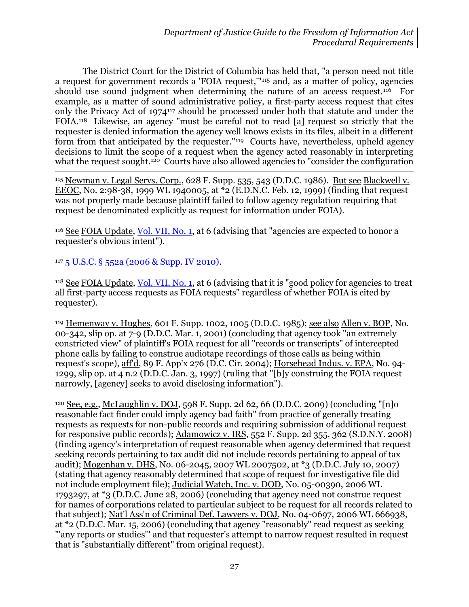The District Court for the District of Columbia has held that, "a person need not title a request for government records a 'FOIA request,'"<sup>115</sup> and, as a matter of policy, agencies should use sound judgment when determining the nature of an access request.<sup>116</sup> For example, as a matter of sound administrative policy, a first-party access request that cites only the Privacy Act of 1974<sup>117</sup> should be processed under both that statute and under the FOIA.118 Likewise, an agency "must be careful not to read [a] request so strictly that the requester is denied information the agency well knows exists in its files, albeit in a different form from that anticipated by the requester."119 Courts have, nevertheless, upheld agency decisions to limit the scope of a request when the agency acted reasonably in interpreting what the request sought.<sup>120</sup> Courts have also allowed agencies to "consider the configuration"

<sup>115</sup> Newman v. Legal Servs. Corp., 628 F. Supp. 535, 543 (D.D.C. 1986). <u>But see Blackwell v.</u> EEOC, No. 2:98-38, 1999 WL 1940005, at \*2 (E.D.N.C. Feb. 12, 1999) (finding that request was not properly made because plaintiff failed to follow agency regulation requiring that request be denominated explicitly as request for information under FOIA).

<sup>116</sup> See FOIA Update, [Vol. VII, No. 1,](http://www.justice.gov/oip/foia_updates/Vol_VII_1/page5.htm) at 6 (advising that "agencies are expected to honor a requester's obvious intent").

<sup>117</sup> 5 U.S.C. § [552a \(2006 & Supp. IV 2010\).](http://www.justice.gov/oip/amended-foia-redlined-2010.pdf)

 $\overline{a}$ 

<sup>118</sup> See FOIA Update, [Vol. VII, No. 1,](http://www.justice.gov/oip/foia_updates/Vol_VII_1/page5.htm) at 6 (advising that it is "good policy for agencies to treat all first-party access requests as FOIA requests" regardless of whether FOIA is cited by requester).

119 Hemenway v. Hughes, 601 F. Supp. 1002, 1005 (D.D.C. 1985); <u>see also Allen v. BOP,</u> No. 00-342, slip op. at 7-9 (D.D.C. Mar. 1, 2001) (concluding that agency took "an extremely constricted view" of plaintiff's FOIA request for all "records or transcripts" of intercepted phone calls by failing to construe audiotape recordings of those calls as being within request's scope), aff'd, 89 F. App'x 276 (D.C. Cir. 2004); Horsehead Indus. v. EPA, No. 94- 1299, slip op. at 4 n.2 (D.D.C. Jan. 3, 1997) (ruling that "[b]y construing the FOIA request narrowly, [agency] seeks to avoid disclosing information").

<sup>120</sup> See, e.g., McLaughlin v. DOJ, 598 F. Supp. 2d 62, 66 (D.D.C. 2009) (concluding "[n]o reasonable fact finder could imply agency bad faith" from practice of generally treating requests as requests for non-public records and requiring submission of additional request for responsive public records); Adamowicz v. IRS, 552 F. Supp. 2d 355, 362 (S.D.N.Y. 2008) (finding agency's interpretation of request reasonable when agency determined that request seeking records pertaining to tax audit did not include records pertaining to appeal of tax audit); Mogenhan v. DHS, No. 06-2045, 2007 WL 2007502, at \*3 (D.D.C. July 10, 2007) (stating that agency reasonably determined that scope of request for investigative file did not include employment file); Judicial Watch, Inc. v. DOD, No. 05-00390, 2006 WL 1793297, at \*3 (D.D.C. June 28, 2006) (concluding that agency need not construe request for names of corporations related to particular subject to be request for all records related to that subject); Nat'l Ass'n of Criminal Def. Lawyers v. DOJ, No. 04-0697, 2006 WL 666938, at \*2 (D.D.C. Mar. 15, 2006) (concluding that agency "reasonably" read request as seeking "'any reports or studies'" and that requester's attempt to narrow request resulted in request that is "substantially different" from original request).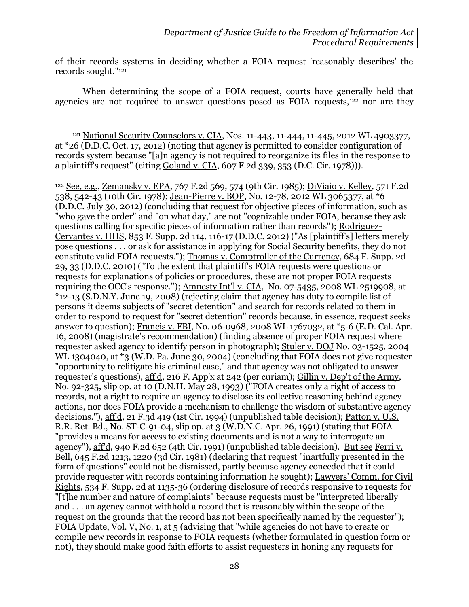of their records systems in deciding whether a FOIA request 'reasonably describes' the records sought."<sup>121</sup>

When determining the scope of a FOIA request, courts have generally held that agencies are not required to answer questions posed as FOIA requests,<sup>122</sup> nor are they

<sup>121</sup> National Security Counselors v. CIA, Nos. 11-443, 11-444, 11-445, 2012 WL 4903377, at \*26 (D.D.C. Oct. 17, 2012) (noting that agency is permitted to consider configuration of records system because "[a]n agency is not required to reorganize its files in the response to a plaintiff's request" (citing Goland v. CIA, 607 F.2d 339, 353 (D.C. Cir. 1978))).

 $\overline{a}$ 

<sup>122</sup> See, e.g., Zemansky v. EPA, 767 F.2d 569, 574 (9th Cir. 1985); DiViaio v. Kelley, 571 F.2d 538, 542-43 (10th Cir. 1978); Jean-Pierre v. BOP, No. 12-78, 2012 WL 3065377, at \*6 (D.D.C. July 30, 2012) (concluding that request for objective pieces of information, such as "who gave the order" and "on what day," are not "cognizable under FOIA, because they ask questions calling for specific pieces of information rather than records"); Rodriguez-Cervantes v. HHS, 853 F. Supp. 2d 114, 116-17 (D.D.C. 2012) ("As [plaintiff's] letters merely pose questions . . . or ask for assistance in applying for Social Security benefits, they do not constitute valid FOIA requests."); Thomas v. Comptroller of the Currency, 684 F. Supp. 2d 29, 33 (D.D.C. 2010) ("To the extent that plaintiff's FOIA requests were questions or requests for explanations of policies or procedures, these are not proper FOIA requests requiring the OCC's response."); Amnesty Int'l v. CIA, No. 07-5435, 2008 WL 2519908, at \*12-13 (S.D.N.Y. June 19, 2008) (rejecting claim that agency has duty to compile list of persons it deems subjects of "secret detention" and search for records related to them in order to respond to request for "secret detention" records because, in essence, request seeks answer to question); Francis v. FBI, No. 06-0968, 2008 WL 1767032, at \*5-6 (E.D. Cal. Apr. 16, 2008) (magistrate's recommendation) (finding absence of proper FOIA request where requester asked agency to identify person in photograph); Stuler v. DOJ No. 03-1525, 2004 WL 1304040, at \*3 (W.D. Pa. June 30, 2004) (concluding that FOIA does not give requester "opportunity to relitigate his criminal case," and that agency was not obligated to answer requester's questions), aff'd, 216 F. App'x at 242 (per curiam); Gillin v. Dep't of the Army, No. 92-325, slip op. at 10 (D.N.H. May 28, 1993) ("FOIA creates only a right of access to records, not a right to require an agency to disclose its collective reasoning behind agency actions, nor does FOIA provide a mechanism to challenge the wisdom of substantive agency decisions."), aff'd, 21 F.3d 419 (1st Cir. 1994) (unpublished table decision); Patton v. U.S. R.R. Ret. Bd., No. ST-C-91-04, slip op. at 3 (W.D.N.C. Apr. 26, 1991) (stating that FOIA "provides a means for access to existing documents and is not a way to interrogate an agency"), aff'd, 940 F.2d 652 (4th Cir. 1991) (unpublished table decision). But see Ferri v. Bell, 645 F.2d 1213, 1220 (3d Cir. 1981) (declaring that request "inartfully presented in the form of questions" could not be dismissed, partly because agency conceded that it could provide requester with records containing information he sought); Lawyers' Comm. for Civil Rights, 534 F. Supp. 2d at 1135-36 (ordering disclosure of records responsive to requests for "[t]he number and nature of complaints" because requests must be "interpreted liberally and . . . an agency cannot withhold a record that is reasonably within the scope of the request on the grounds that the record has not been specifically named by the requester"); FOIA Update, Vol. V, No. 1, at 5 (advising that "while agencies do not have to create or compile new records in response to FOIA requests (whether formulated in question form or not), they should make good faith efforts to assist requesters in honing any requests for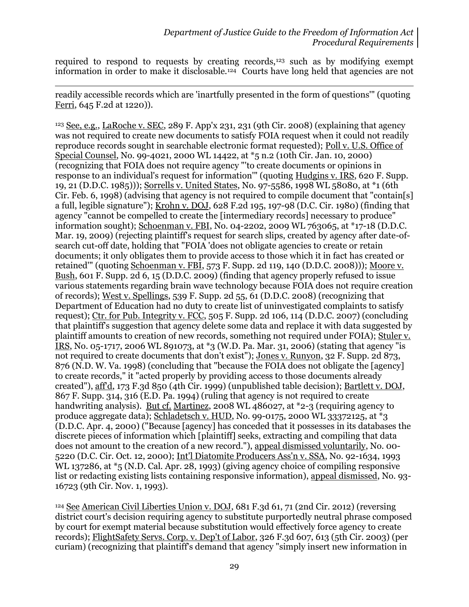required to respond to requests by creating records,<sup>123</sup> such as by modifying exempt information in order to make it disclosable.124 Courts have long held that agencies are not

readily accessible records which are 'inartfully presented in the form of questions'" (quoting Ferri, 645 F.2d at 1220)).

l

<sup>123</sup> See, e.g., LaRoche v. SEC, 289 F. App'x 231, 231 (9th Cir. 2008) (explaining that agency was not required to create new documents to satisfy FOIA request when it could not readily reproduce records sought in searchable electronic format requested); Poll v. U.S. Office of Special Counsel, No. 99-4021, 2000 WL 14422, at \*5 n.2 (10th Cir. Jan. 10, 2000) (recognizing that FOIA does not require agency "'to create documents or opinions in response to an individual's request for information'" (quoting Hudgins v. IRS, 620 F. Supp. 19, 21 (D.D.C. 1985))); Sorrells v. United States, No. 97-5586, 1998 WL 58080, at \*1 (6th Cir. Feb. 6, 1998) (advising that agency is not required to compile document that "contain[s] a full, legible signature"); Krohn v. DOJ, 628 F.2d 195, 197-98 (D.C. Cir. 1980) (finding that agency "cannot be compelled to create the [intermediary records] necessary to produce" information sought); Schoenman v. FBI, No. 04-2202, 2009 WL 763065, at \*17-18 (D.D.C. Mar. 19, 2009) (rejecting plaintiff's request for search slips, created by agency after date-ofsearch cut-off date, holding that "FOIA 'does not obligate agencies to create or retain documents; it only obligates them to provide access to those which it in fact has created or retained'" (quoting Schoenman v. FBI, 573 F. Supp. 2d 119, 140 (D.D.C. 2008))); Moore v. Bush, 601 F. Supp. 2d 6, 15 (D.D.C. 2009) (finding that agency properly refused to issue various statements regarding brain wave technology because FOIA does not require creation of records); West v. Spellings, 539 F. Supp. 2d 55, 61 (D.D.C. 2008) (recognizing that Department of Education had no duty to create list of uninvestigated complaints to satisfy request); Ctr. for Pub. Integrity v. FCC, 505 F. Supp. 2d 106, 114 (D.D.C. 2007) (concluding that plaintiff's suggestion that agency delete some data and replace it with data suggested by plaintiff amounts to creation of new records, something not required under FOIA); Stuler v. IRS, No. 05-1717, 2006 WL 891073, at \*3 (W.D. Pa. Mar. 31, 2006) (stating that agency "is not required to create documents that don't exist"); Jones v. Runyon, 32 F. Supp. 2d 873, 876 (N.D. W. Va. 1998) (concluding that "because the FOIA does not obligate the [agency] to create records," it "acted properly by providing access to those documents already created"), aff'd, 173 F.3d 850 (4th Cir. 1999) (unpublished table decision); Bartlett v. DOJ, 867 F. Supp. 314, 316 (E.D. Pa. 1994) (ruling that agency is not required to create handwriting analysis). But cf. Martinez, 2008 WL 486027, at \*2-3 (requiring agency to produce aggregate data); Schladetsch v. HUD, No. 99-0175, 2000 WL 33372125, at \*3 (D.D.C. Apr. 4, 2000) ("Because [agency] has conceded that it possesses in its databases the discrete pieces of information which [plaintiff] seeks, extracting and compiling that data does not amount to the creation of a new record."), appeal dismissed voluntarily, No. 00- 5220 (D.C. Cir. Oct. 12, 2000); Int'l Diatomite Producers Ass'n v. SSA, No. 92-1634, 1993 WL 137286, at \*5 (N.D. Cal. Apr. 28, 1993) (giving agency choice of compiling responsive list or redacting existing lists containing responsive information), appeal dismissed, No. 93- 16723 (9th Cir. Nov. 1, 1993).

<sup>124</sup> See American Civil Liberties Union v. DOJ, 681 F.3d 61, 71 (2nd Cir. 2012) (reversing district court's decision requiring agency to substitute purportedly neutral phrase composed by court for exempt material because substitution would effectively force agency to create records); FlightSafety Servs. Corp. v. Dep't of Labor, 326 F.3d 607, 613 (5th Cir. 2003) (per curiam) (recognizing that plaintiff's demand that agency "simply insert new information in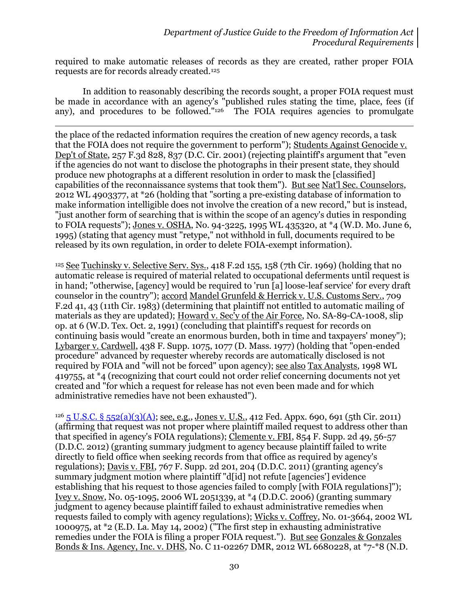required to make automatic releases of records as they are created, rather proper FOIA requests are for records already created.<sup>125</sup>

In addition to reasonably describing the records sought, a proper FOIA request must be made in accordance with an agency's "published rules stating the time, place, fees (if any), and procedures to be followed."126 The FOIA requires agencies to promulgate

 $\overline{\phantom{a}}$ the place of the redacted information requires the creation of new agency records, a task that the FOIA does not require the government to perform"); Students Against Genocide v. Dep't of State, 257 F.3d 828, 837 (D.C. Cir. 2001) (rejecting plaintiff's argument that "even" if the agencies do not want to disclose the photographs in their present state, they should produce new photographs at a different resolution in order to mask the [classified] capabilities of the reconnaissance systems that took them"). But see Nat'l Sec. Counselors, 2012 WL 4903377, at \*26 (holding that "sorting a pre-existing database of information to make information intelligible does not involve the creation of a new record," but is instead, "just another form of searching that is within the scope of an agency's duties in responding to FOIA requests"); Jones v. OSHA, No. 94-3225, 1995 WL 435320, at \*4 (W.D. Mo. June 6, 1995) (stating that agency must "retype," not withhold in full, documents required to be released by its own regulation, in order to delete FOIA-exempt information).

 $125$  See Tuchinsky v. Selective Serv. Sys., 418 F.2d 155, 158 (7th Cir. 1969) (holding that no automatic release is required of material related to occupational deferments until request is in hand; "otherwise, [agency] would be required to 'run [a] loose-leaf service' for every draft counselor in the country"); accord Mandel Grunfeld & Herrick v. U.S. Customs Serv., 709 F.2d 41, 43 (11th Cir. 1983) (determining that plaintiff not entitled to automatic mailing of materials as they are updated); Howard v. Sec'y of the Air Force, No. SA-89-CA-1008, slip op. at 6 (W.D. Tex. Oct. 2, 1991) (concluding that plaintiff's request for records on continuing basis would "create an enormous burden, both in time and taxpayers' money"); Lybarger v. Cardwell, 438 F. Supp. 1075, 1077 (D. Mass. 1977) (holding that "open-ended procedure" advanced by requester whereby records are automatically disclosed is not required by FOIA and "will not be forced" upon agency); see also Tax Analysts, 1998 WL 419755, at \*4 (recognizing that court could not order relief concerning documents not yet created and "for which a request for release has not even been made and for which administrative remedies have not been exhausted").

 $126$  [5 U.S.C. § 552\(a\)\(3\)\(A\);](http://www.justice.gov/oip/amended-foia-redlined-2010.pdf) see, e.g., Jones v. U.S., 412 Fed. Appx. 690, 691 (5th Cir. 2011) (affirming that request was not proper where plaintiff mailed request to address other than that specified in agency's FOIA regulations); Clemente v. FBI, 854 F. Supp. 2d 49, 56-57 (D.D.C. 2012) (granting summary judgment to agency because plaintiff failed to write directly to field office when seeking records from that office as required by agency's regulations); Davis v. FBI, 767 F. Supp. 2d 201, 204 (D.D.C. 2011) (granting agency's summary judgment motion where plaintiff "d[id] not refute [agencies'] evidence establishing that his request to those agencies failed to comply [with FOIA regulations]"); Ivey v. Snow, No. 05-1095, 2006 WL 2051339, at \*4 (D.D.C. 2006) (granting summary judgment to agency because plaintiff failed to exhaust administrative remedies when requests failed to comply with agency regulations); Wicks v. Coffrey, No. 01-3664, 2002 WL 1000975, at \*2 (E.D. La. May 14, 2002) ("The first step in exhausting administrative remedies under the FOIA is filing a proper FOIA request."). But see Gonzales & Gonzales Bonds & Ins. Agency, Inc. v. DHS, No. C 11-02267 DMR, 2012 WL 6680228, at \*7-\*8 (N.D.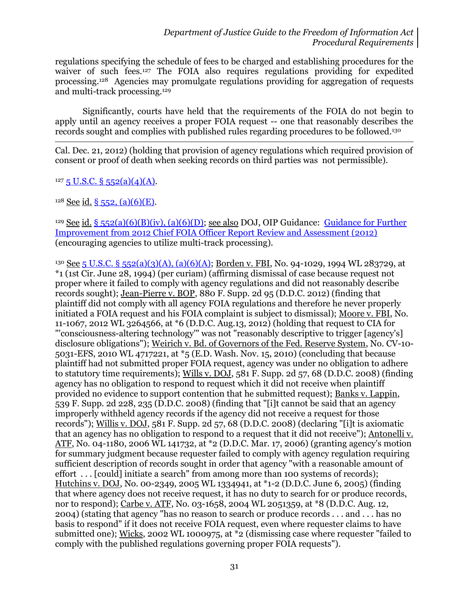regulations specifying the schedule of fees to be charged and establishing procedures for the waiver of such fees.127 The FOIA also requires regulations providing for expedited processing.128 Agencies may promulgate regulations providing for aggregation of requests and multi-track processing.<sup>129</sup>

Significantly, courts have held that the requirements of the FOIA do not begin to apply until an agency receives a proper FOIA request -- one that reasonably describes the records sought and complies with published rules regarding procedures to be followed.<sup>130</sup>

 $\overline{\phantom{a}}$ Cal. Dec. 21, 2012) (holding that provision of agency regulations which required provision of consent or proof of death when seeking records on third parties was not permissible).

 $127\overline{5}$  U.S.C. §  $552(a)(4)(A)$ .

 $128$  See id. [§ 552, \(a\)\(6\)\(E\).](http://www.justice.gov/oip/amended-foia-redlined-2010.pdf)

<sup>129</sup> See id. [§ 552\(a\)\(6\)\(B\)\(iv\), \(a\)\(6\)\(D\);](http://www.justice.gov/oip/amended-foia-redlined-2010.pdf) see also DOJ, OIP Guidance: Guidance for Further [Improvement from 2012 Chief FOIA Officer Report Review and Assessment \(2012\)](http://www.justice.gov/oip/foiapost/2012foiapost8.html) (encouraging agencies to utilize multi-track processing).

<sup>130</sup> See [5 U.S.C. § 552\(a\)\(3\)\(A\), \(a\)\(6\)\(A\);](http://www.justice.gov/oip/amended-foia-redlined-2010.pdf) Borden v. FBI, No. 94-1029, 1994 WL 283729, at \*1 (1st Cir. June 28, 1994) (per curiam) (affirming dismissal of case because request not proper where it failed to comply with agency regulations and did not reasonably describe records sought); Jean-Pierre v. BOP, 880 F. Supp. 2d 95 (D.D.C. 2012) (finding that plaintiff did not comply with all agency FOIA regulations and therefore he never properly initiated a FOIA request and his FOIA complaint is subject to dismissal); Moore v. FBI, No. 11-1067, 2012 WL 3264566, at \*6 (D.D.C. Aug.13, 2012) (holding that request to CIA for "'consciousness-altering technology'" was not "reasonably descriptive to trigger [agency's] disclosure obligations"); Weirich v. Bd. of Governors of the Fed. Reserve System, No. CV-10- 5031-EFS, 2010 WL 4717221, at \*5 (E.D. Wash. Nov. 15, 2010) (concluding that because plaintiff had not submitted proper FOIA request, agency was under no obligation to adhere to statutory time requirements); Wills v. DOJ, 581 F. Supp. 2d 57, 68 (D.D.C. 2008) (finding agency has no obligation to respond to request which it did not receive when plaintiff provided no evidence to support contention that he submitted request); Banks v. Lappin, 539 F. Supp. 2d 228, 235 (D.D.C. 2008) (finding that "[i]t cannot be said that an agency improperly withheld agency records if the agency did not receive a request for those records"); Willis v. DOJ, 581 F. Supp. 2d 57, 68 (D.D.C. 2008) (declaring "[i]t is axiomatic that an agency has no obligation to respond to a request that it did not receive"); Antonelli v. ATF, No. 04-1180, 2006 WL 141732, at \*2 (D.D.C. Mar. 17, 2006) (granting agency's motion for summary judgment because requester failed to comply with agency regulation requiring sufficient description of records sought in order that agency "with a reasonable amount of effort . . . [could] initiate a search" from among more than 100 systems of records); Hutchins v. DOJ, No. 00-2349, 2005 WL 1334941, at \*1-2 (D.D.C. June 6, 2005) (finding that where agency does not receive request, it has no duty to search for or produce records, nor to respond); Carbe v. ATF, No. 03-1658, 2004 WL 2051359, at \*8 (D.D.C. Aug. 12, 2004) (stating that agency "has no reason to search or produce records . . . and . . . has no basis to respond" if it does not receive FOIA request, even where requester claims to have submitted one); Wicks, 2002 WL 1000975, at \*2 (dismissing case where requester "failed to comply with the published regulations governing proper FOIA requests").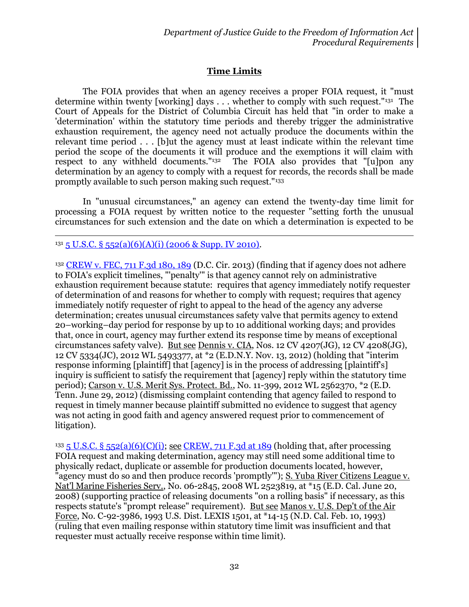# **Time Limits**

The FOIA provides that when an agency receives a proper FOIA request, it "must determine within twenty [working] days . . . whether to comply with such request."<sup>131</sup> The Court of Appeals for the District of Columbia Circuit has held that "in order to make a 'determination' within the statutory time periods and thereby trigger the administrative exhaustion requirement, the agency need not actually produce the documents within the relevant time period . . . [b]ut the agency must at least indicate within the relevant time period the scope of the documents it will produce and the exemptions it will claim with respect to any withheld documents." $132$  The FOIA also provides that "[u]pon any determination by an agency to comply with a request for records, the records shall be made promptly available to such person making such request."<sup>133</sup>

In "unusual circumstances," an agency can extend the twenty-day time limit for processing a FOIA request by written notice to the requester "setting forth the unusual circumstances for such extension and the date on which a determination is expected to be

#### l  $131\overline{5}$  U.S.C. §  $552(a)(6)(A)(i)$  (2006 & Supp. IV 2010).

<sup>132</sup> [CREW v. FEC, 711 F.3d 180, 189](http://blogs.justice.gov/court-decisions/archives/350) (D.C. Cir. 2013) (finding that if agency does not adhere to FOIA's explicit timelines, "'penalty'" is that agency cannot rely on administrative exhaustion requirement because statute: requires that agency immediately notify requester of determination of and reasons for whether to comply with request; requires that agency immediately notify requester of right to appeal to the head of the agency any adverse determination; creates unusual circumstances safety valve that permits agency to extend 20–working–day period for response by up to 10 additional working days; and provides that, once in court, agency may further extend its response time by means of exceptional circumstances safety valve). But see Dennis v. CIA, Nos. 12 CV 4207(JG), 12 CV 4208(JG), 12 CV 5334(JC), 2012 WL 5493377, at \*2 (E.D.N.Y. Nov. 13, 2012) (holding that "interim response informing [plaintiff] that [agency] is in the process of addressing [plaintiff's] inquiry is sufficient to satisfy the requirement that [agency] reply within the statutory time period); Carson v. U.S. Merit Sys. Protect. Bd., No. 11-399, 2012 WL 2562370, \*2 (E.D. Tenn. June 29, 2012) (dismissing complaint contending that agency failed to respond to request in timely manner because plaintiff submitted no evidence to suggest that agency was not acting in good faith and agency answered request prior to commencement of litigation).

<sup>133</sup> 5 U.S.C. § [552\(a\)\(6\)\(C\)\(i\);](http://www.justice.gov/oip/amended-foia-redlined-2010.pdf) see [CREW, 711 F.3d at 189](http://blogs.justice.gov/court-decisions/archives/350) (holding that, after processing FOIA request and making determination, agency may still need some additional time to physically redact, duplicate or assemble for production documents located, however, "agency must do so and then produce records 'promptly'"); S. Yuba River Citizens League v. Nat'l Marine Fisheries Serv., No. 06-2845, 2008 WL 2523819, at \*15 (E.D. Cal. June 20, 2008) (supporting practice of releasing documents "on a rolling basis" if necessary, as this respects statute's "prompt release" requirement). But see Manos v. U.S. Dep't of the Air Force, No. C-92-3986, 1993 U.S. Dist. LEXIS 1501, at \*14-15 (N.D. Cal. Feb. 10, 1993) (ruling that even mailing response within statutory time limit was insufficient and that requester must actually receive response within time limit).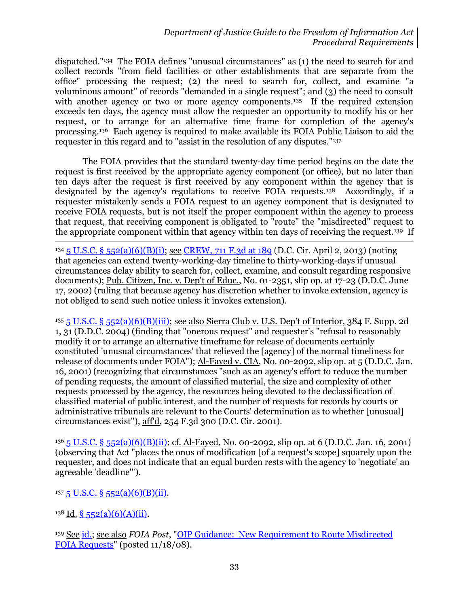dispatched." <sup>134</sup> The FOIA defines "unusual circumstances" as (1) the need to search for and collect records "from field facilities or other establishments that are separate from the office" processing the request; (2) the need to search for, collect, and examine "a voluminous amount" of records "demanded in a single request"; and (3) the need to consult with another agency or two or more agency components.<sup>135</sup> If the required extension exceeds ten days, the agency must allow the requester an opportunity to modify his or her request, or to arrange for an alternative time frame for completion of the agency's processing.136 Each agency is required to make available its FOIA Public Liaison to aid the requester in this regard and to "assist in the resolution of any disputes."<sup>137</sup>

The FOIA provides that the standard twenty-day time period begins on the date the request is first received by the appropriate agency component (or office), but no later than ten days after the request is first received by any component within the agency that is designated by the agency's regulations to receive FOIA requests.138 Accordingly, if a requester mistakenly sends a FOIA request to an agency component that is designated to receive FOIA requests, but is not itself the proper component within the agency to process that request, that receiving component is obligated to "route" the "misdirected" request to the appropriate component within that agency within ten days of receiving the request.139 If

l <sup>134</sup> 5 U.S.C. § [552\(a\)\(6\)\(B\)\(i\);](http://www.justice.gov/oip/amended-foia-redlined-2010.pdf) see [CREW, 711 F.3d at 189](http://blogs.justice.gov/court-decisions/archives/350) (D.C. Cir. April 2, 2013) (noting that agencies can extend twenty-working-day timeline to thirty-working-days if unusual circumstances delay ability to search for, collect, examine, and consult regarding responsive documents); Pub. Citizen, Inc. v. Dep't of Educ., No. 01-2351, slip op. at 17-23 (D.D.C. June 17, 2002) (ruling that because agency has discretion whether to invoke extension, agency is not obliged to send such notice unless it invokes extension).

<sup>135</sup> 5 U.S.C. § [552\(a\)\(6\)\(B\)\(iii\);](http://www.justice.gov/oip/amended-foia-redlined-2010.pdf) see also Sierra Club v. U.S. Dep't of Interior, 384 F. Supp. 2d 1, 31 (D.D.C. 2004) (finding that "onerous request" and requester's "refusal to reasonably modify it or to arrange an alternative timeframe for release of documents certainly constituted 'unusual circumstances' that relieved the [agency] of the normal timeliness for release of documents under FOIA"); Al-Fayed v. CIA, No. 00-2092, slip op. at 5 (D.D.C. Jan. 16, 2001) (recognizing that circumstances "such as an agency's effort to reduce the number of pending requests, the amount of classified material, the size and complexity of other requests processed by the agency, the resources being devoted to the declassification of classified material of public interest, and the number of requests for records by courts or administrative tribunals are relevant to the Courts' determination as to whether [unusual] circumstances exist"), aff'd, 254 F.3d 300 (D.C. Cir. 2001).

<sup>136</sup> 5 U.S.C. § [552\(a\)\(6\)\(B\)\(ii\);](http://www.justice.gov/oip/amended-foia-redlined-2010.pdf) cf. Al-Fayed, No. 00-2092, slip op. at 6 (D.D.C. Jan. 16, 2001) (observing that Act "places the onus of modification [of a request's scope] squarely upon the requester, and does not indicate that an equal burden rests with the agency to 'negotiate' an agreeable 'deadline'").

 $137.5$  U.S.C. § 552(a)(6)(B)(ii).

 $138$  Id. § [552\(a\)\(6\)\(A\)\(ii\).](http://www.justice.gov/oip/amended-foia-redlined-2010.pdf)

<sup>139</sup> See [id.;](http://www.justice.gov/oip/amended-foia-redlined-2010.pdf) see also *FOIA Post*, ["OIP Guidance: New Requirement to Route Misdirected](http://www.justice.gov/oip/foiapost/2008foiapost31.htm)  [FOIA Requests"](http://www.justice.gov/oip/foiapost/2008foiapost31.htm) (posted 11/18/08).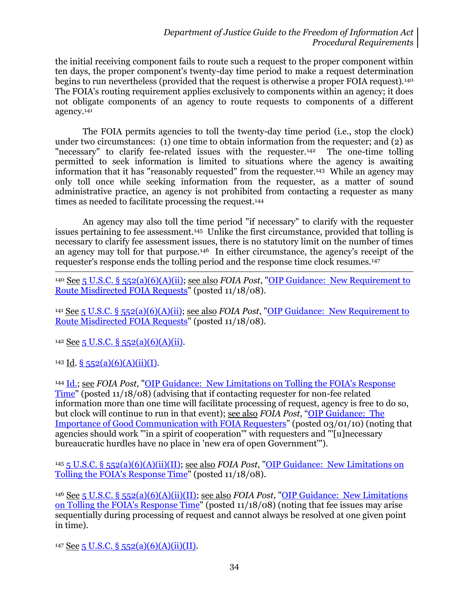the initial receiving component fails to route such a request to the proper component within ten days, the proper component's twenty-day time period to make a request determination begins to run nevertheless (provided that the request is otherwise a proper FOIA request).<sup>140</sup> The FOIA's routing requirement applies exclusively to components within an agency; it does not obligate components of an agency to route requests to components of a different agency.<sup>141</sup>

The FOIA permits agencies to toll the twenty-day time period (i.e., stop the clock) under two circumstances: (1) one time to obtain information from the requester; and (2) as "necessary" to clarify fee-related issues with the requester.142 The one-time tolling permitted to seek information is limited to situations where the agency is awaiting information that it has "reasonably requested" from the requester.143 While an agency may only toll once while seeking information from the requester, as a matter of sound administrative practice, an agency is not prohibited from contacting a requester as many times as needed to facilitate processing the request.<sup>144</sup>

An agency may also toll the time period "if necessary" to clarify with the requester issues pertaining to fee assessment.<sup>145</sup> Unlike the first circumstance, provided that tolling is necessary to clarify fee assessment issues, there is no statutory limit on the number of times an agency may toll for that purpose.146 In either circumstance, the agency's receipt of the requester's response ends the tolling period and the response time clock resumes.<sup>147</sup>

 $\overline{a}$ <sup>140</sup> See 5 U.S.C. § [552\(a\)\(6\)\(A\)\(ii\);](http://www.justice.gov/oip/amended-foia-redlined-2010.pdf) see also *FOIA Post*, ["OIP Guidance: New Requirement to](http://www.justice.gov/oip/foiapost/2008foiapost31.htm)  [Route Misdirected FOIA Requests"](http://www.justice.gov/oip/foiapost/2008foiapost31.htm) (posted 11/18/08).

<sup>141</sup> See 5 U.S.C. § [552\(a\)\(6\)\(A\)\(ii\);](http://www.justice.gov/oip/amended-foia-redlined-2010.pdf) see also *FOIA Post*, ["OIP Guidance: New Requirement to](http://www.justice.gov/oip/foiapost/2008foiapost31.htm)  [Route Misdirected FOIA Requests"](http://www.justice.gov/oip/foiapost/2008foiapost31.htm) (posted 11/18/08).

 $142$  See 5 U.S.C. § [552\(a\)\(6\)\(A\)\(ii\).](http://www.justice.gov/oip/amended-foia-redlined-2010.pdf)

143 Id.  $\S$  552(a)(6)(A)(ii)(I).

<sup>144</sup> [Id.;](http://www.justice.gov/oip/amended-foia-redlined-2010.pdf) see *FOIA Post*, ["OIP Guidance: New Limitations on Tolling the FOIA's Response](http://www.justice.gov/oip/foiapost/2008foiapost29.htm)  [Time"](http://www.justice.gov/oip/foiapost/2008foiapost29.htm) (posted 11/18/08) (advising that if contacting requester for non-fee related information more than one time will facilitate processing of request, agency is free to do so, but clock will continue to run in that event); see also *FOIA Post*, "[OIP Guidance:](http://www.justice.gov/oip/foiapost/2010foiapost5.htm) The [Importance of Good Communication with FOIA Requesters](http://www.justice.gov/oip/foiapost/2010foiapost5.htm)" (posted 03/01/10) (noting that agencies should work "'in a spirit of cooperation'" with requesters and "'[u]necessary bureaucratic hurdles have no place in 'new era of open Government'").

<sup>145</sup> [5 U.S.C. § 552\(a\)\(6\)\(A\)\(ii\)\(II\);](http://www.justice.gov/oip/amended-foia-redlined-2010.pdf) see also *FOIA Post*, ["OIP Guidance: New Limitations on](http://www.justice.gov/oip/foiapost/2008foiapost29.htm)  [Tolling the FOIA's Response Time"](http://www.justice.gov/oip/foiapost/2008foiapost29.htm) (posted 11/18/08).

<sup>146</sup> See [5 U.S.C. § 552\(a\)\(6\)\(A\)\(ii\)\(II\);](http://www.justice.gov/oip/amended-foia-redlined-2010.pdf) see also *FOIA Post*, ["OIP Guidance: New Limitations](http://www.justice.gov/oip/foiapost/2008foiapost29.htm)  [on Tolling the FOIA's Response Time"](http://www.justice.gov/oip/foiapost/2008foiapost29.htm) (posted 11/18/08) (noting that fee issues may arise sequentially during processing of request and cannot always be resolved at one given point in time).

 $147$  See [5 U.S.C. § 552\(a\)\(6\)\(A\)\(ii\)\(II\).](http://www.justice.gov/oip/amended-foia-redlined-2010.pdf)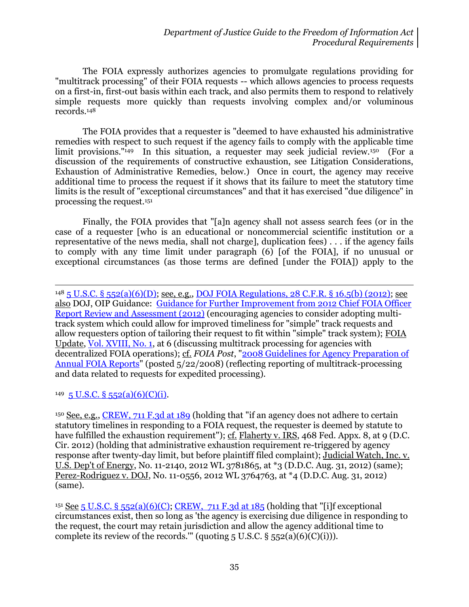The FOIA expressly authorizes agencies to promulgate regulations providing for "multitrack processing" of their FOIA requests -- which allows agencies to process requests on a first-in, first-out basis within each track, and also permits them to respond to relatively simple requests more quickly than requests involving complex and/or voluminous records.<sup>148</sup>

The FOIA provides that a requester is "deemed to have exhausted his administrative remedies with respect to such request if the agency fails to comply with the applicable time limit provisions."<sup>149</sup> In this situation, a requester may seek judicial review.<sup>150</sup> (For a discussion of the requirements of constructive exhaustion, see Litigation Considerations, Exhaustion of Administrative Remedies, below.) Once in court, the agency may receive additional time to process the request if it shows that its failure to meet the statutory time limits is the result of "exceptional circumstances" and that it has exercised "due diligence" in processing the request.<sup>151</sup>

Finally, the FOIA provides that "[a]n agency shall not assess search fees (or in the case of a requester [who is an educational or noncommercial scientific institution or a representative of the news media, shall not charge], duplication fees) . . . if the agency fails to comply with any time limit under paragraph (6) [of the FOIA], if no unusual or exceptional circumstances (as those terms are defined [under the FOIA]) apply to the

<sup>148</sup> 5 U.S.C. § [552\(a\)\(6\)\(D\);](http://www.justice.gov/oip/amended-foia-redlined-2010.pdf) see, e.g., [DOJ FOIA Regulations, 28](http://www.gpo.gov/fdsys/pkg/CFR-2012-title28-vol1/xml/CFR-2012-title28-vol1.xml#seqnum16.5) C.F.R. § 16.5(b) (2012); see also DOJ, OIP Guidance: [Guidance for Further Improvement from 2012 Chief FOIA Officer](http://www.justice.gov/oip/foiapost/2012foiapost8.html)  [Report Review and Assessment \(2012\)](http://www.justice.gov/oip/foiapost/2012foiapost8.html) (encouraging agencies to consider adopting multitrack system which could allow for improved timeliness for "simple" track requests and allow requesters option of tailoring their request to fit within "simple" track system); FOIA Update, [Vol. XVIII, No. 1,](http://www.justice.gov/oip/foia_updates/Vol_XVIII_1/page3.htm) at 6 (discussing multitrack processing for agencies with decentralized FOIA operations); cf. *FOIA Post*, "2008 [Guidelines for Agency Preparation of](http://www.justice.gov/oip/foiapost/guidance-annualreport-052008.pdf)  [Annual FOIA Reports"](http://www.justice.gov/oip/foiapost/guidance-annualreport-052008.pdf) (posted 5/22/2008) (reflecting reporting of multitrack-processing and data related to requests for expedited processing).

 $149\,5$  U.S.C. § 552(a)(6)(C)(i).

 $\overline{a}$ 

<sup>150</sup> See, e.g., [CREW, 711 F.3d at 189](http://blogs.justice.gov/court-decisions/archives/350) (holding that "if an agency does not adhere to certain statutory timelines in responding to a FOIA request, the requester is deemed by statute to have fulfilled the exhaustion requirement"); cf. Flaherty v. IRS, 468 Fed. Appx. 8, at 9 (D.C. Cir. 2012) (holding that administrative exhaustion requirement re-triggered by agency response after twenty-day limit, but before plaintiff filed complaint); Judicial Watch, Inc. v. U.S. Dep't of Energy, No. 11-2140, 2012 WL 3781865, at \*3 (D.D.C. Aug. 31, 2012) (same); Perez-Rodriguez v. DOJ, No. 11-0556, 2012 WL 3764763, at \*4 (D.D.C. Aug. 31, 2012) (same).

<sup>151</sup> See 5 U.S.C. § [552\(a\)\(6\)\(C\);](http://www.justice.gov/oip/amended-foia-redlined-2010.pdf) CREW, 711 F.3d at  $185$  (holding that "[i]f exceptional circumstances exist, then so long as 'the agency is exercising due diligence in responding to the request, the court may retain jurisdiction and allow the agency additional time to complete its review of the records.'" (quoting 5 U.S.C.  $\S$  552(a)(6)(C)(i))).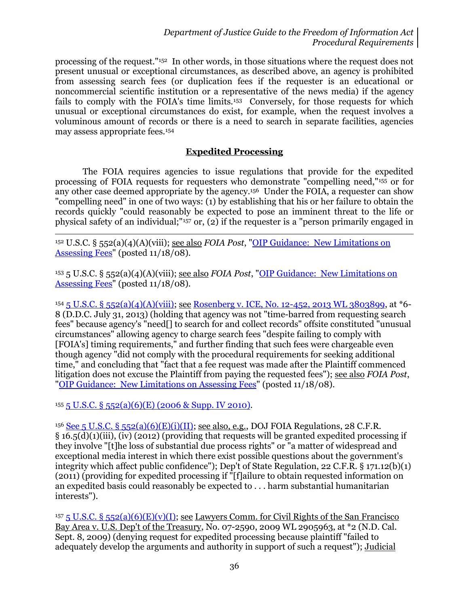processing of the request."152 In other words, in those situations where the request does not present unusual or exceptional circumstances, as described above, an agency is prohibited from assessing search fees (or duplication fees if the requester is an educational or noncommercial scientific institution or a representative of the news media) if the agency fails to comply with the FOIA's time limits.<sup>153</sup> Conversely, for those requests for which unusual or exceptional circumstances do exist, for example, when the request involves a voluminous amount of records or there is a need to search in separate facilities, agencies may assess appropriate fees.<sup>154</sup>

### **Expedited Processing**

The FOIA requires agencies to issue regulations that provide for the expedited processing of FOIA requests for requesters who demonstrate "compelling need,"<sup>155</sup> or for any other case deemed appropriate by the agency.156 Under the FOIA, a requester can show "compelling need" in one of two ways: (1) by establishing that his or her failure to obtain the records quickly "could reasonably be expected to pose an imminent threat to the life or physical safety of an individual;"<sup>157</sup> or, (2) if the requester is a "person primarily engaged in

<sup>152</sup> U.S.C. § 552(a)(4)(A)(viii); see also *FOIA Post*, ["OIP Guidance: New Limitations on](http://www.justice.gov/oip/foiapost/2008foiapost28.htm)  [Assessing Fees"](http://www.justice.gov/oip/foiapost/2008foiapost28.htm) (posted 11/18/08).

<sup>153</sup> 5 U.S.C. § 552(a)(4)(A)(viii); see also *FOIA Post*, ["OIP Guidance: New Limitations on](http://www.justice.gov/oip/foiapost/2008foiapost28.htm)  [Assessing Fees"](http://www.justice.gov/oip/foiapost/2008foiapost28.htm) (posted  $11/18/08$ ).

<sup>154</sup> 5 U.S.C. § [552\(a\)\(4\)\(A\)\(viii\);](http://www.justice.gov/oip/amended-foia-redlined-2010.pdf) see [Rosenberg v. ICE, No. 12-452, 2013 WL 3803899,](http://blogs.justice.gov/court-decisions/archives/789) at \*6- 8 (D.D.C. July 31, 2013) (holding that agency was not "time-barred from requesting search fees" because agency's "need[] to search for and collect records" offsite constituted "unusual circumstances" allowing agency to charge search fees "despite failing to comply with [FOIA's] timing requirements," and further finding that such fees were chargeable even though agency "did not comply with the procedural requirements for seeking additional time," and concluding that "fact that a fee request was made after the Plaintiff commenced litigation does not excuse the Plaintiff from paying the requested fees"); see also *FOIA Post*, ["OIP Guidance: New Limitations on Assessing Fees"](http://www.justice.gov/oip/foiapost/2008foiapost28.htm) (posted 11/18/08).

 $155\,5$  U.S.C. § [552\(a\)\(6\)\(E\) \(2006 & Supp. IV 2010\).](http://www.justice.gov/oip/amended-foia-redlined-2010.pdf)

 $\overline{a}$ 

<sup>156</sup> See 5 U.S.C. § [552\(a\)\(6\)\(E\)\(i\)\(II\);](http://www.justice.gov/oip/amended-foia-redlined-2010.pdf) see also, e.g., DOJ FOIA Regulations, 28 C.F.R. § 16.5(d)(1)(iii), (iv) (2012) (providing that requests will be granted expedited processing if they involve "[t]he loss of substantial due process rights" or "a matter of widespread and exceptional media interest in which there exist possible questions about the government's integrity which affect public confidence"); Dep't of State Regulation, 22 C.F.R. § 171.12(b)(1) (2011) (providing for expedited processing if "[f]ailure to obtain requested information on an expedited basis could reasonably be expected to . . . harm substantial humanitarian interests").

<sup>157</sup> 5 U.S.C. § [552\(a\)\(6\)\(E\)\(v\)\(I\);](http://www.justice.gov/oip/amended-foia-redlined-2010.pdf) see Lawyers Comm. for Civil Rights of the San Francisco Bay Area v. U.S. Dep't of the Treasury, No. 07-2590, 2009 WL 2905963, at \*2 (N.D. Cal. Sept. 8, 2009) (denying request for expedited processing because plaintiff "failed to adequately develop the arguments and authority in support of such a request"); Judicial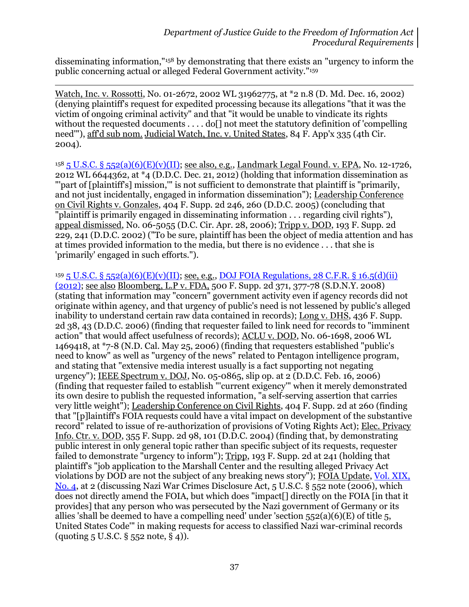disseminating information,"<sup>158</sup> by demonstrating that there exists an "urgency to inform the public concerning actual or alleged Federal Government activity." 159

Watch, Inc. v. Rossotti, No. 01-2672, 2002 WL 31962775, at \*2 n.8 (D. Md. Dec. 16, 2002) (denying plaintiff's request for expedited processing because its allegations "that it was the victim of ongoing criminal activity" and that "it would be unable to vindicate its rights without the requested documents . . . . do<sup>[]</sup> not meet the statutory definition of 'compelling' need'"), aff'd sub nom. Judicial Watch, Inc. v. United States, 84 F. App'x 335 (4th Cir. 2004).

 $\overline{a}$ 

 $158\,5\,$  U.S.C. § [552\(a\)\(6\)\(E\)\(v\)\(II\);](http://www.justice.gov/oip/amended-foia-redlined-2010.pdf) see also, e.g., Landmark Legal Found. v. EPA, No. 12-1726, 2012 WL 6644362, at  $*$ 4 (D.D.C. Dec. 21, 2012) (holding that information dissemination as "'part of [plaintiff's] mission,'" is not sufficient to demonstrate that plaintiff is "primarily, and not just incidentally, engaged in information dissemination"); Leadership Conference on Civil Rights v. Gonzales, 404 F. Supp. 2d 246, 260 (D.D.C. 2005) (concluding that "plaintiff is primarily engaged in disseminating information . . . regarding civil rights"), appeal dismissed, No. 06-5055 (D.C. Cir. Apr. 28, 2006); Tripp v. DOD, 193 F. Supp. 2d 229, 241 (D.D.C. 2002) ("To be sure, plaintiff has been the object of media attention and has at times provided information to the media, but there is no evidence . . . that she is 'primarily' engaged in such efforts.").

 $159\overline{5}$  U.S.C. §  $552(a)(6)(E)(v)(II)$ ; see, e.g., [DOJ FOIA Regulations, 28](http://www.gpo.gov/fdsys/pkg/CFR-2012-title28-vol1/xml/CFR-2012-title28-vol1.xml#seqnum16.5) C.F.R. § 16.5(d)(ii) [\(2012\);](http://www.gpo.gov/fdsys/pkg/CFR-2012-title28-vol1/xml/CFR-2012-title28-vol1.xml#seqnum16.5) see also Bloomberg, L.P v. FDA, 500 F. Supp. 2d 371, 377-78 (S.D.N.Y. 2008) (stating that information may "concern" government activity even if agency records did not originate within agency, and that urgency of public's need is not lessened by public's alleged inability to understand certain raw data contained in records); Long v. DHS, 436 F. Supp. 2d 38, 43 (D.D.C. 2006) (finding that requester failed to link need for records to "imminent action" that would affect usefulness of records); ACLU v. DOD, No. 06-1698, 2006 WL 1469418, at \*7-8 (N.D. Cal. May 25, 2006) (finding that requesters established "public's need to know" as well as "urgency of the news" related to Pentagon intelligence program, and stating that "extensive media interest usually is a fact supporting not negating urgency"); IEEE Spectrum v. DOJ, No. 05-0865, slip op. at 2 (D.D.C. Feb. 16, 2006) (finding that requester failed to establish "'current exigency'" when it merely demonstrated its own desire to publish the requested information, "a self-serving assertion that carries very little weight"); Leadership Conference on Civil Rights, 404 F. Supp. 2d at 260 (finding that "[p]laintiff's FOIA requests could have a vital impact on development of the substantive record" related to issue of re-authorization of provisions of Voting Rights Act); Elec. Privacy Info. Ctr. v. DOD, 355 F. Supp. 2d 98, 101 (D.D.C. 2004) (finding that, by demonstrating public interest in only general topic rather than specific subject of its requests, requester failed to demonstrate "urgency to inform"); Tripp, 193 F. Supp. 2d at 241 (holding that plaintiff's "job application to the Marshall Center and the resulting alleged Privacy Act violations by DOD are not the subject of any breaking news story"); FOIA Update, [Vol. XIX,](http://www.justice.gov/oip/foia_updates/Vol_XIX_4/page2.htm)  [No. 4,](http://www.justice.gov/oip/foia_updates/Vol_XIX_4/page2.htm) at 2 (discussing Nazi War Crimes Disclosure Act, 5 U.S.C. § 552 note (2006), which does not directly amend the FOIA, but which does "impact[] directly on the FOIA [in that it provides] that any person who was persecuted by the Nazi government of Germany or its allies 'shall be deemed to have a compelling need' under 'section  $552(a)(6)(E)$  of title 5, United States Code'" in making requests for access to classified Nazi war-criminal records (quoting 5 U.S.C. § 552 note, § 4)).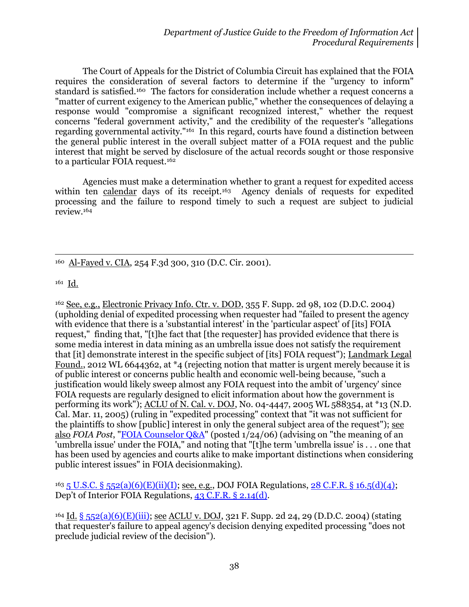The Court of Appeals for the District of Columbia Circuit has explained that the FOIA requires the consideration of several factors to determine if the "urgency to inform" standard is satisfied.160 The factors for consideration include whether a request concerns a "matter of current exigency to the American public," whether the consequences of delaying a response would "compromise a significant recognized interest," whether the request concerns "federal government activity," and the credibility of the requester's "allegations regarding governmental activity."<sup>161</sup> In this regard, courts have found a distinction between the general public interest in the overall subject matter of a FOIA request and the public interest that might be served by disclosure of the actual records sought or those responsive to a particular FOIA request.<sup>162</sup>

Agencies must make a determination whether to grant a request for expedited access within ten calendar days of its receipt.163 Agency denials of requests for expedited processing and the failure to respond timely to such a request are subject to judicial review.<sup>164</sup>

l <sup>160</sup> Al-Fayed v. CIA, 254 F.3d 300, 310 (D.C. Cir. 2001).

 $161 \underline{Id.}$ 

<sup>162</sup> See, e.g., Electronic Privacy Info. Ctr. v. DOD, 355 F. Supp. 2d 98, 102 (D.D.C. 2004) (upholding denial of expedited processing when requester had "failed to present the agency with evidence that there is a 'substantial interest' in the 'particular aspect' of [its] FOIA request," finding that, "[t]he fact that [the requester] has provided evidence that there is some media interest in data mining as an umbrella issue does not satisfy the requirement that [it] demonstrate interest in the specific subject of [its] FOIA request"); Landmark Legal Found., 2012 WL 6644362, at \*4 (rejecting notion that matter is urgent merely because it is of public interest or concerns public health and economic well-being because, "such a justification would likely sweep almost any FOIA request into the ambit of 'urgency' since FOIA requests are regularly designed to elicit information about how the government is performing its work"); ACLU of N. Cal. v. DOJ, No. 04-4447, 2005 WL 588354, at  $*13$  (N.D. Cal. Mar. 11, 2005) (ruling in "expedited processing" context that "it was not sufficient for the plaintiffs to show [public] interest in only the general subject area of the request"); see also *FOIA Post*, "FOIA Counselor Q&A" (posted 1/24/06) (advising on "the meaning of an 'umbrella issue' [under the FOIA," and n](http://www.justice.gov/oip/foiapost/2006foiapost3.htm)oting that "[t]he term 'umbrella issue' is . . . one that has been used by agencies and courts alike to make important distinctions when considering public interest issues" in FOIA decisionmaking).

<sup>163</sup> 5 U.S.C. § 552(a)(6)(E)(ii)(I); see, e.g., DOJ FOIA Regulations, 28 C.F.R. § 16.5(d)(4); Dep't of [Interior FOIA Regulatio](http://www.justice.gov/oip/amended-foia-redlined-2010.pdf)ns, 43 C.F.R. § 2.14(d).

<sup>164</sup> Id. [§ 552\(a\)\(6\)\(E\)\(iii\);](http://www.justice.gov/oip/amended-foia-redlined-2010.pdf) <u>see ACLU v. DOJ</u>, 321 F. Supp. 2d 24, 29 (D.D.C. 2004) (stating that requester's failure to appeal agency's decision denying expedited processing "does not preclude judicial review of the decision").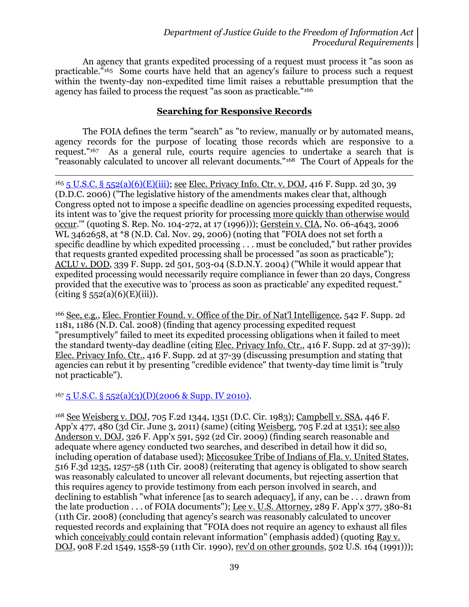An agency that grants expedited processing of a request must process it "as soon as practicable."<sup>165</sup> Some courts have held that an agency's failure to process such a request within the twenty-day non-expedited time limit raises a rebuttable presumption that the agency has failed to process the request "as soon as practicable."<sup>166</sup>

#### **Searching for Responsive Records**

The FOIA defines the term "search" as "to review, manually or by automated means, agency records for the purpose of locating those records which are responsive to a request."<sup>167</sup> As a general rule, courts require agencies to undertake a search that is "reasonably calculated to uncover all relevant documents."168 The Court of Appeals for the

l <sup>165</sup> [5 U.S.C. § 552\(a\)\(6\)\(E\)\(iii\);](http://www.justice.gov/oip/amended-foia-redlined-2010.pdf) see Elec. Privacy Info. Ctr. v. DOJ, 416 F. Supp. 2d 30, 39 (D.D.C. 2006) ("The legislative history of the amendments makes clear that, although Congress opted not to impose a specific deadline on agencies processing expedited requests, its intent was to 'give the request priority for processing more quickly than otherwise would occur.'" (quoting S. Rep. No. 104-272, at 17 (1996))); Gerstein v. CIA, No. 06-4643, 2006 WL 3462658, at \*8 (N.D. Cal. Nov. 29, 2006) (noting that "FOIA does not set forth a specific deadline by which expedited processing . . . must be concluded," but rather provides that requests granted expedited processing shall be processed "as soon as practicable"); ACLU v. DOD, 339 F. Supp. 2d 501, 503-04 (S.D.N.Y. 2004) ("While it would appear that expedited processing would necessarily require compliance in fewer than 20 days, Congress provided that the executive was to 'process as soon as practicable' any expedited request."  $(citing § 552(a)(6)(E)(iii)).$ 

<sup>166</sup> See, e.g., Elec. Frontier Found. v. Office of the Dir. of Nat'l Intelligence, 542 F. Supp. 2d 1181, 1186 (N.D. Cal. 2008) (finding that agency processing expedited request "presumptively" failed to meet its expedited processing obligations when it failed to meet the standard twenty-day deadline (citing Elec. Privacy Info. Ctr., 416 F. Supp. 2d at 37-39)); Elec. Privacy Info. Ctr., 416 F. Supp. 2d at 37-39 (discussing presumption and stating that agencies can rebut it by presenting "credible evidence" that twenty-day time limit is "truly not practicable").

 $167 5$  U.S.C. § [552\(a\)\(3\)\(D\)\(2006 & Supp. IV 2010\).](http://www.justice.gov/oip/amended-foia-redlined-2010.pdf)

<sup>168</sup> See Weisberg v. DOJ, 705 F.2d 1344, 1351 (D.C. Cir. 1983); Campbell v. SSA, 446 F. App'x 477, 480 (3d Cir. June 3, 2011) (same) (citing Weisberg, 705 F.2d at 1351); see also Anderson v. DOJ, 326 F. App'x 591, 592 (2d Cir. 2009) (finding search reasonable and adequate where agency conducted two searches, and described in detail how it did so, including operation of database used); Miccosukee Tribe of Indians of Fla. v. United States, 516 F.3d 1235, 1257-58 (11th Cir. 2008) (reiterating that agency is obligated to show search was reasonably calculated to uncover all relevant documents, but rejecting assertion that this requires agency to provide testimony from each person involved in search, and declining to establish "what inference [as to search adequacy], if any, can be . . . drawn from the late production . . . of FOIA documents"); Lee v. U.S. Attorney, 289 F. App'x 377, 380-81 (11th Cir. 2008) (concluding that agency's search was reasonably calculated to uncover requested records and explaining that "FOIA does not require an agency to exhaust all files which conceivably could contain relevant information" (emphasis added) (quoting Ray v. DOJ, 908 F.2d 1549, 1558-59 (11th Cir. 1990), rev'd on other grounds, 502 U.S. 164 (1991)));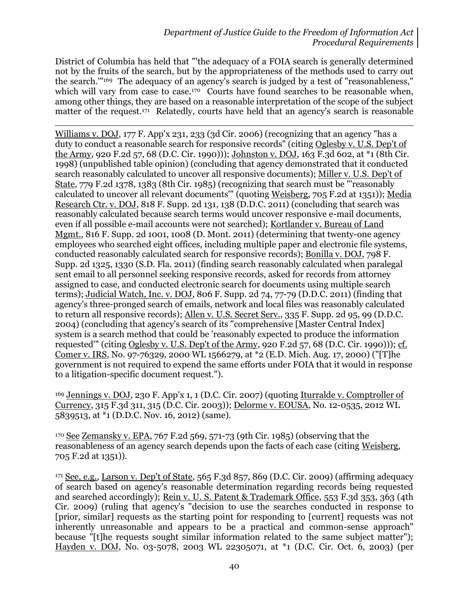District of Columbia has held that "'the adequacy of a FOIA search is generally determined not by the fruits of the search, but by the appropriateness of the methods used to carry out the search.'" <sup>169</sup> The adequacy of an agency's search is judged by a test of "reasonableness," which will vary from case to case.<sup>170</sup> Courts have found searches to be reasonable when, among other things, they are based on a reasonable interpretation of the scope of the subject matter of the request.<sup>171</sup> Relatedly, courts have held that an agency's search is reasonable

l Williams v. DOJ, 177 F. App'x 231, 233 (3d Cir. 2006) (recognizing that an agency "has a duty to conduct a reasonable search for responsive records" (citing Oglesby v. U.S. Dep't of the Army, 920 F.2d 57, 68 (D.C. Cir. 1990))); Johnston v. DOJ, 163 F.3d 602, at \*1 (8th Cir. 1998) (unpublished table opinion) (concluding that agency demonstrated that it conducted search reasonably calculated to uncover all responsive documents); Miller v. U.S. Dep't of State, 779 F.2d 1378, 1383 (8th Cir. 1985) (recognizing that search must be "'reasonably calculated to uncover all relevant documents'" (quoting Weisberg, 705 F.2d at 1351)); Media Research Ctr. v. DOJ, 818 F. Supp. 2d 131, 138 (D.D.C. 2011) (concluding that search was reasonably calculated because search terms would uncover responsive e-mail documents, even if all possible e-mail accounts were not searched); Kortlander v. Bureau of Land Mgmt., 816 F. Supp. 2d 1001, 1008 (D. Mont. 2011) (determining that twenty-one agency employees who searched eight offices, including multiple paper and electronic file systems, conducted reasonably calculated search for responsive records); Bonilla v. DOJ, 798 F. Supp. 2d 1325, 1330 (S.D. Fla. 2011) (finding search reasonably calculated when paralegal sent email to all personnel seeking responsive records, asked for records from attorney assigned to case, and conducted electronic search for documents using multiple search terms); Judicial Watch, Inc. v. DOJ, 806 F. Supp. 2d 74, 77-79 (D.D.C. 2011) (finding that agency's three-pronged search of emails, network and local files was reasonably calculated to return all responsive records); Allen v. U.S. Secret Serv., 335 F. Supp. 2d 95, 99 (D.D.C. 2004) (concluding that agency's search of its "comprehensive [Master Central Index] system is a search method that could be 'reasonably expected to produce the information requested'" (citing Oglesby v. U.S. Dep't of the Army, 920 F.2d 57, 68 (D.C. Cir. 1990))); cf. Comer v. IRS, No. 97-76329, 2000 WL 1566279, at \*2 (E.D. Mich. Aug. 17, 2000) ("[T]he government is not required to expend the same efforts under FOIA that it would in response to a litigation-specific document request.").

<sup>169</sup> Jennings v. DOJ, 230 F. App'x 1, 1 (D.C. Cir. 2007) (quoting Iturralde v. Comptroller of Currency, 315 F.3d 311, 315 (D.C. Cir. 2003)); Delorme v. EOUSA, No. 12-0535, 2012 WL 5839513, at \*1 (D.D.C. Nov. 16, 2012) (same).

<sup>170</sup> See Zemansky v. EPA, 767 F.2d 569, 571-73 (9th Cir. 1985) (observing that the reasonableness of an agency search depends upon the facts of each case (citing Weisberg, 705 F.2d at 1351)).

<sup>171</sup> See, e.g., Larson v. Dep't of State, 565 F.3d 857, 869 (D.C. Cir. 2009) (affirming adequacy of search based on agency's reasonable determination regarding records being requested and searched accordingly); Rein v. U. S. Patent & Trademark Office, 553 F.3d 353, 363 (4th Cir. 2009) (ruling that agency's "decision to use the searches conducted in response to [prior, similar] requests as the starting point for responding to [current] requests was not inherently unreasonable and appears to be a practical and common-sense approach" because "[t]he requests sought similar information related to the same subject matter"); Hayden v. DOJ, No. 03-5078, 2003 WL 22305071, at \*1 (D.C. Cir. Oct. 6, 2003) (per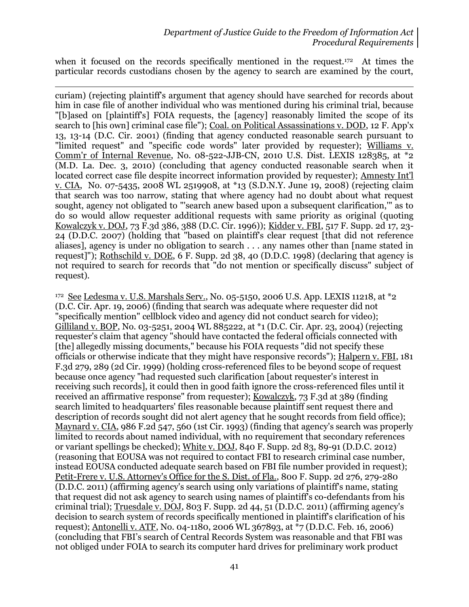when it focused on the records specifically mentioned in the request.<sup>172</sup> At times the particular records custodians chosen by the agency to search are examined by the court,

 $\overline{a}$ curiam) (rejecting plaintiff's argument that agency should have searched for records about him in case file of another individual who was mentioned during his criminal trial, because "[b]ased on [plaintiff's] FOIA requests, the [agency] reasonably limited the scope of its search to [his own] criminal case file"); Coal. on Political Assassinations v. DOD, 12 F. App'x 13, 13-14 (D.C. Cir. 2001) (finding that agency conducted reasonable search pursuant to "limited request" and "specific code words" later provided by requester); Williams v. Comm'r of Internal Revenue, No. 08-522-JJB-CN, 2010 U.S. Dist. LEXIS 128385, at \*2 (M.D. La. Dec. 3, 2010) (concluding that agency conducted reasonable search when it located correct case file despite incorrect information provided by requester); Amnesty Int'l v. CIA, No. 07-5435, 2008 WL 2519908, at \*13 (S.D.N.Y. June 19, 2008) (rejecting claim that search was too narrow, stating that where agency had no doubt about what request sought, agency not obligated to "'search anew based upon a subsequent clarification,'" as to do so would allow requester additional requests with same priority as original (quoting Kowalczyk v. DOJ, 73 F.3d 386, 388 (D.C. Cir. 1996)); Kidder v. FBI, 517 F. Supp. 2d 17, 23- 24 (D.D.C. 2007) (holding that "based on plaintiff's clear request [that did not reference aliases], agency is under no obligation to search . . . any names other than [name stated in request]"); Rothschild v. DOE, 6 F. Supp. 2d 38, 40 (D.D.C. 1998) (declaring that agency is not required to search for records that "do not mention or specifically discuss" subject of request).

<sup>172</sup> See Ledesma v. U.S. Marshals Serv., No. 05-5150, 2006 U.S. App. LEXIS 11218, at \*2 (D.C. Cir. Apr. 19, 2006) (finding that search was adequate where requester did not "specifically mention" cellblock video and agency did not conduct search for video); Gilliland v. BOP, No. 03-5251, 2004 WL 885222, at \*1 (D.C. Cir. Apr. 23, 2004) (rejecting requester's claim that agency "should have contacted the federal officials connected with [the] allegedly missing documents," because his FOIA requests "did not specify these officials or otherwise indicate that they might have responsive records"); Halpern v. FBI, 181 F.3d 279, 289 (2d Cir. 1999) (holding cross-referenced files to be beyond scope of request because once agency "had requested such clarification [about requester's interest in receiving such records], it could then in good faith ignore the cross-referenced files until it received an affirmative response" from requester); Kowalczyk, 73 F.3d at 389 (finding search limited to headquarters' files reasonable because plaintiff sent request there and description of records sought did not alert agency that he sought records from field office); Maynard v. CIA, 986 F.2d 547, 560 (1st Cir. 1993) (finding that agency's search was properly limited to records about named individual, with no requirement that secondary references or variant spellings be checked); White v. DOJ, 840 F. Supp. 2d 83, 89-91 (D.D.C. 2012) (reasoning that EOUSA was not required to contact FBI to research criminal case number, instead EOUSA conducted adequate search based on FBI file number provided in request); Petit-Frere v. U.S. Attorney's Office for the S. Dist. of Fla., 800 F. Supp. 2d 276, 279-280 (D.D.C. 2011) (affirming agency's search using only variations of plaintiff's name, stating that request did not ask agency to search using names of plaintiff's co-defendants from his criminal trial); Truesdale v. DOJ, 803 F. Supp. 2d 44, 51 (D.D.C. 2011) (affirming agency's decision to search system of records specifically mentioned in plaintiff's clarification of his request); Antonelli v. ATF, No. 04-1180, 2006 WL 367893, at \*7 (D.D.C. Feb. 16, 2006) (concluding that FBI's search of Central Records System was reasonable and that FBI was not obliged under FOIA to search its computer hard drives for preliminary work product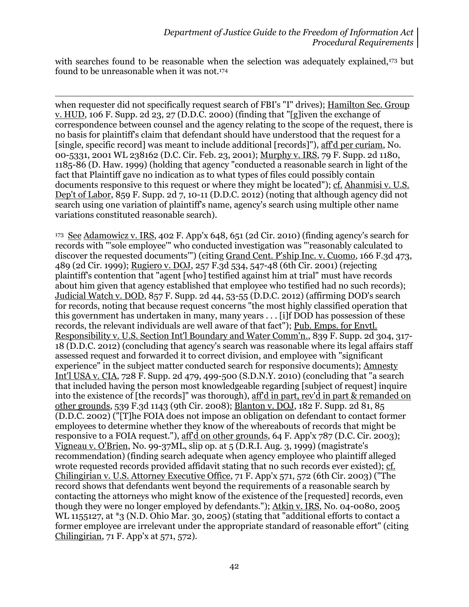with searches found to be reasonable when the selection was adequately explained,<sup>173</sup> but found to be unreasonable when it was not.<sup>174</sup>

 $\overline{a}$ 

when requester did not specifically request search of FBI's "I" drives); Hamilton Sec. Group v. HUD, 106 F. Supp. 2d 23, 27 (D.D.C. 2000) (finding that "[g]iven the exchange of correspondence between counsel and the agency relating to the scope of the request, there is no basis for plaintiff's claim that defendant should have understood that the request for a [single, specific record] was meant to include additional [records]"), aff'd per curiam, No. 00-5331, 2001 WL 238162 (D.C. Cir. Feb. 23, 2001); Murphy v. IRS, 79 F. Supp. 2d 1180, 1185-86 (D. Haw. 1999) (holding that agency "conducted a reasonable search in light of the fact that Plaintiff gave no indication as to what types of files could possibly contain documents responsive to this request or where they might be located"); cf. Ahanmisi v. U.S. Dep't of Labor, 859 F. Supp. 2d 7, 10-11 (D.D.C. 2012) (noting that although agency did not search using one variation of plaintiff's name, agency's search using multiple other name variations constituted reasonable search).

<sup>173</sup> See Adamowicz v. IRS, 402 F. App'x 648, 651 (2d Cir. 2010) (finding agency's search for records with "'sole employee'" who conducted investigation was "'reasonably calculated to discover the requested documents"') (citing Grand Cent. P'ship Inc. v. Cuomo, 166 F.3d 473, 489 (2d Cir. 1999); Rugiero v. DOJ, 257 F.3d 534, 547-48 (6th Cir. 2001) (rejecting plaintiff's contention that "agent [who] testified against him at trial" must have records about him given that agency established that employee who testified had no such records); Judicial Watch v. DOD, 857 F. Supp. 2d 44, 53-55 (D.D.C. 2012) (affirming DOD's search for records, noting that because request concerns "the most highly classified operation that this government has undertaken in many, many years . . . [i]f DOD has possession of these records, the relevant individuals are well aware of that fact"); Pub. Emps. for Envtl. Responsibility v. U.S. Section Int'l Boundary and Water Comm'n., 839 F. Supp. 2d 304, 317- 18 (D.D.C. 2012) (concluding that agency's search was reasonable where its legal affairs staff assessed request and forwarded it to correct division, and employee with "significant experience" in the subject matter conducted search for responsive documents); Amnesty Int'l USA v. CIA, 728 F. Supp. 2d 479, 499-500 (S.D.N.Y. 2010) (concluding that "a search that included having the person most knowledgeable regarding [subject of request] inquire into the existence of [the records]" was thorough), aff'd in part, rev'd in part & remanded on other grounds, 539 F.3d 1143 (9th Cir. 2008); Blanton v. DOJ, 182 F. Supp. 2d 81, 85 (D.D.C. 2002) ("[T]he FOIA does not impose an obligation on defendant to contact former employees to determine whether they know of the whereabouts of records that might be responsive to a FOIA request."), aff'd on other grounds, 64 F. App'x 787 (D.C. Cir. 2003); Vigneau v. O'Brien, No. 99-37ML, slip op. at 5 (D.R.I. Aug. 3, 1999) (magistrate's recommendation) (finding search adequate when agency employee who plaintiff alleged wrote requested records provided affidavit stating that no such records ever existed); cf. Chilingirian v. U.S. Attorney Executive Office, 71 F. App'x 571, 572 (6th Cir. 2003) ("The record shows that defendants went beyond the requirements of a reasonable search by contacting the attorneys who might know of the existence of the [requested] records, even though they were no longer employed by defendants."); Atkin v. IRS, No. 04-0080, 2005 WL 1155127, at \*3 (N.D. Ohio Mar. 30, 2005) (stating that "additional efforts to contact a former employee are irrelevant under the appropriate standard of reasonable effort" (citing Chilingirian, 71 F. App'x at 571, 572).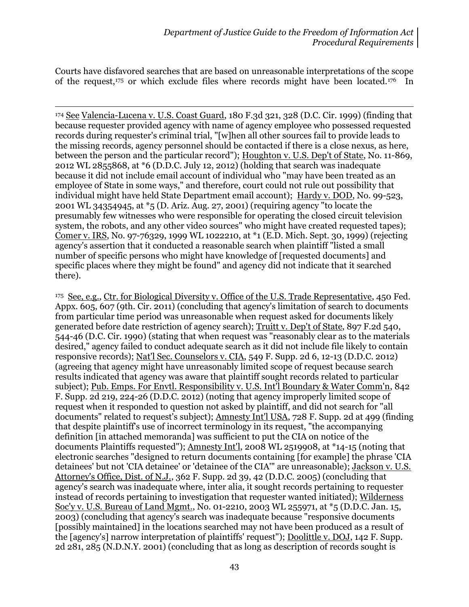Courts have disfavored searches that are based on unreasonable interpretations of the scope of the request,<sup>175</sup> or which exclude files where records might have been located.176 In

l <sup>174</sup> See Valencia-Lucena v. U.S. Coast Guard, 180 F.3d 321, 328 (D.C. Cir. 1999) (finding that because requester provided agency with name of agency employee who possessed requested records during requester's criminal trial, "[w]hen all other sources fail to provide leads to the missing records, agency personnel should be contacted if there is a close nexus, as here, between the person and the particular record"); Houghton v. U.S. Dep't of State, No. 11-869, 2012 WL 2855868, at \*6 (D.D.C. July 12, 2012) (holding that search was inadequate because it did not include email account of individual who "may have been treated as an employee of State in some ways," and therefore, court could not rule out possibility that individual might have held State Department email account); Hardy v. DOD, No. 99-523, 2001 WL 34354945, at \*5 (D. Ariz. Aug. 27, 2001) (requiring agency "to locate the presumably few witnesses who were responsible for operating the closed circuit television system, the robots, and any other video sources" who might have created requested tapes); Comer v. IRS, No. 97-76329, 1999 WL 1022210, at \*1 (E.D. Mich. Sept. 30, 1999) (rejecting agency's assertion that it conducted a reasonable search when plaintiff "listed a small number of specific persons who might have knowledge of [requested documents] and specific places where they might be found" and agency did not indicate that it searched there).

<sup>175</sup> See, e.g., Ctr. for Biological Diversity v. Office of the U.S. Trade Representative, 450 Fed. Appx. 605, 607 (9th. Cir. 2011) (concluding that agency's limitation of search to documents from particular time period was unreasonable when request asked for documents likely generated before date restriction of agency search); Truitt v. Dep't of State, 897 F.2d 540, 544-46 (D.C. Cir. 1990) (stating that when request was "reasonably clear as to the materials desired," agency failed to conduct adequate search as it did not include file likely to contain responsive records); Nat'l Sec. Counselors v. CIA, 549 F. Supp. 2d 6, 12-13 (D.D.C. 2012) (agreeing that agency might have unreasonably limited scope of request because search results indicated that agency was aware that plaintiff sought records related to particular subject); Pub. Emps. For Envtl. Responsibility v. U.S. Int'l Boundary & Water Comm'n, 842 F. Supp. 2d 219, 224-26 (D.D.C. 2012) (noting that agency improperly limited scope of request when it responded to question not asked by plaintiff, and did not search for "all documents" related to request's subject); Amnesty Int'l USA, 728 F. Supp. 2d at 499 (finding that despite plaintiff's use of incorrect terminology in its request, "the accompanying definition [in attached memoranda] was sufficient to put the CIA on notice of the documents Plaintiffs requested"); Amnesty Int'l, 2008 WL 2519908, at \*14-15 (noting that electronic searches "designed to return documents containing [for example] the phrase 'CIA detainees' but not 'CIA detainee' or 'detainee of the CIA'" are unreasonable); Jackson v. U.S. Attorney's Office, Dist. of N.J., 362 F. Supp. 2d 39, 42 (D.D.C. 2005) (concluding that agency's search was inadequate where, inter alia, it sought records pertaining to requester instead of records pertaining to investigation that requester wanted initiated); Wilderness Soc'y v. U.S. Bureau of Land Mgmt., No. 01-2210, 2003 WL 255971, at \*5 (D.D.C. Jan. 15, 2003) (concluding that agency's search was inadequate because "responsive documents [possibly maintained] in the locations searched may not have been produced as a result of the [agency's] narrow interpretation of plaintiffs' request"); Doolittle v. DOJ, 142 F. Supp. 2d 281, 285 (N.D.N.Y. 2001) (concluding that as long as description of records sought is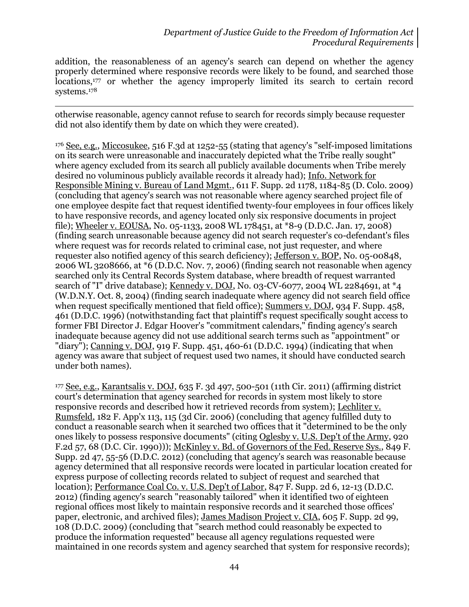addition, the reasonableness of an agency's search can depend on whether the agency properly determined where responsive records were likely to be found, and searched those locations,<sup>177</sup> or whether the agency improperly limited its search to certain record systems.<sup>178</sup>

 $\overline{a}$ otherwise reasonable, agency cannot refuse to search for records simply because requester did not also identify them by date on which they were created).

<sup>176</sup> See, e.g., Miccosukee, 516 F.3d at 1252-55 (stating that agency's "self-imposed limitations on its search were unreasonable and inaccurately depicted what the Tribe really sought" where agency excluded from its search all publicly available documents when Tribe merely desired no voluminous publicly available records it already had); Info. Network for Responsible Mining v. Bureau of Land Mgmt., 611 F. Supp. 2d 1178, 1184-85 (D. Colo. 2009) (concluding that agency's search was not reasonable where agency searched project file of one employee despite fact that request identified twenty-four employees in four offices likely to have responsive records, and agency located only six responsive documents in project file); Wheeler v. EOUSA, No. 05-1133, 2008 WL 178451, at \*8-9 (D.D.C. Jan. 17, 2008) (finding search unreasonable because agency did not search requester's co-defendant's files where request was for records related to criminal case, not just requester, and where requester also notified agency of this search deficiency); Jefferson v. BOP, No. 05-00848, 2006 WL 3208666, at  $*6$  (D.D.C. Nov. 7, 2006) (finding search not reasonable when agency searched only its Central Records System database, where breadth of request warranted search of "I" drive database); <u>Kennedy v. DOJ</u>, No. 03-CV-6077, 2004 WL 2284691, at \*4 (W.D.N.Y. Oct. 8, 2004) (finding search inadequate where agency did not search field office when request specifically mentioned that field office); Summers v. DOJ, 934 F. Supp. 458, 461 (D.D.C. 1996) (notwithstanding fact that plaintiff's request specifically sought access to former FBI Director J. Edgar Hoover's "commitment calendars," finding agency's search inadequate because agency did not use additional search terms such as "appointment" or "diary"); Canning v. DOJ, 919 F. Supp. 451, 460-61 (D.D.C. 1994) (indicating that when agency was aware that subject of request used two names, it should have conducted search under both names).

<sup>177</sup> See, e.g., Karantsalis v. DOJ, 635 F. 3d 497, 500-501 (11th Cir. 2011) (affirming district court's determination that agency searched for records in system most likely to store responsive records and described how it retrieved records from system); Lechliter v. Rumsfeld, 182 F. App'x 113, 115 (3d Cir. 2006) (concluding that agency fulfilled duty to conduct a reasonable search when it searched two offices that it "determined to be the only ones likely to possess responsive documents" (citing Oglesby v. U.S. Dep't of the Army, 920 F.2d 57, 68 (D.C. Cir. 1990))); McKinley v. Bd. of Governors of the Fed. Reserve Sys., 849 F. Supp. 2d 47, 55-56 (D.D.C. 2012) (concluding that agency's search was reasonable because agency determined that all responsive records were located in particular location created for express purpose of collecting records related to subject of request and searched that location); Performance Coal Co. v. U.S. Dep't of Labor, 847 F. Supp. 2d 6, 12-13 (D.D.C. 2012) (finding agency's search "reasonably tailored" when it identified two of eighteen regional offices most likely to maintain responsive records and it searched those offices' paper, electronic, and archived files); James Madison Project v. CIA, 605 F. Supp. 2d 99, 108 (D.D.C. 2009) (concluding that "search method could reasonably be expected to produce the information requested" because all agency regulations requested were maintained in one records system and agency searched that system for responsive records);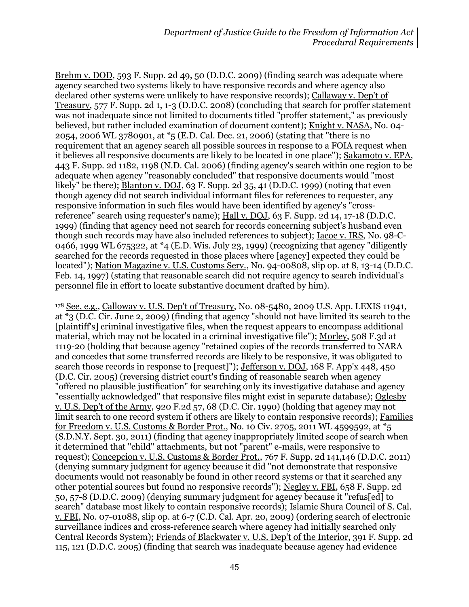$\overline{a}$ Brehm v. DOD, 593 F. Supp. 2d 49, 50 (D.D.C. 2009) (finding search was adequate where agency searched two systems likely to have responsive records and where agency also declared other systems were unlikely to have responsive records); Callaway v. Dep't of Treasury, 577 F. Supp. 2d 1, 1-3 (D.D.C. 2008) (concluding that search for proffer statement was not inadequate since not limited to documents titled "proffer statement," as previously believed, but rather included examination of document content); Knight v. NASA, No. 04- 2054, 2006 WL 3780901, at \*5 (E.D. Cal. Dec. 21, 2006) (stating that "there is no requirement that an agency search all possible sources in response to a FOIA request when it believes all responsive documents are likely to be located in one place"); Sakamoto v. EPA, 443 F. Supp. 2d 1182, 1198 (N.D. Cal. 2006) (finding agency's search within one region to be adequate when agency "reasonably concluded" that responsive documents would "most likely" be there); Blanton v. DOJ, 63 F. Supp. 2d 35, 41 (D.D.C. 1999) (noting that even though agency did not search individual informant files for references to requester, any responsive information in such files would have been identified by agency's "crossreference" search using requester's name); Hall v. DOJ, 63 F. Supp. 2d 14, 17-18 (D.D.C. 1999) (finding that agency need not search for records concerning subject's husband even though such records may have also included references to subject); Iacoe v. IRS, No. 98-C-0466, 1999 WL 675322, at \*4 (E.D. Wis. July 23, 1999) (recognizing that agency "diligently searched for the records requested in those places where [agency] expected they could be located"); Nation Magazine v. U.S. Customs Serv., No. 94-00808, slip op. at 8, 13-14 (D.D.C. Feb. 14, 1997) (stating that reasonable search did not require agency to search individual's personnel file in effort to locate substantive document drafted by him).

<sup>178</sup> See, e.g., Calloway v. U.S. Dep't of Treasury, No. 08-5480, 2009 U.S. App. LEXIS 11941, at \*3 (D.C. Cir. June 2, 2009) (finding that agency "should not have limited its search to the [plaintiff's] criminal investigative files, when the request appears to encompass additional material, which may not be located in a criminal investigative file"); Morley, 508 F.3d at 1119-20 (holding that because agency "retained copies of the records transferred to NARA and concedes that some transferred records are likely to be responsive, it was obligated to search those records in response to [request]"); Jefferson v. DOJ, 168 F. App'x 448, 450 (D.C. Cir. 2005) (reversing district court's finding of reasonable search when agency "offered no plausible justification" for searching only its investigative database and agency "essentially acknowledged" that responsive files might exist in separate database); Oglesby v. U.S. Dep't of the Army, 920 F.2d 57, 68 (D.C. Cir. 1990) (holding that agency may not limit search to one record system if others are likely to contain responsive records); Families for Freedom v. U.S. Customs & Border Prot., No. 10 Civ. 2705, 2011 WL 4599592, at \*5 (S.D.N.Y. Sept. 30, 2011) (finding that agency inappropriately limited scope of search when it determined that "child" attachments, but not "parent" e-mails, were responsive to request); Concepcion v. U.S. Customs & Border Prot., 767 F. Supp. 2d 141,146 (D.D.C. 2011) (denying summary judgment for agency because it did "not demonstrate that responsive documents would not reasonably be found in other record systems or that it searched any other potential sources but found no responsive records"); Negley v. FBI, 658 F. Supp. 2d 50, 57-8 (D.D.C. 2009) (denying summary judgment for agency because it "refus[ed] to search" database most likely to contain responsive records); Islamic Shura Council of S. Cal. v. FBI, No. 07-01088, slip op. at 6-7 (C.D. Cal. Apr. 20, 2009) (ordering search of electronic surveillance indices and cross-reference search where agency had initially searched only Central Records System); Friends of Blackwater v. U.S. Dep't of the Interior, 391 F. Supp. 2d 115, 121 (D.D.C. 2005) (finding that search was inadequate because agency had evidence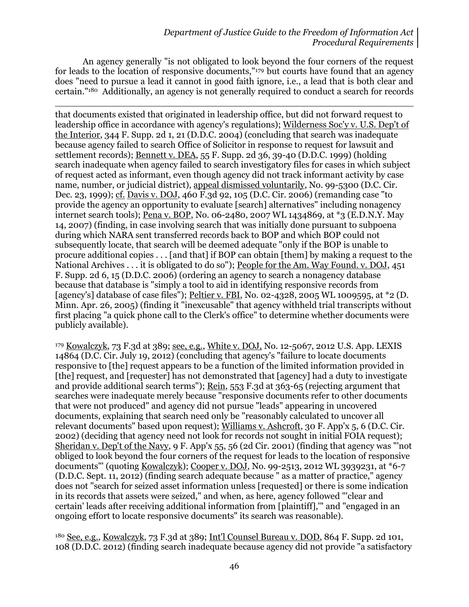An agency generally "is not obligated to look beyond the four corners of the request for leads to the location of responsive documents,"<sup>179</sup> but courts have found that an agency does "need to pursue a lead it cannot in good faith ignore, i.e., a lead that is both clear and certain."180 Additionally, an agency is not generally required to conduct a search for records

 $\overline{a}$ that documents existed that originated in leadership office, but did not forward request to leadership office in accordance with agency's regulations); Wilderness Soc'y v. U.S. Dep't of the Interior, 344 F. Supp. 2d 1, 21 (D.D.C. 2004) (concluding that search was inadequate because agency failed to search Office of Solicitor in response to request for lawsuit and settlement records); Bennett v. DEA, 55 F. Supp. 2d 36, 39-40 (D.D.C. 1999) (holding search inadequate when agency failed to search investigatory files for cases in which subject of request acted as informant, even though agency did not track informant activity by case name, number, or judicial district), appeal dismissed voluntarily, No. 99-5300 (D.C. Cir. Dec. 23, 1999); cf. Davis v. DOJ, 460 F.3d 92, 105 (D.C. Cir. 2006) (remanding case "to provide the agency an opportunity to evaluate [search] alternatives" including nonagency internet search tools); Pena v. BOP, No. 06-2480, 2007 WL 1434869, at \*3 (E.D.N.Y. May 14, 2007) (finding, in case involving search that was initially done pursuant to subpoena during which NARA sent transferred records back to BOP and which BOP could not subsequently locate, that search will be deemed adequate "only if the BOP is unable to procure additional copies . . . [and that] if BOP can obtain [them] by making a request to the National Archives . . . it is obligated to do so"); People for the Am. Way Found. v. DOJ, 451 F. Supp. 2d 6, 15 (D.D.C. 2006) (ordering an agency to search a nonagency database because that database is "simply a tool to aid in identifying responsive records from [agency's] database of case files"); Peltier v. FBI, No. 02-4328, 2005 WL 1009595, at \*2 (D. Minn. Apr. 26, 2005) (finding it "inexcusable" that agency withheld trial transcripts without first placing "a quick phone call to the Clerk's office" to determine whether documents were publicly available).

<sup>179</sup> Kowalczyk, 73 F.3d at 389; see, e.g., White v. DOJ, No. 12-5067, 2012 U.S. App. LEXIS 14864 (D.C. Cir. July 19, 2012) (concluding that agency's "failure to locate documents responsive to [the] request appears to be a function of the limited information provided in [the] request, and [requester] has not demonstrated that [agency] had a duty to investigate and provide additional search terms"); Rein, 553 F.3d at 363-65 (rejecting argument that searches were inadequate merely because "responsive documents refer to other documents that were not produced" and agency did not pursue "leads" appearing in uncovered documents, explaining that search need only be "reasonably calculated to uncover all relevant documents" based upon request); Williams v. Ashcroft, 30 F. App'x 5, 6 (D.C. Cir. 2002) (deciding that agency need not look for records not sought in initial FOIA request); Sheridan v. Dep't of the Navy, 9 F. App'x 55, 56 (2d Cir. 2001) (finding that agency was "'not obliged to look beyond the four corners of the request for leads to the location of responsive documents"' (quoting Kowalczyk); Cooper v. DOJ, No. 99-2513, 2012 WL 3939231, at \*6-7 (D.D.C. Sept. 11, 2012) (finding search adequate because " as a matter of practice," agency does not "search for seized asset information unless [requested] or there is some indication in its records that assets were seized," and when, as here, agency followed "'clear and certain' leads after receiving additional information from [plaintiff],'" and "engaged in an ongoing effort to locate responsive documents" its search was reasonable).

<sup>180</sup> See, e.g., Kowalczyk, 73 F.3d at 389; Int'l Counsel Bureau v. DOD, 864 F. Supp. 2d 101, 108 (D.D.C. 2012) (finding search inadequate because agency did not provide "a satisfactory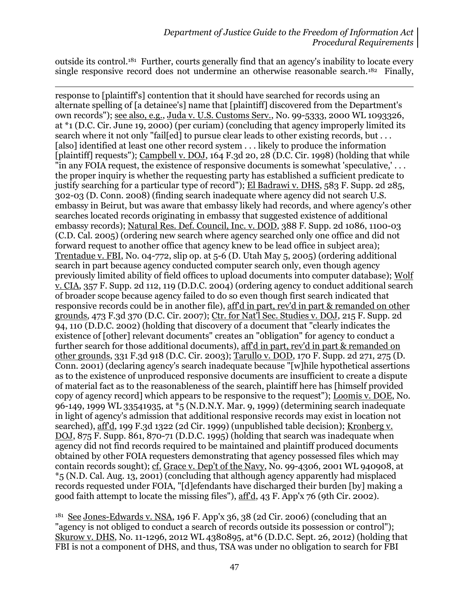outside its control.<sup>181</sup> Further, courts generally find that an agency's inability to locate every single responsive record does not undermine an otherwise reasonable search.<sup>182</sup> Finally,

 $\overline{a}$ response to [plaintiff's] contention that it should have searched for records using an alternate spelling of [a detainee's] name that [plaintiff] discovered from the Department's own records"); see also, e.g., Juda v. U.S. Customs Serv., No. 99-5333, 2000 WL 1093326, at \*1 (D.C. Cir. June 19, 2000) (per curiam) (concluding that agency improperly limited its search where it not only "fail[ed] to pursue clear leads to other existing records, but . . . [also] identified at least one other record system . . . likely to produce the information [plaintiff] requests"); Campbell v. DOJ, 164 F.3d 20, 28 (D.C. Cir. 1998) (holding that while "in any FOIA request, the existence of responsive documents is somewhat 'speculative,' . . . the proper inquiry is whether the requesting party has established a sufficient predicate to justify searching for a particular type of record"); El Badrawi v. DHS, 583 F. Supp. 2d 285, 302-03 (D. Conn. 2008) (finding search inadequate where agency did not search U.S. embassy in Beirut, but was aware that embassy likely had records, and where agency's other searches located records originating in embassy that suggested existence of additional embassy records); Natural Res. Def. Council, Inc. v. DOD, 388 F. Supp. 2d 1086, 1100-03 (C.D. Cal. 2005) (ordering new search where agency searched only one office and did not forward request to another office that agency knew to be lead office in subject area); Trentadue v. FBI, No. 04-772, slip op. at 5-6 (D. Utah May 5, 2005) (ordering additional search in part because agency conducted computer search only, even though agency previously limited ability of field offices to upload documents into computer database); Wolf v. CIA, 357 F. Supp. 2d 112, 119 (D.D.C. 2004) (ordering agency to conduct additional search of broader scope because agency failed to do so even though first search indicated that responsive records could be in another file), aff'd in part, rev'd in part & remanded on other grounds, 473 F.3d 370 (D.C. Cir. 2007); Ctr. for Nat'l Sec. Studies v. DOJ, 215 F. Supp. 2d 94, 110 (D.D.C. 2002) (holding that discovery of a document that "clearly indicates the existence of [other] relevant documents" creates an "obligation" for agency to conduct a further search for those additional documents), aff'd in part, rev'd in part & remanded on other grounds, 331 F.3d 918 (D.C. Cir. 2003); Tarullo v. DOD, 170 F. Supp. 2d 271, 275 (D. Conn. 2001) (declaring agency's search inadequate because "[w]hile hypothetical assertions as to the existence of unproduced responsive documents are insufficient to create a dispute of material fact as to the reasonableness of the search, plaintiff here has [himself provided copy of agency record] which appears to be responsive to the request"); Loomis v. DOE, No. 96-149, 1999 WL 33541935, at \*5 (N.D.N.Y. Mar. 9, 1999) (determining search inadequate in light of agency's admission that additional responsive records may exist in location not searched), aff'd, 199 F.3d 1322 (2d Cir. 1999) (unpublished table decision); Kronberg v. DOJ, 875 F. Supp. 861, 870-71 (D.D.C. 1995) (holding that search was inadequate when agency did not find records required to be maintained and plaintiff produced documents obtained by other FOIA requesters demonstrating that agency possessed files which may contain records sought); cf. Grace v. Dep't of the Navy, No. 99-4306, 2001 WL 940908, at \*5 (N.D. Cal. Aug. 13, 2001) (concluding that although agency apparently had misplaced records requested under FOIA, "[d]efendants have discharged their burden [by] making a good faith attempt to locate the missing files"), aff'd, 43 F. App'x 76 (9th Cir. 2002).

 $181$  See Jones-Edwards v. NSA, 196 F. App'x 36, 38 (2d Cir. 2006) (concluding that an "agency is not obliged to conduct a search of records outside its possession or control"); Skurow v. DHS, No. 11-1296, 2012 WL 4380895, at\*6 (D.D.C. Sept. 26, 2012) (holding that FBI is not a component of DHS, and thus, TSA was under no obligation to search for FBI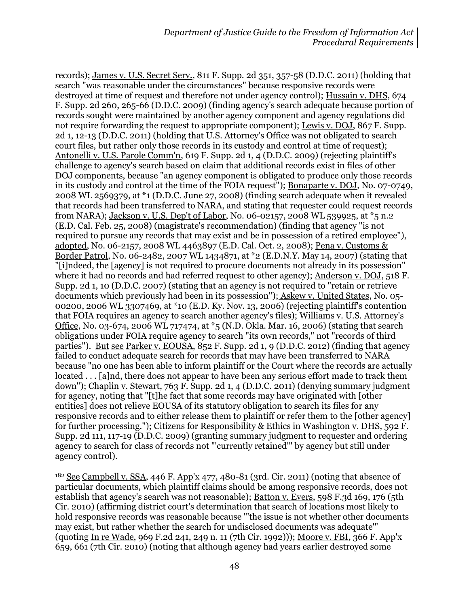$\overline{a}$ records); James v. U.S. Secret Serv., 811 F. Supp. 2d 351, 357-58 (D.D.C. 2011) (holding that search "was reasonable under the circumstances" because responsive records were destroyed at time of request and therefore not under agency control); Hussain v. DHS, 674 F. Supp. 2d 260, 265-66 (D.D.C. 2009) (finding agency's search adequate because portion of records sought were maintained by another agency component and agency regulations did not require forwarding the request to appropriate component); Lewis v. DOJ, 867 F. Supp. 2d 1, 12-13 (D.D.C. 2011) (holding that U.S. Attorney's Office was not obligated to search court files, but rather only those records in its custody and control at time of request); Antonelli v. U.S. Parole Comm'n, 619 F. Supp. 2d 1, 4 (D.D.C. 2009) (rejecting plaintiff's challenge to agency's search based on claim that additional records exist in files of other DOJ components, because "an agency component is obligated to produce only those records in its custody and control at the time of the FOIA request"); Bonaparte v. DOJ, No. 07-0749, 2008 WL 2569379, at \*1 (D.D.C. June 27, 2008) (finding search adequate when it revealed that records had been transferred to NARA, and stating that requester could request records from NARA); Jackson v. U.S. Dep't of Labor, No. 06-02157, 2008 WL 539925, at \*5 n.2 (E.D. Cal. Feb. 25, 2008) (magistrate's recommendation) (finding that agency "is not required to pursue any records that may exist and be in possession of a retired employee"), adopted, No. 06-2157, 2008 WL 4463897 (E.D. Cal. Oct. 2, 2008); Pena v. Customs & Border Patrol, No. 06-2482, 2007 WL 1434871, at \*2 (E.D.N.Y. May 14, 2007) (stating that "[i]ndeed, the [agency] is not required to procure documents not already in its possession" where it had no records and had referred request to other agency); Anderson v. DOJ, 518 F. Supp. 2d 1, 10 (D.D.C. 2007) (stating that an agency is not required to "retain or retrieve documents which previously had been in its possession"); Askew v. United States, No. 05- 00200, 2006 WL 3307469, at \*10 (E.D. Ky. Nov. 13, 2006) (rejecting plaintiff's contention that FOIA requires an agency to search another agency's files); Williams v. U.S. Attorney's Office, No. 03-674, 2006 WL 717474, at \*5 (N.D. Okla. Mar. 16, 2006) (stating that search obligations under FOIA require agency to search "its own records," not "records of third parties"). But see Parker v. EOUSA, 852 F. Supp. 2d 1, 9 (D.D.C. 2012) (finding that agency failed to conduct adequate search for records that may have been transferred to NARA because "no one has been able to inform plaintiff or the Court where the records are actually located . . . [a]nd, there does not appear to have been any serious effort made to track them down"); Chaplin v. Stewart, 763 F. Supp. 2d 1, 4 (D.D.C. 2011) (denying summary judgment for agency, noting that "[t]he fact that some records may have originated with [other entities] does not relieve EOUSA of its statutory obligation to search its files for any responsive records and to either release them to plaintiff or refer them to the [other agency] for further processing."); Citizens for Responsibility & Ethics in Washington v. DHS, 592 F. Supp. 2d 111, 117-19 (D.D.C. 2009) (granting summary judgment to requester and ordering agency to search for class of records not "'currently retained'" by agency but still under agency control).

<sup>182</sup> See Campbell v. SSA, 446 F. App'x 477, 480-81 (3rd. Cir. 2011) (noting that absence of particular documents, which plaintiff claims should be among responsive records, does not establish that agency's search was not reasonable); Batton v. Evers, 598 F.3d 169, 176 (5th Cir. 2010) (affirming district court's determination that search of locations most likely to hold responsive records was reasonable because "'the issue is not whether other documents may exist, but rather whether the search for undisclosed documents was adequate'" (quoting In re Wade, 969 F.2d 241, 249 n. 11 (7th Cir. 1992))); Moore v. FBI, 366 F. App'x 659, 661 (7th Cir. 2010) (noting that although agency had years earlier destroyed some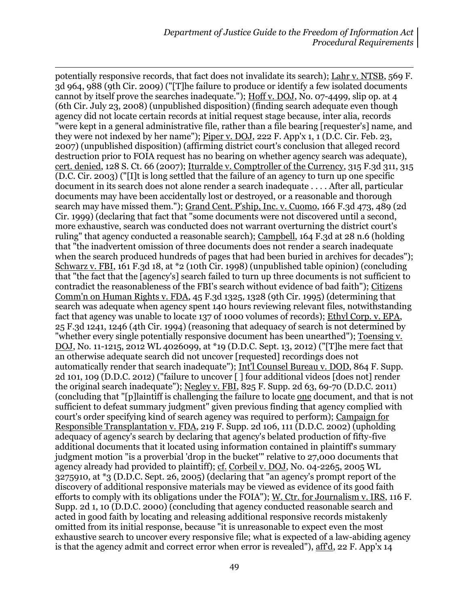potentially responsive records, that fact does not invalidate its search); Lahr v. NTSB, 569 F. 3d 964, 988 (9th Cir. 2009) ("[T]he failure to produce or identify a few isolated documents cannot by itself prove the searches inadequate."); Hoff v. DOJ, No. 07-4499, slip op. at 4 (6th Cir. July 23, 2008) (unpublished disposition) (finding search adequate even though agency did not locate certain records at initial request stage because, inter alia, records "were kept in a general administrative file, rather than a file bearing [requester's] name, and they were not indexed by her name"); Piper v. DOJ, 222 F. App'x 1, 1 (D.C. Cir. Feb. 23, 2007) (unpublished disposition) (affirming district court's conclusion that alleged record destruction prior to FOIA request has no bearing on whether agency search was adequate), cert. denied, 128 S. Ct. 66 (2007); Iturralde v. Comptroller of the Currency, 315 F.3d 311, 315 (D.C. Cir. 2003) ("[I]t is long settled that the failure of an agency to turn up one specific document in its search does not alone render a search inadequate . . . . After all, particular documents may have been accidentally lost or destroyed, or a reasonable and thorough search may have missed them."); Grand Cent. P'ship, Inc. v. Cuomo, 166 F.3d 473, 489 (2d Cir. 1999) (declaring that fact that "some documents were not discovered until a second, more exhaustive, search was conducted does not warrant overturning the district court's ruling" that agency conducted a reasonable search); Campbell, 164 F.3d at 28 n.6 (holding that "the inadvertent omission of three documents does not render a search inadequate when the search produced hundreds of pages that had been buried in archives for decades"); Schwarz v. FBI, 161 F.3d 18, at \*2 (10th Cir. 1998) (unpublished table opinion) (concluding that "the fact that the [agency's] search failed to turn up three documents is not sufficient to contradict the reasonableness of the FBI's search without evidence of bad faith"); Citizens Comm'n on Human Rights v. FDA, 45 F.3d 1325, 1328 (9th Cir. 1995) (determining that search was adequate when agency spent 140 hours reviewing relevant files, notwithstanding fact that agency was unable to locate 137 of 1000 volumes of records); Ethyl Corp. v. EPA, 25 F.3d 1241, 1246 (4th Cir. 1994) (reasoning that adequacy of search is not determined by "whether every single potentially responsive document has been unearthed"); Toensing v. DOJ, No. 11-1215, 2012 WL 4026099, at \*19 (D.D.C. Sept. 13, 2012) ("[T]he mere fact that an otherwise adequate search did not uncover [requested] recordings does not automatically render that search inadequate"); Int'l Counsel Bureau v. DOD, 864 F. Supp. 2d 101, 109 (D.D.C. 2012) ("failure to uncover [ ] four additional videos [does not] render the original search inadequate"); Negley v. FBI, 825 F. Supp. 2d 63, 69-70 (D.D.C. 2011) (concluding that "[p]laintiff is challenging the failure to locate one document, and that is not sufficient to defeat summary judgment" given previous finding that agency complied with court's order specifying kind of search agency was required to perform); Campaign for Responsible Transplantation v. FDA, 219 F. Supp. 2d 106, 111 (D.D.C. 2002) (upholding adequacy of agency's search by declaring that agency's belated production of fifty-five additional documents that it located using information contained in plaintiff's summary judgment motion "is a proverbial 'drop in the bucket'" relative to 27,000 documents that agency already had provided to plaintiff); cf. Corbeil v. DOJ, No. 04-2265, 2005 WL 3275910, at \*3 (D.D.C. Sept. 26, 2005) (declaring that "an agency's prompt report of the discovery of additional responsive materials may be viewed as evidence of its good faith efforts to comply with its obligations under the FOIA"); W. Ctr. for Journalism v. IRS, 116 F. Supp. 2d 1, 10 (D.D.C. 2000) (concluding that agency conducted reasonable search and acted in good faith by locating and releasing additional responsive records mistakenly omitted from its initial response, because "it is unreasonable to expect even the most exhaustive search to uncover every responsive file; what is expected of a law-abiding agency is that the agency admit and correct error when error is revealed"), aff'd, 22 F. App'x 14

 $\overline{a}$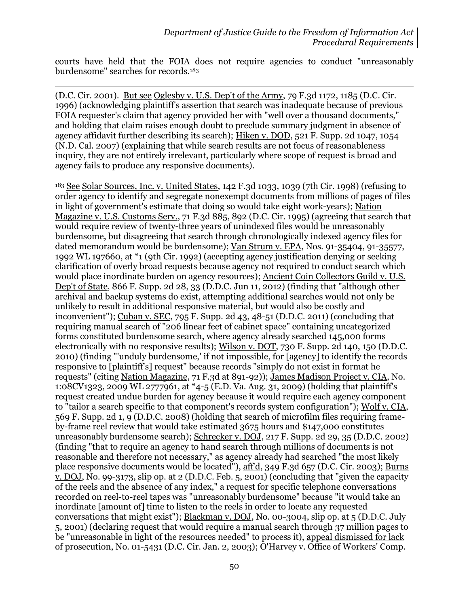courts have held that the FOIA does not require agencies to conduct "unreasonably burdensome" searches for records.<sup>183</sup>

(D.C. Cir. 2001). But see Oglesby v. U.S. Dep't of the Army, 79 F.3d 1172, 1185 (D.C. Cir. 1996) (acknowledging plaintiff's assertion that search was inadequate because of previous FOIA requester's claim that agency provided her with "well over a thousand documents," and holding that claim raises enough doubt to preclude summary judgment in absence of agency affidavit further describing its search); Hiken v. DOD, 521 F. Supp. 2d 1047, 1054 (N.D. Cal. 2007) (explaining that while search results are not focus of reasonableness inquiry, they are not entirely irrelevant, particularly where scope of request is broad and agency fails to produce any responsive documents).

 $\overline{a}$ 

<sup>183</sup> See Solar Sources, Inc. v. United States, 142 F.3d 1033, 1039 (7th Cir. 1998) (refusing to order agency to identify and segregate nonexempt documents from millions of pages of files in light of government's estimate that doing so would take eight work-years); Nation Magazine v. U.S. Customs Serv., 71 F.3d 885, 892 (D.C. Cir. 1995) (agreeing that search that would require review of twenty-three years of unindexed files would be unreasonably burdensome, but disagreeing that search through chronologically indexed agency files for dated memorandum would be burdensome); Van Strum v. EPA, Nos. 91-35404, 91-35577, 1992 WL 197660, at \*1 (9th Cir. 1992) (accepting agency justification denying or seeking clarification of overly broad requests because agency not required to conduct search which would place inordinate burden on agency resources); Ancient Coin Collectors Guild v. U.S. Dep't of State, 866 F. Supp. 2d 28, 33 (D.D.C. Jun 11, 2012) (finding that "although other archival and backup systems do exist, attempting additional searches would not only be unlikely to result in additional responsive material, but would also be costly and inconvenient"); Cuban v. SEC, 795 F. Supp. 2d 43, 48-51 (D.D.C. 2011) (concluding that requiring manual search of "206 linear feet of cabinet space" containing uncategorized forms constituted burdensome search, where agency already searched 145,000 forms electronically with no responsive results); Wilson v. DOT, 730 F. Supp. 2d 140, 150 (D.D.C. 2010) (finding "'unduly burdensome,' if not impossible, for [agency] to identify the records responsive to [plaintiff's] request" because records "simply do not exist in format he requests" (citing Nation Magazine, 71 F.3d at 891-92)); James Madison Project v. CIA, No. 1:08CV1323, 2009 WL 2777961, at \*4-5 (E.D. Va. Aug. 31, 2009) (holding that plaintiff's request created undue burden for agency because it would require each agency component to "tailor a search specific to that component's records system configuration"); Wolf v. CIA, 569 F. Supp. 2d 1, 9 (D.D.C. 2008) (holding that search of microfilm files requiring frameby-frame reel review that would take estimated 3675 hours and \$147,000 constitutes unreasonably burdensome search); Schrecker v. DOJ, 217 F. Supp. 2d 29, 35 (D.D.C. 2002) (finding "that to require an agency to hand search through millions of documents is not reasonable and therefore not necessary," as agency already had searched "the most likely place responsive documents would be located"), aff'd, 349 F.3d 657 (D.C. Cir. 2003); Burns v. DOJ, No. 99-3173, slip op. at 2 (D.D.C. Feb. 5, 2001) (concluding that "given the capacity of the reels and the absence of any index," a request for specific telephone conversations recorded on reel-to-reel tapes was "unreasonably burdensome" because "it would take an inordinate [amount of] time to listen to the reels in order to locate any requested conversations that might exist"); Blackman v. DOJ, No. 00-3004, slip op. at 5 (D.D.C. July 5, 2001) (declaring request that would require a manual search through 37 million pages to be "unreasonable in light of the resources needed" to process it), appeal dismissed for lack of prosecution, No. 01-5431 (D.C. Cir. Jan. 2, 2003); O'Harvey v. Office of Workers' Comp.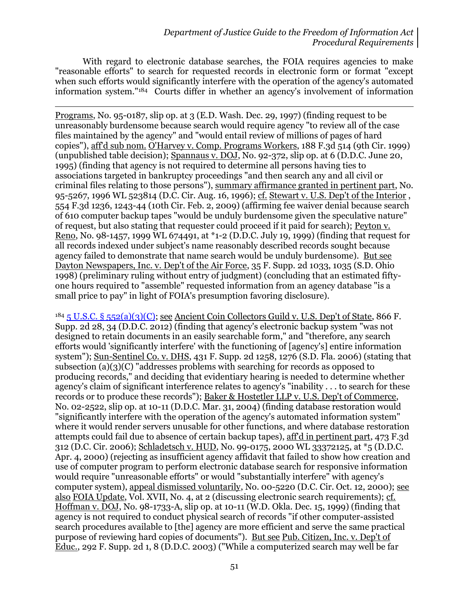With regard to electronic database searches, the FOIA requires agencies to make "reasonable efforts" to search for requested records in electronic form or format "except when such efforts would significantly interfere with the operation of the agency's automated information system."184 Courts differ in whether an agency's involvement of information

l Programs, No. 95-0187, slip op. at 3 (E.D. Wash. Dec. 29, 1997) (finding request to be unreasonably burdensome because search would require agency "to review all of the case files maintained by the agency" and "would entail review of millions of pages of hard copies"), aff'd sub nom. O'Harvey v. Comp. Programs Workers, 188 F.3d 514 (9th Cir. 1999) (unpublished table decision); Spannaus v. DOJ, No. 92-372, slip op. at 6 (D.D.C. June 20, 1995) (finding that agency is not required to determine all persons having ties to associations targeted in bankruptcy proceedings "and then search any and all civil or criminal files relating to those persons"), summary affirmance granted in pertinent part, No. 95-5267, 1996 WL 523814 (D.C. Cir. Aug. 16, 1996); cf. Stewart v. U.S. Dep't of the Interior , 554 F.3d 1236, 1243-44 (10th Cir. Feb. 2, 2009) (affirming fee waiver denial because search of 610 computer backup tapes "would be unduly burdensome given the speculative nature" of request, but also stating that requester could proceed if it paid for search); Peyton v. Reno, No. 98-1457, 1999 WL 674491, at \*1-2 (D.D.C. July 19, 1999) (finding that request for all records indexed under subject's name reasonably described records sought because agency failed to demonstrate that name search would be unduly burdensome). But see Dayton Newspapers, Inc. v. Dep't of the Air Force, 35 F. Supp. 2d 1033, 1035 (S.D. Ohio 1998) (preliminary ruling without entry of judgment) (concluding that an estimated fiftyone hours required to "assemble" requested information from an agency database "is a small price to pay" in light of FOIA's presumption favoring disclosure).

 $184\overline{5}$  U.S.C. §  $552(a)(3)(C)$ ; see Ancient Coin Collectors Guild v. U.S. Dep't of State, 866 F. Supp. 2d 28, 34 (D.D.C. 2012) (finding that agency's electronic backup system "was not designed to retain documents in an easily searchable form," and "therefore, any search efforts would 'significantly interfere' with the functioning of [agency's] entire information system"); Sun-Sentinel Co. v. DHS, 431 F. Supp. 2d 1258, 1276 (S.D. Fla. 2006) (stating that subsection (a)(3)(C) "addresses problems with searching for records as opposed to producing records," and deciding that evidentiary hearing is needed to determine whether agency's claim of significant interference relates to agency's "inability . . . to search for these records or to produce these records"); Baker & Hostetler LLP v. U.S. Dep't of Commerce, No. 02-2522, slip op. at 10-11 (D.D.C. Mar. 31, 2004) (finding database restoration would "significantly interfere with the operation of the agency's automated information system" where it would render servers unusable for other functions, and where database restoration attempts could fail due to absence of certain backup tapes), aff'd in pertinent part, 473 F.3d 312 (D.C. Cir. 2006); Schladetsch v. HUD, No. 99-0175, 2000 WL 33372125, at \*5 (D.D.C. Apr. 4, 2000) (rejecting as insufficient agency affidavit that failed to show how creation and use of computer program to perform electronic database search for responsive information would require "unreasonable efforts" or would "substantially interfere" with agency's computer system), appeal dismissed voluntarily, No. 00-5220 (D.C. Cir. Oct. 12, 2000); see also FOIA Update, Vol. XVII, No. 4, at 2 (discussing electronic search requirements); cf. Hoffman v. DOJ, No. 98-1733-A, slip op. at 10-11 (W.D. Okla. Dec. 15, 1999) (finding that agency is not required to conduct physical search of records "if other computer-assisted search procedures available to [the] agency are more efficient and serve the same practical purpose of reviewing hard copies of documents"). But see Pub. Citizen, Inc. v. Dep't of Educ., 292 F. Supp. 2d 1, 8 (D.D.C. 2003) ("While a computerized search may well be far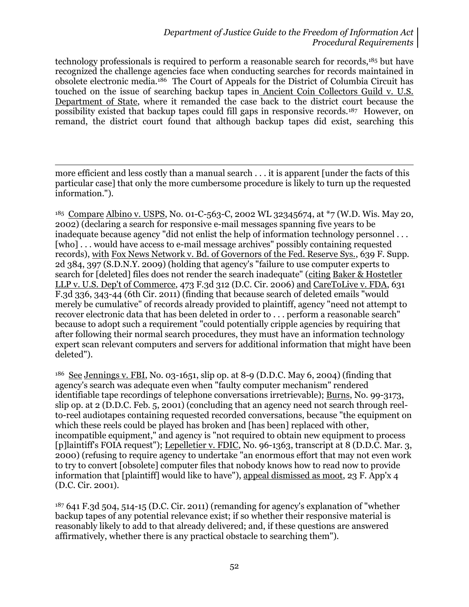technology professionals is required to perform a reasonable search for records,<sup>185</sup> but have recognized the challenge agencies face when conducting searches for records maintained in obsolete electronic media.186 The Court of Appeals for the District of Columbia Circuit has touched on the issue of searching backup tapes in Ancient Coin Collectors Guild v. U.S. Department of State, where it remanded the case back to the district court because the possibility existed that backup tapes could fill gaps in responsive records.<sup>187</sup> However, on remand, the district court found that although backup tapes did exist, searching this

more efficient and less costly than a manual search . . . it is apparent [under the facts of this particular case] that only the more cumbersome procedure is likely to turn up the requested information.").

 $\overline{a}$ 

<sup>185</sup> Compare Albino v. USPS, No. 01-C-563-C, 2002 WL 32345674, at \*7 (W.D. Wis. May 20, 2002) (declaring a search for responsive e-mail messages spanning five years to be inadequate because agency "did not enlist the help of information technology personnel . . . [who]... would have access to e-mail message archives" possibly containing requested records), with Fox News Network v. Bd. of Governors of the Fed. Reserve Sys., 639 F. Supp. 2d 384, 397 (S.D.N.Y. 2009) (holding that agency's "failure to use computer experts to search for [deleted] files does not render the search inadequate" (citing Baker & Hostetler LLP v. U.S. Dep't of Commerce, 473 F.3d 312 (D.C. Cir. 2006) and CareToLive v. FDA, 631 F.3d 336, 343-44 (6th Cir. 2011) (finding that because search of deleted emails "would merely be cumulative" of records already provided to plaintiff, agency "need not attempt to recover electronic data that has been deleted in order to . . . perform a reasonable search" because to adopt such a requirement "could potentially cripple agencies by requiring that after following their normal search procedures, they must have an information technology expert scan relevant computers and servers for additional information that might have been deleted").

<sup>186</sup> See Jennings v. FBI, No. 03-1651, slip op. at 8-9 (D.D.C. May 6, 2004) (finding that agency's search was adequate even when "faulty computer mechanism" rendered identifiable tape recordings of telephone conversations irretrievable); Burns, No. 99-3173, slip op. at 2 (D.D.C. Feb. 5, 2001) (concluding that an agency need not search through reelto-reel audiotapes containing requested recorded conversations, because "the equipment on which these reels could be played has broken and [has been] replaced with other, incompatible equipment," and agency is "not required to obtain new equipment to process [p]laintiff's FOIA request"); Lepelletier v. FDIC, No. 96-1363, transcript at 8 (D.D.C. Mar. 3, 2000) (refusing to require agency to undertake "an enormous effort that may not even work to try to convert [obsolete] computer files that nobody knows how to read now to provide information that [plaintiff] would like to have"), appeal dismissed as moot, 23 F. App'x 4 (D.C. Cir. 2001).

<sup>187</sup> 641 F.3d 504, 514-15 (D.C. Cir. 2011) (remanding for agency's explanation of "whether backup tapes of any potential relevance exist; if so whether their responsive material is reasonably likely to add to that already delivered; and, if these questions are answered affirmatively, whether there is any practical obstacle to searching them").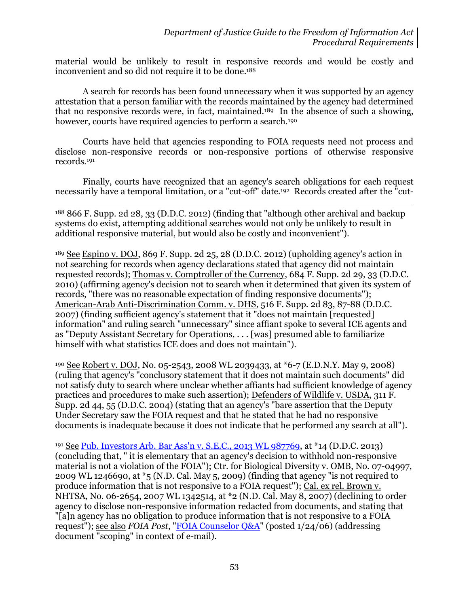material would be unlikely to result in responsive records and would be costly and inconvenient and so did not require it to be done. 188

A search for records has been found unnecessary when it was supported by an agency attestation that a person familiar with the records maintained by the agency had determined that no responsive records were, in fact, maintained.189 In the absence of such a showing, however, courts have required agencies to perform a search.<sup>190</sup>

Courts have held that agencies responding to FOIA requests need not process and disclose non-responsive records or non-responsive portions of otherwise responsive records.<sup>191</sup>

Finally, courts have recognized that an agency's search obligations for each request necessarily have a temporal limitation, or a "cut-off" date.192 Records created after the "cut-

<sup>188</sup> 866 F. Supp. 2d 28, 33 (D.D.C. 2012) (finding that "although other archival and backup systems do exist, attempting additional searches would not only be unlikely to result in additional responsive material, but would also be costly and inconvenient").

 $\overline{a}$ 

<sup>189</sup> See Espino v. DOJ, 869 F. Supp. 2d 25, 28 (D.D.C. 2012) (upholding agency's action in not searching for records when agency declarations stated that agency did not maintain requested records); Thomas v. Comptroller of the Currency, 684 F. Supp. 2d 29, 33 (D.D.C. 2010) (affirming agency's decision not to search when it determined that given its system of records, "there was no reasonable expectation of finding responsive documents"); American-Arab Anti-Discrimination Comm. v. DHS, 516 F. Supp. 2d 83, 87-88 (D.D.C. 2007) (finding sufficient agency's statement that it "does not maintain [requested] information" and ruling search "unnecessary" since affiant spoke to several ICE agents and as "Deputy Assistant Secretary for Operations, . . . [was] presumed able to familiarize himself with what statistics ICE does and does not maintain").

<sup>190</sup> See Robert v. DOJ, No. 05-2543, 2008 WL 2039433, at \*6-7 (E.D.N.Y. May 9, 2008) (ruling that agency's "conclusory statement that it does not maintain such documents" did not satisfy duty to search where unclear whether affiants had sufficient knowledge of agency practices and procedures to make such assertion); Defenders of Wildlife v. USDA, 311 F. Supp. 2d 44, 55 (D.D.C. 2004) (stating that an agency's "bare assertion that the Deputy Under Secretary saw the FOIA request and that he stated that he had no responsive documents is inadequate because it does not indicate that he performed any search at all").

<sup>191</sup> See [Pub. Investors Arb. Bar Ass'n v. S.E.C., 2013 WL 987769,](http://blogs.justice.gov/court-decisions/archives/286) at \*14 (D.D.C. 2013) (concluding that, " it is elementary that an agency's decision to withhold non-responsive material is not a violation of the FOIA"); Ctr. for Biological Diversity v. OMB, No. 07-04997, 2009 WL 1246690, at \*5 (N.D. Cal. May 5, 2009) (finding that agency "is not required to produce information that is not responsive to a FOIA request"); Cal. ex rel. Brown v. NHTSA, No. 06-2654, 2007 WL 1342514, at \*2 (N.D. Cal. May 8, 2007) (declining to order agency to disclose non-responsive information redacted from documents, and stating that "[a]n agency has no obligation to produce information that is not responsive to a FOIA request"); see also *FOIA Post*, ["FOIA Counselor Q&A"](http://www.justice.gov/oip/foiapost/2006foiapost3.htm) (posted 1/24/06) (addressing document "scoping" in context of e-mail).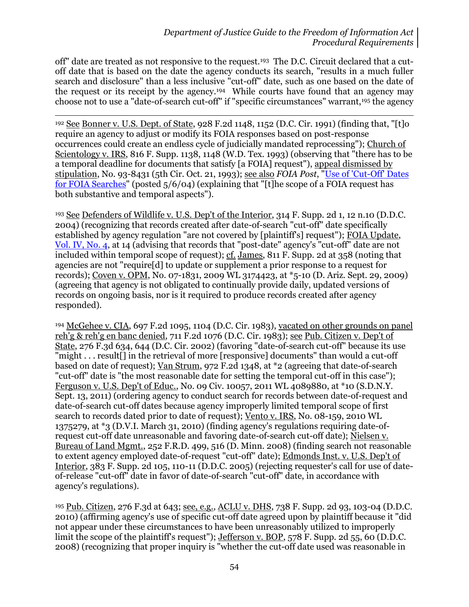off" date are treated as not responsive to the request.193 The D.C. Circuit declared that a cutoff date that is based on the date the agency conducts its search, "results in a much fuller search and disclosure" than a less inclusive "cut-off" date, such as one based on the date of the request or its receipt by the agency.194 While courts have found that an agency may choose not to use a "date-of-search cut-off" if "specific circumstances" warrant,<sup>195</sup> the agency

l <sup>192</sup> See Bonner v. U.S. Dept. of State, 928 F.2d 1148, 1152 (D.C. Cir. 1991) (finding that, "[t]o require an agency to adjust or modify its FOIA responses based on post-response occurrences could create an endless cycle of judicially mandated reprocessing"); Church of Scientology v. IRS, 816 F. Supp. 1138, 1148 (W.D. Tex. 1993) (observing that "there has to be a temporal deadline for documents that satisfy [a FOIA] request"), appeal dismissed by stipulation, No. 93-8431 (5th Cir. Oct. 21, 1993); see also *FOIA Post*, ["Use of 'Cut-Off' Dates](http://www.justice.gov/oip/foiapost/2004foiapost14.htm)  [for FOIA Searches"](http://www.justice.gov/oip/foiapost/2004foiapost14.htm) (posted 5/6/04) (explaining that "[t]he scope of a FOIA request has both substantive and temporal aspects").

<sup>193</sup> See Defenders of Wildlife v. U.S. Dep't of the Interior, 314 F. Supp. 2d 1, 12 n.10 (D.D.C. 2004) (recognizing that records created after date-of-search "cut-off" date specifically established by agency regulation "are not covered by [plaintiff's] request"); FOIA Update, [Vol. IV, No. 4,](http://www.justice.gov/oip/foia_updates/Vol_IV_4/page9.htm) at 14 (advising that records that "post-date" agency's "cut-off" date are not included within temporal scope of request); cf. James, 811 F. Supp. 2d at 358 (noting that agencies are not "require[d] to update or supplement a prior response to a request for records); Coven v. OPM, No. 07-1831, 2009 WL 3174423, at \*5-10 (D. Ariz. Sept. 29, 2009) (agreeing that agency is not obligated to continually provide daily, updated versions of records on ongoing basis, nor is it required to produce records created after agency responded).

<sup>194</sup> McGehee v. CIA, 697 F.2d 1095, 1104 (D.C. Cir. 1983), vacated on other grounds on panel reh'g & reh'g en banc denied, 711 F.2d 1076 (D.C. Cir. 1983); see Pub. Citizen v. Dep't of State, 276 F.3d 634, 644 (D.C. Cir. 2002) (favoring "date-of-search cut-off" because its use "might . . . result[] in the retrieval of more [responsive] documents" than would a cut-off based on date of request); Van Strum, 972 F.2d 1348, at \*2 (agreeing that date-of-search "cut-off" date is "the most reasonable date for setting the temporal cut-off in this case"); Ferguson v. U.S. Dep't of Educ., No. 09 Civ. 10057, 2011 WL 4089880, at \*10 (S.D.N.Y. Sept. 13, 2011) (ordering agency to conduct search for records between date-of-request and date-of-search cut-off dates because agency improperly limited temporal scope of first search to records dated prior to date of request); Vento v. IRS, No. 08-159, 2010 WL 1375279, at \*3 (D.V.I. March 31, 2010) (finding agency's regulations requiring date-ofrequest cut-off date unreasonable and favoring date-of-search cut-off date); Nielsen v. Bureau of Land Mgmt., 252 F.R.D. 499, 516 (D. Minn. 2008) (finding search not reasonable to extent agency employed date-of-request "cut-off" date); Edmonds Inst. v. U.S. Dep't of Interior, 383 F. Supp. 2d 105, 110-11 (D.D.C. 2005) (rejecting requester's call for use of dateof-release "cut-off" date in favor of date-of-search "cut-off" date, in accordance with agency's regulations).

<sup>195</sup> Pub. Citizen, 276 F.3d at 643; see, e.g., ACLU v. DHS, 738 F. Supp. 2d 93, 103-04 (D.D.C. 2010) (affirming agency's use of specific cut-off date agreed upon by plaintiff because it "did not appear under these circumstances to have been unreasonably utilized to improperly limit the scope of the plaintiff's request"); Jefferson v. BOP, 578 F. Supp. 2d 55, 60 (D.D.C. 2008) (recognizing that proper inquiry is "whether the cut-off date used was reasonable in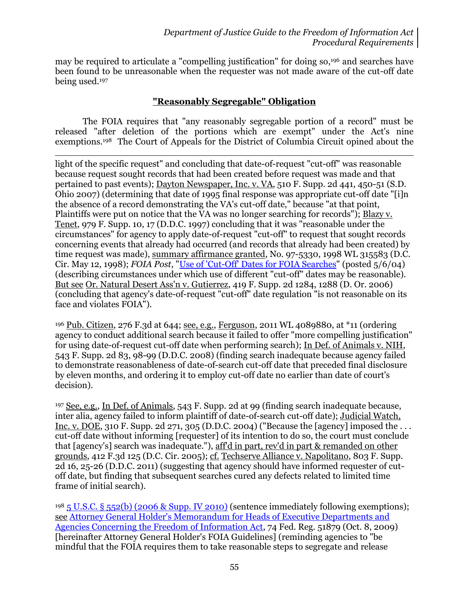may be required to articulate a "compelling justification" for doing so, <sup>196</sup> and searches have been found to be unreasonable when the requester was not made aware of the cut-off date being used. 197

#### **"Reasonably Segregable" Obligation**

The FOIA requires that "any reasonably segregable portion of a record" must be released "after deletion of the portions which are exempt" under the Act's nine exemptions.198 The Court of Appeals for the District of Columbia Circuit opined about the

 $\overline{a}$ light of the specific request" and concluding that date-of-request "cut-off" was reasonable because request sought records that had been created before request was made and that pertained to past events); Dayton Newspaper, Inc. v. VA, 510 F. Supp. 2d 441, 450-51 (S.D. Ohio 2007) (determining that date of 1995 final response was appropriate cut-off date "[i]n the absence of a record demonstrating the VA's cut-off date," because "at that point, Plaintiffs were put on notice that the VA was no longer searching for records"); Blazy v. Tenet, 979 F. Supp. 10, 17 (D.D.C. 1997) concluding that it was "reasonable under the circumstances" for agency to apply date-of-request "cut-off" to request that sought records concerning events that already had occurred (and records that already had been created) by time request was made), summary affirmance granted, No. 97-5330, 1998 WL 315583 (D.C. Cir. May 12, 1998); *FOIA Post*, ["Use of 'Cut-Off' Dates for FOIA Searches"](http://www.justice.gov/oip/foiapost/2004foiapost14.htm) (posted 5/6/04) (describing circumstances under which use of different "cut-off" dates may be reasonable). But see Or. Natural Desert Ass'n v. Gutierrez, 419 F. Supp. 2d 1284, 1288 (D. Or. 2006) (concluding that agency's date-of-request "cut-off" date regulation "is not reasonable on its face and violates FOIA").

<sup>196</sup> Pub. Citizen, 276 F.3d at 644; see, e.g., Ferguson, 2011 WL 4089880, at \*11 (ordering agency to conduct additional search because it failed to offer "more compelling justification" for using date-of-request cut-off date when performing search); In Def. of Animals v. NIH, 543 F. Supp. 2d 83, 98-99 (D.D.C. 2008) (finding search inadequate because agency failed to demonstrate reasonableness of date-of-search cut-off date that preceded final disclosure by eleven months, and ordering it to employ cut-off date no earlier than date of court's decision).

<sup>197</sup> See, e.g., In Def. of Animals, 543 F. Supp. 2d at 99 (finding search inadequate because, inter alia, agency failed to inform plaintiff of date-of-search cut-off date); Judicial Watch, Inc. v. DOE, 310 F. Supp. 2d 271, 305 (D.D.C. 2004) ("Because the [agency] imposed the ... cut-off date without informing [requester] of its intention to do so, the court must conclude that [agency's] search was inadequate."), aff'd in part, rev'd in part & remanded on other grounds, 412 F.3d 125 (D.C. Cir. 2005); cf. Techserve Alliance v. Napolitano, 803 F. Supp. 2d 16, 25-26 (D.D.C. 2011) (suggesting that agency should have informed requester of cutoff date, but finding that subsequent searches cured any defects related to limited time frame of initial search).

<sup>198</sup> 5 U.S.C. § [552\(b\) \(2006 & Supp. IV 2010\)](http://www.justice.gov/oip/amended-foia-redlined-2010.pdf) (sentence immediately following exemptions); see [Attorney General Holder's Memorandum for Heads of Executive Departments and](http://www.justice.gov/ag/foia-memo-march2009.pdf) [Agencies Concerning the Freedom of Information Act,](http://www.justice.gov/ag/foia-memo-march2009.pdf) 74 Fed. Reg. 51879 (Oct. 8, 2009) [hereinafter Attorney General Holder's FOIA Guidelines] (reminding agencies to "be mindful that the FOIA requires them to take reasonable steps to segregate and release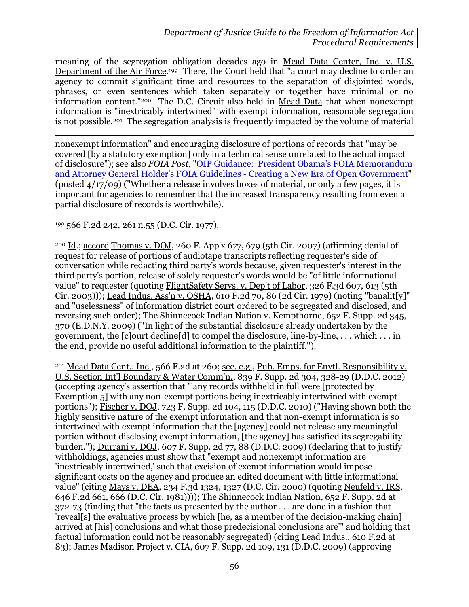meaning of the segregation obligation decades ago in Mead Data Center, Inc. v. U.S. Department of the Air Force.<sup>199</sup> There, the Court held that "a court may decline to order an agency to commit significant time and resources to the separation of disjointed words, phrases, or even sentences which taken separately or together have minimal or no information content."200 The D.C. Circuit also held in Mead Data that when nonexempt information is "inextricably intertwined" with exempt information, reasonable segregation is not possible.<sup>201</sup> The segregation analysis is frequently impacted by the volume of material

 $\overline{a}$ nonexempt information" and encouraging disclosure of portions of records that "may be covered [by a statutory exemption] only in a technical sense unrelated to the actual impact of disclosure"); see also *FOIA Post*, ["OIP Guidance: President Obama's FOIA Memorandum](http://www.justice.gov/oip/foiapost/2009foiapost8.htm)  [and Attorney General Holder's FOIA Guidelines -](http://www.justice.gov/oip/foiapost/2009foiapost8.htm) Creating a New Era of Open Government" (posted 4/17/09) ("Whether a release involves boxes of material, or only a few pages, it is important for agencies to remember that the increased transparency resulting from even a partial disclosure of records is worthwhile).

<sup>199</sup> 566 F.2d 242, 261 n.55 (D.C. Cir. 1977).

<sup>200</sup> Id.; accord Thomas v. DOJ, 260 F. App'x 677, 679 (5th Cir. 2007) (affirming denial of request for release of portions of audiotape transcripts reflecting requester's side of conversation while redacting third party's words because, given requester's interest in the third party's portion, release of solely requester's words would be "of little informational value" to requester (quoting FlightSafety Servs. v. Dep't of Labor, 326 F.3d 607, 613 (5th Cir. 2003))); Lead Indus. Ass'n v. OSHA, 610 F.2d 70, 86 (2d Cir. 1979) (noting "banalit[y]" and "uselessness" of information district court ordered to be segregated and disclosed, and reversing such order); The Shinnecock Indian Nation v. Kempthorne, 652 F. Supp. 2d 345, 370 (E.D.N.Y. 2009) ("In light of the substantial disclosure already undertaken by the government, the [c]ourt decline[d] to compel the disclosure, line-by-line, . . . which . . . in the end, provide no useful additional information to the plaintiff.").

<sup>201</sup> Mead Data Cent., Inc., 566 F.2d at 260; see, e.g., Pub. Emps. for Envtl. Responsibility v. U.S. Section Int'l Boundary & Water Comm'n., 839 F. Supp. 2d 304, 328-29 (D.D.C. 2012) (accepting agency's assertion that "'any records withheld in full were [protected by Exemption 5] with any non-exempt portions being inextricably intertwined with exempt portions"); Fischer v. DOJ, 723 F. Supp. 2d 104, 115 (D.D.C. 2010) ("Having shown both the highly sensitive nature of the exempt information and that non-exempt information is so intertwined with exempt information that the [agency] could not release any meaningful portion without disclosing exempt information, [the agency] has satisfied its segregability burden."); Durrani v. DOJ, 607 F. Supp. 2d 77, 88 (D.D.C. 2009) (declaring that to justify withholdings, agencies must show that "exempt and nonexempt information are 'inextricably intertwined,' such that excision of exempt information would impose significant costs on the agency and produce an edited document with little informational value" (citing Mays v. DEA, 234 F.3d 1324, 1327 (D.C. Cir. 2000) (quoting Neufeld v. IRS, 646 F.2d 661, 666 (D.C. Cir. 1981)))); The Shinnecock Indian Nation, 652 F. Supp. 2d at 372-73 (finding that "the facts as presented by the author . . . are done in a fashion that 'reveal[s] the evaluative process by which [he, as a member of the decision-making chain] arrived at [his] conclusions and what those predecisional conclusions are'" and holding that factual information could not be reasonably segregated) (citing Lead Indus., 610 F.2d at 83); James Madison Project v. CIA, 607 F. Supp. 2d 109, 131 (D.D.C. 2009) (approving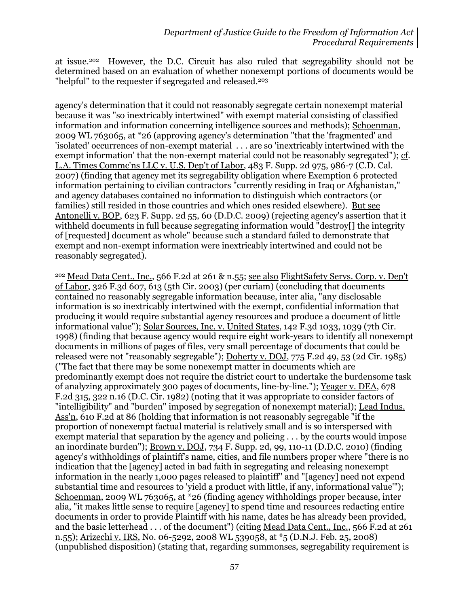at issue.202 However, the D.C. Circuit has also ruled that segregability should not be determined based on an evaluation of whether nonexempt portions of documents would be "helpful" to the requester if segregated and released.<sup>203</sup>

l

agency's determination that it could not reasonably segregate certain nonexempt material because it was "so inextricably intertwined" with exempt material consisting of classified information and information concerning intelligence sources and methods); Schoenman, 2009 WL 763065, at \*26 (approving agency's determination "that the 'fragmented' and 'isolated' occurrences of non-exempt material . . . are so 'inextricably intertwined with the exempt information' that the non-exempt material could not be reasonably segregated"); cf. L.A. Times Commc'ns LLC v. U.S. Dep't of Labor, 483 F. Supp. 2d 975, 986-7 (C.D. Cal. 2007) (finding that agency met its segregability obligation where Exemption 6 protected information pertaining to civilian contractors "currently residing in Iraq or Afghanistan," and agency databases contained no information to distinguish which contractors (or families) still resided in those countries and which ones resided elsewhere). But see Antonelli v. BOP, 623 F. Supp. 2d 55, 60 (D.D.C. 2009) (rejecting agency's assertion that it withheld documents in full because segregating information would "destroy[] the integrity of [requested] document as whole" because such a standard failed to demonstrate that exempt and non-exempt information were inextricably intertwined and could not be reasonably segregated).

<sup>202</sup> Mead Data Cent., Inc., 566 F.2d at 261 & n.55; see also FlightSafety Servs. Corp. v. Dep't of Labor, 326 F.3d 607, 613 (5th Cir. 2003) (per curiam) (concluding that documents contained no reasonably segregable information because, inter alia, "any disclosable information is so inextricably intertwined with the exempt, confidential information that producing it would require substantial agency resources and produce a document of little informational value"); Solar Sources, Inc. v. United States, 142 F.3d 1033, 1039 (7th Cir. 1998) (finding that because agency would require eight work-years to identify all nonexempt documents in millions of pages of files, very small percentage of documents that could be released were not "reasonably segregable"); Doherty v. DOJ, 775 F.2d 49, 53 (2d Cir. 1985) ("The fact that there may be some nonexempt matter in documents which are predominantly exempt does not require the district court to undertake the burdensome task of analyzing approximately 300 pages of documents, line-by-line."); Yeager v. DEA, 678 F.2d 315, 322 n.16 (D.C. Cir. 1982) (noting that it was appropriate to consider factors of "intelligibility" and "burden" imposed by segregation of nonexempt material); Lead Indus. Ass'n, 610 F.2d at 86 (holding that information is not reasonably segregable "if the proportion of nonexempt factual material is relatively small and is so interspersed with exempt material that separation by the agency and policing . . . by the courts would impose an inordinate burden"); Brown v. DOJ, 734 F. Supp. 2d, 99, 110-11 (D.D.C. 2010) (finding agency's withholdings of plaintiff's name, cities, and file numbers proper where "there is no indication that the [agency] acted in bad faith in segregating and releasing nonexempt information in the nearly 1,000 pages released to plaintiff" and "[agency] need not expend substantial time and resources to 'yield a product with little, if any, informational value'"); Schoenman, 2009 WL 763065, at \*26 (finding agency withholdings proper because, inter alia, "it makes little sense to require [agency] to spend time and resources redacting entire documents in order to provide Plaintiff with his name, dates he has already been provided, and the basic letterhead . . . of the document") (citing <u>Mead Data Cent., Inc.</u>, 566 F.2d at 261 n.55); Arizechi v. IRS, No. 06-5292, 2008 WL 539058, at \*5 (D.N.J. Feb. 25, 2008) (unpublished disposition) (stating that, regarding summonses, segregability requirement is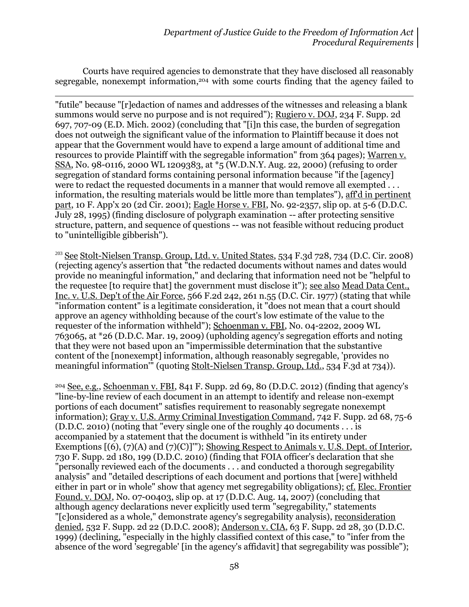Courts have required agencies to demonstrate that they have disclosed all reasonably segregable, nonexempt information, <sup>204</sup> with some courts finding that the agency failed to

 $\overline{a}$ "futile" because "[r]edaction of names and addresses of the witnesses and releasing a blank summons would serve no purpose and is not required"); Rugiero v. DOJ, 234 F. Supp. 2d 697, 707-09 (E.D. Mich. 2002) (concluding that "[i]n this case, the burden of segregation does not outweigh the significant value of the information to Plaintiff because it does not appear that the Government would have to expend a large amount of additional time and resources to provide Plaintiff with the segregable information" from 364 pages); Warren v. SSA, No. 98-0116, 2000 WL 1209383, at \*5 (W.D.N.Y. Aug. 22, 2000) (refusing to order segregation of standard forms containing personal information because "if the [agency] were to redact the requested documents in a manner that would remove all exempted . . . information, the resulting materials would be little more than templates"), aff'd in pertinent part, 10 F. App'x 20 (2d Cir. 2001); Eagle Horse v. FBI, No. 92-2357, slip op. at 5-6 (D.D.C. July 28, 1995) (finding disclosure of polygraph examination -- after protecting sensitive structure, pattern, and sequence of questions -- was not feasible without reducing product to "unintelligible gibberish").

 $203$  See Stolt-Nielsen Transp. Group, Ltd. v. United States, 534 F.3d 728, 734 (D.C. Cir. 2008) (rejecting agency's assertion that "the redacted documents without names and dates would provide no meaningful information," and declaring that information need not be "helpful to the requestee [to require that] the government must disclose it"); see also Mead Data Cent., Inc. v. U.S. Dep't of the Air Force, 566 F.2d 242, 261 n.55 (D.C. Cir. 1977) (stating that while "information content" is a legitimate consideration, it "does not mean that a court should approve an agency withholding because of the court's low estimate of the value to the requester of the information withheld"); Schoenman v. FBI, No. 04-2202, 2009 WL 763065, at \*26 (D.D.C. Mar. 19, 2009) (upholding agency's segregation efforts and noting that they were not based upon an "impermissible determination that the substantive content of the [nonexempt] information, although reasonably segregable, 'provides no meaningful information'" (quoting Stolt-Nielsen Transp. Group, Ltd., 534 F.3d at 734)).

<sup>204</sup> See, e.g., Schoenman v. FBI, 841 F. Supp. 2d 69, 80 (D.D.C. 2012) (finding that agency's "line-by-line review of each document in an attempt to identify and release non-exempt portions of each document" satisfies requirement to reasonably segregate nonexempt information); Gray v. U.S. Army Criminal Investigation Command, 742 F. Supp. 2d 68, 75-6 (D.D.C. 2010) (noting that "every single one of the roughly 40 documents . . . is accompanied by a statement that the document is withheld "in its entirety under Exemptions  $[(6), (7)(A)$  and  $(7)(C)]$ ""); Showing Respect to Animals v. U.S. Dept. of Interior, 730 F. Supp. 2d 180, 199 (D.D.C. 2010) (finding that FOIA officer's declaration that she "personally reviewed each of the documents . . . and conducted a thorough segregability analysis" and "detailed descriptions of each document and portions that [were] withheld either in part or in whole" show that agency met segregability obligations); cf. Elec. Frontier Found. v. DOJ, No. 07-00403, slip op. at 17 (D.D.C. Aug. 14, 2007) (concluding that although agency declarations never explicitly used term "segregability," statements "[c]onsidered as a whole," demonstrate agency's segregability analysis), reconsideration denied, 532 F. Supp. 2d 22 (D.D.C. 2008); Anderson v. CIA, 63 F. Supp. 2d 28, 30 (D.D.C. 1999) (declining, "especially in the highly classified context of this case," to "infer from the absence of the word 'segregable' [in the agency's affidavit] that segregability was possible");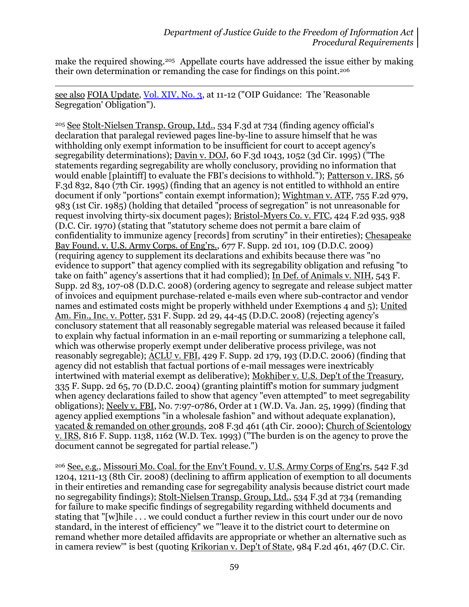make the required showing.<sup>205</sup> Appellate courts have addressed the issue either by making their own determination or remanding the case for findings on this point. <sup>206</sup>

see also FOIA Update, [Vol. XIV, No. 3,](http://www.justice.gov/oip/foia_updates/Vol_XIV_3/page7.htm) at 11-12 ("OIP Guidance: The 'Reasonable Segregation' Obligation").

l

<sup>205</sup> See Stolt-Nielsen Transp. Group, Ltd., 534 F.3d at 734 (finding agency official's declaration that paralegal reviewed pages line-by-line to assure himself that he was withholding only exempt information to be insufficient for court to accept agency's segregability determinations); Davin v. DOJ, 60 F.3d 1043, 1052 (3d Cir. 1995) ("The statements regarding segregability are wholly conclusory, providing no information that would enable [plaintiff] to evaluate the FBI's decisions to withhold."); Patterson v. IRS, 56 F.3d 832, 840 (7th Cir. 1995) (finding that an agency is not entitled to withhold an entire document if only "portions" contain exempt information); Wightman v. ATF, 755 F.2d 979, 983 (1st Cir. 1985) (holding that detailed "process of segregation" is not unreasonable for request involving thirty-six document pages); Bristol-Myers Co. v. FTC, 424 F.2d 935, 938 (D.C. Cir. 1970) (stating that "statutory scheme does not permit a bare claim of confidentiality to immunize agency [records] from scrutiny" in their entireties); Chesapeake Bay Found. v. U.S. Army Corps. of Eng'rs., 677 F. Supp. 2d 101, 109 (D.D.C. 2009) (requiring agency to supplement its declarations and exhibits because there was "no evidence to support" that agency complied with its segregability obligation and refusing "to take on faith" agency's assertions that it had complied); In Def. of Animals v. NIH, 543 F. Supp. 2d 83, 107-08 (D.D.C. 2008) (ordering agency to segregate and release subject matter of invoices and equipment purchase-related e-mails even where sub-contractor and vendor names and estimated costs might be properly withheld under Exemptions 4 and 5); United Am. Fin., Inc. v. Potter, 531 F. Supp. 2d 29, 44-45 (D.D.C. 2008) (rejecting agency's conclusory statement that all reasonably segregable material was released because it failed to explain why factual information in an e-mail reporting or summarizing a telephone call, which was otherwise properly exempt under deliberative process privilege, was not reasonably segregable);  $\overline{ACLU}$  v. FBI, 429 F. Supp. 2d 179, 193 (D.D.C. 2006) (finding that agency did not establish that factual portions of e-mail messages were inextricably intertwined with material exempt as deliberative); Mokhiber v. U.S. Dep't of the Treasury, 335 F. Supp. 2d 65, 70 (D.D.C. 2004) (granting plaintiff's motion for summary judgment when agency declarations failed to show that agency "even attempted" to meet segregability obligations); Neely v. FBI, No. 7:97-0786, Order at 1 (W.D. Va. Jan. 25, 1999) (finding that agency applied exemptions "in a wholesale fashion" and without adequate explanation), vacated & remanded on other grounds, 208 F.3d 461 (4th Cir. 2000); Church of Scientology v. IRS, 816 F. Supp. 1138, 1162 (W.D. Tex. 1993) ("The burden is on the agency to prove the document cannot be segregated for partial release.")

<sup>206</sup> See, e.g., Missouri Mo. Coal. for the Env't Found. v. U.S. Army Corps of Eng'rs, 542 F.3d 1204, 1211-13 (8th Cir. 2008) (declining to affirm application of exemption to all documents in their entireties and remanding case for segregability analysis because district court made no segregability findings); Stolt-Nielsen Transp. Group, Ltd., 534 F.3d at 734 (remanding for failure to make specific findings of segregability regarding withheld documents and stating that "[w]hile . . . we could conduct a further review in this court under our de novo standard, in the interest of efficiency" we "'leave it to the district court to determine on remand whether more detailed affidavits are appropriate or whether an alternative such as in camera review'" is best (quoting Krikorian v. Dep't of State, 984 F.2d 461, 467 (D.C. Cir.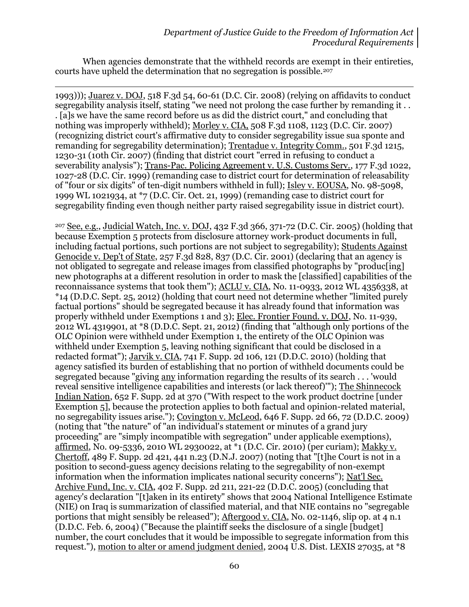When agencies demonstrate that the withheld records are exempt in their entireties, courts have upheld the determination that no segregation is possible.<sup>207</sup>

 $\overline{a}$ 1993))); Juarez v. DOJ, 518 F.3d 54, 60-61 (D.C. Cir. 2008) (relying on affidavits to conduct segregability analysis itself, stating "we need not prolong the case further by remanding it . . . [a]s we have the same record before us as did the district court," and concluding that nothing was improperly withheld); Morley v. CIA, 508 F.3d 1108, 1123 (D.C. Cir. 2007) (recognizing district court's affirmative duty to consider segregability issue sua sponte and remanding for segregability determination); Trentadue v. Integrity Comm., 501 F.3d 1215, 1230-31 (10th Cir. 2007) (finding that district court "erred in refusing to conduct a severability analysis"); Trans-Pac. Policing Agreement v. U.S. Customs Serv., 177 F.3d 1022, 1027-28 (D.C. Cir. 1999) (remanding case to district court for determination of releasability of "four or six digits" of ten-digit numbers withheld in full); Isley v. EOUSA, No. 98-5098, 1999 WL 1021934, at \*7 (D.C. Cir. Oct. 21, 1999) (remanding case to district court for segregability finding even though neither party raised segregability issue in district court).

<sup>207</sup> See, e.g., Judicial Watch, Inc. v. DOJ, 432 F.3d 366, 371-72 (D.C. Cir. 2005) (holding that because Exemption 5 protects from disclosure attorney work-product documents in full, including factual portions, such portions are not subject to segregability); Students Against Genocide v. Dep't of State, 257 F.3d 828, 837 (D.C. Cir. 2001) (declaring that an agency is not obligated to segregate and release images from classified photographs by "produc[ing] new photographs at a different resolution in order to mask the [classified] capabilities of the reconnaissance systems that took them"); ACLU v. CIA, No. 11-0933, 2012 WL 4356338, at \*14 (D.D.C. Sept. 25, 2012) (holding that court need not determine whether "limited purely factual portions" should be segregated because it has already found that information was properly withheld under Exemptions 1 and 3); Elec. Frontier Found. v. DOJ, No. 11-939, 2012 WL 4319901, at \*8 (D.D.C. Sept. 21, 2012) (finding that "although only portions of the OLC Opinion were withheld under Exemption 1, the entirety of the OLC Opinion was withheld under Exemption 5, leaving nothing significant that could be disclosed in a redacted format"); Jarvik v. CIA, 741 F. Supp. 2d 106, 121 (D.D.C. 2010) (holding that agency satisfied its burden of establishing that no portion of withheld documents could be segregated because "giving any information regarding the results of its search . . . 'would reveal sensitive intelligence capabilities and interests (or lack thereof)'"); The Shinnecock Indian Nation, 652 F. Supp. 2d at 370 ("With respect to the work product doctrine [under Exemption 5], because the protection applies to both factual and opinion-related material, no segregability issues arise."); Covington v. McLeod, 646 F. Supp. 2d 66, 72 (D.D.C. 2009) (noting that "the nature" of "an individual's statement or minutes of a grand jury proceeding" are "simply incompatible with segregation" under applicable exemptions), affirmed, No. 09-5336, 2010 WL 2930022, at \*1 (D.C. Cir. 2010) (per curiam); Makky v. Chertoff, 489 F. Supp. 2d 421, 441 n.23 (D.N.J. 2007) (noting that "[t]he Court is not in a position to second-guess agency decisions relating to the segregability of non-exempt information when the information implicates national security concerns"); Nat'l Sec. Archive Fund, Inc. v. CIA, 402 F. Supp. 2d 211, 221-22 (D.D.C. 2005) (concluding that agency's declaration "[t]aken in its entirety" shows that 2004 National Intelligence Estimate (NIE) on Iraq is summarization of classified material, and that NIE contains no "segregable portions that might sensibly be released"); Aftergood v. CIA, No. 02-1146, slip op. at 4 n.1 (D.D.C. Feb. 6, 2004) ("Because the plaintiff seeks the disclosure of a single [budget] number, the court concludes that it would be impossible to segregate information from this request."), motion to alter or amend judgment denied, 2004 U.S. Dist. LEXIS 27035, at \*8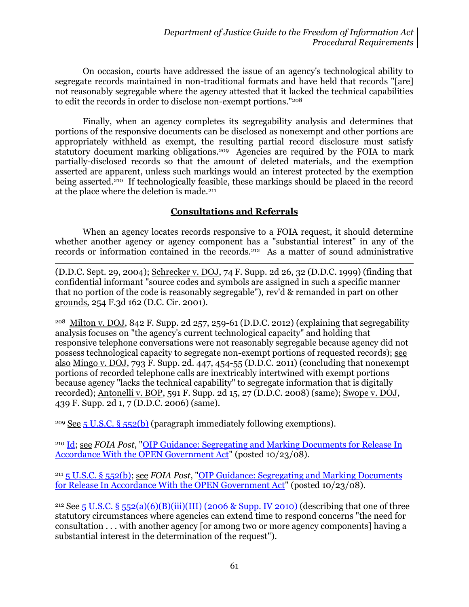On occasion, courts have addressed the issue of an agency's technological ability to segregate records maintained in non-traditional formats and have held that records "[are] not reasonably segregable where the agency attested that it lacked the technical capabilities to edit the records in order to disclose non-exempt portions."<sup>208</sup>

Finally, when an agency completes its segregability analysis and determines that portions of the responsive documents can be disclosed as nonexempt and other portions are appropriately withheld as exempt, the resulting partial record disclosure must satisfy statutory document marking obligations.<sup>209</sup> Agencies are required by the FOIA to mark partially-disclosed records so that the amount of deleted materials, and the exemption asserted are apparent, unless such markings would an interest protected by the exemption being asserted. <sup>210</sup> If technologically feasible, these markings should be placed in the record at the place where the deletion is made.<sup>211</sup>

## **Consultations and Referrals**

When an agency locates records responsive to a FOIA request, it should determine whether another agency or agency component has a "substantial interest" in any of the records or information contained in the records.212 As a matter of sound administrative

 $\overline{a}$ (D.D.C. Sept. 29, 2004); Schrecker v. DOJ, 74 F. Supp. 2d 26, 32 (D.D.C. 1999) (finding that confidential informant "source codes and symbols are assigned in such a specific manner that no portion of the code is reasonably segregable"), rev'd & remanded in part on other grounds, 254 F.3d 162 (D.C. Cir. 2001).

<sup>208</sup> Milton v. DOJ, 842 F. Supp. 2d 257, 259-61 (D.D.C. 2012) (explaining that segregability analysis focuses on "the agency's current technological capacity" and holding that responsive telephone conversations were not reasonably segregable because agency did not possess technological capacity to segregate non-exempt portions of requested records); see also Mingo v. DOJ, 793 F. Supp. 2d. 447, 454-55 (D.D.C. 2011) (concluding that nonexempt portions of recorded telephone calls are inextricably intertwined with exempt portions because agency "lacks the technical capability" to segregate information that is digitally recorded); Antonelli v. BOP, 591 F. Supp. 2d 15, 27 (D.D.C. 2008) (same); Swope v. DOJ, 439 F. Supp. 2d 1, 7 (D.D.C. 2006) (same).

<sup>209</sup> See [5 U.S.C. § 552\(b\)](http://www.justice.gov/oip/amended-foia-redlined-2010.pdf) (paragraph immediately following exemptions).

<sup>210</sup> [Id;](http://www.justice.gov/oip/amended-foia-redlined-2010.pdf) see *FOIA Post*, ["OIP Guidance: Segregating and Marking Documents for Release In](http://www.justice.gov/oip/foiapost/2008foiapost26.htm)  [Accordance With the OPEN Government Act"](http://www.justice.gov/oip/foiapost/2008foiapost26.htm) (posted 10/23/08).

<sup>211</sup> [5 U.S.C. § 552\(b\);](http://www.justice.gov/oip/amended-foia-redlined-2010.pdf) see *FOIA Post*, ["OIP Guidance: Segregating and Marking Documents](http://www.justice.gov/oip/foiapost/2008foiapost26.htm)  [for Release In Accordance With the OPEN Government Act"](http://www.justice.gov/oip/foiapost/2008foiapost26.htm) (posted 10/23/08).

<sup>212</sup> See 5 U.S.C. § [552\(a\)\(6\)\(B\)\(iii\)\(III\) \(2006 & Supp. IV 2010\)](http://www.justice.gov/oip/amended-foia-redlined-2010.pdf) (describing that one of three statutory circumstances where agencies can extend time to respond concerns "the need for consultation . . . with another agency [or among two or more agency components] having a substantial interest in the determination of the request").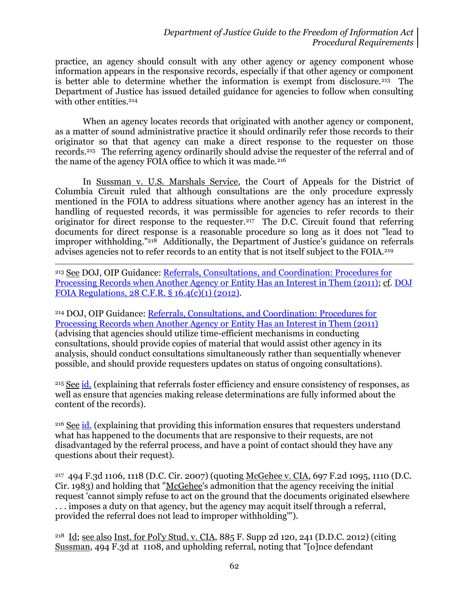practice, an agency should consult with any other agency or agency component whose information appears in the responsive records, especially if that other agency or component is better able to determine whether the information is exempt from disclosure.213 The Department of Justice has issued detailed guidance for agencies to follow when consulting with other entities.<sup>214</sup>

When an agency locates records that originated with another agency or component, as a matter of sound administrative practice it should ordinarily refer those records to their originator so that that agency can make a direct response to the requester on those records. 215 The referring agency ordinarily should advise the requester of the referral and of the name of the agency FOIA office to which it was made.<sup>216</sup>

In Sussman v. U.S. Marshals Service, the Court of Appeals for the District of Columbia Circuit ruled that although consultations are the only procedure expressly mentioned in the FOIA to address situations where another agency has an interest in the handling of requested records, it was permissible for agencies to refer records to their originator for direct response to the requester.<sup>217</sup> The D.C. Circuit found that referring documents for direct response is a reasonable procedure so long as it does not "lead to improper withholding."218 Additionally, the Department of Justice's guidance on referrals advises agencies not to refer records to an entity that is not itself subject to the FOIA.<sup>219</sup>

 $\overline{a}$ <sup>213</sup> See DOJ, OIP Guidance: [Referrals, Consultations, and Coordination: Procedures for](http://www.justice.gov/oip/foiapost/2011foiapost42.html)  [Processing Records when Another Agency or Entity Has an Interest in Them \(2011\);](http://www.justice.gov/oip/foiapost/2011foiapost42.html) cf. [DOJ](http://www.gpo.gov/fdsys/pkg/CFR-2012-title28-vol1/xml/CFR-2012-title28-vol1.xml#seqnum16.4)  [FOIA Regulations, 28](http://www.gpo.gov/fdsys/pkg/CFR-2012-title28-vol1/xml/CFR-2012-title28-vol1.xml#seqnum16.4) C.F.R. § 16.4(c)(1) (2012).

<sup>214</sup> DOJ, OIP Guidance: [Referrals, Consultations, and Coordination: Procedures for](http://www.justice.gov/oip/foiapost/2011foiapost42.html)  [Processing Records when Another Agency or Entity Has an Interest in Them \(2011\)](http://www.justice.gov/oip/foiapost/2011foiapost42.html) (advising that agencies should utilize time-efficient mechanisms in conducting consultations, should provide copies of material that would assist other agency in its analysis, should conduct consultations simultaneously rather than sequentially whenever possible, and should provide requesters updates on status of ongoing consultations).

<sup>215</sup> See [id.](http://www.justice.gov/oip/foiapost/2011foiapost42.html) (explaining that referrals foster efficiency and ensure consistency of responses, as well as ensure that agencies making release determinations are fully informed about the content of the records).

<sup>216</sup> See [id.](http://www.justice.gov/oip/foiapost/2011foiapost42.html) (explaining that providing this information ensures that requesters understand what has happened to the documents that are responsive to their requests, are not disadvantaged by the referral process, and have a point of contact should they have any questions about their request).

<sup>217</sup> 494 F.3d 1106, 1118 (D.C. Cir. 2007) (quoting McGehee v. CIA, 697 F.2d 1095, 1110 (D.C. Cir. 1983) and holding that "McGehee's admonition that the agency receiving the initial request 'cannot simply refuse to act on the ground that the documents originated elsewhere . . . imposes a duty on that agency, but the agency may acquit itself through a referral, provided the referral does not lead to improper withholding'").

<sup>218</sup> Id; see also Inst. for Pol'y Stud. v. CIA, 885 F. Supp 2d 120, 241 (D.D.C. 2012) (citing Sussman, 494 F.3d at 1108, and upholding referral, noting that "[o]nce defendant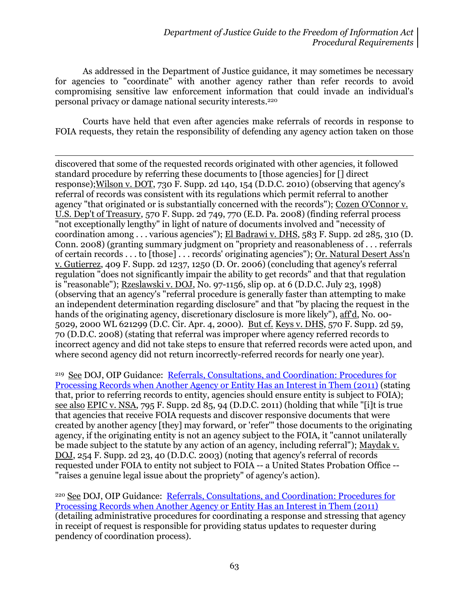As addressed in the Department of Justice guidance, it may sometimes be necessary for agencies to "coordinate" with another agency rather than refer records to avoid compromising sensitive law enforcement information that could invade an individual's personal privacy or damage national security interests. 220

Courts have held that even after agencies make referrals of records in response to FOIA requests, they retain the responsibility of defending any agency action taken on those

 $\overline{a}$ discovered that some of the requested records originated with other agencies, it followed standard procedure by referring these documents to [those agencies] for [] direct response);Wilson v. DOT, 730 F. Supp. 2d 140, 154 (D.D.C. 2010) (observing that agency's referral of records was consistent with its regulations which permit referral to another agency "that originated or is substantially concerned with the records"); Cozen O'Connor v. U.S. Dep't of Treasury, 570 F. Supp. 2d 749, 770 (E.D. Pa. 2008) (finding referral process "not exceptionally lengthy" in light of nature of documents involved and "necessity of coordination among . . . various agencies"); El Badrawi v. DHS, 583 F. Supp. 2d 285, 310 (D. Conn. 2008) (granting summary judgment on "propriety and reasonableness of . . . referrals of certain records . . . to [those] . . . records' originating agencies"); Or. Natural Desert Ass'n v. Gutierrez, 409 F. Supp. 2d 1237, 1250 (D. Or. 2006) (concluding that agency's referral regulation "does not significantly impair the ability to get records" and that that regulation is "reasonable"); Rzeslawski v. DOJ, No. 97-1156, slip op. at 6 (D.D.C. July 23, 1998) (observing that an agency's "referral procedure is generally faster than attempting to make an independent determination regarding disclosure" and that "by placing the request in the hands of the originating agency, discretionary disclosure is more likely"), aff'd, No. 00- 5029, 2000 WL 621299 (D.C. Cir. Apr. 4, 2000). But cf. Keys v. DHS, 570 F. Supp. 2d 59, 70 (D.D.C. 2008) (stating that referral was improper where agency referred records to incorrect agency and did not take steps to ensure that referred records were acted upon, and where second agency did not return incorrectly-referred records for nearly one year).

<sup>219</sup> See DOJ, OIP Guidance: Referrals, Consultations, and Coordination: Procedures for [Processing Records when Another Agency or Entity Has an Interest in Them \(2011\)](http://www.justice.gov/oip/foiapost/2011foiapost42.html) (stating that, prior to referring records to entity, agencies should ensure entity is subject to FOIA); see also EPIC v. NSA, 795 F. Supp. 2d 85, 94 (D.D.C. 2011) (holding that while "[i]t is true that agencies that receive FOIA requests and discover responsive documents that were created by another agency [they] may forward, or 'refer'" those documents to the originating agency, if the originating entity is not an agency subject to the FOIA, it "cannot unilaterally be made subject to the statute by any action of an agency, including referral"); Maydak v. DOJ, 254 F. Supp. 2d 23, 40 (D.D.C. 2003) (noting that agency's referral of records requested under FOIA to entity not subject to FOIA -- a United States Probation Office -- "raises a genuine legal issue about the propriety" of agency's action).

<sup>220</sup> See DOJ, OIP Guidance: [Referrals, Consultations, and Coordination: Procedures for](http://www.justice.gov/oip/foiapost/2011foiapost42.html)  [Processing Records when Another Agency or Entity Has an Interest in Them \(2011\)](http://www.justice.gov/oip/foiapost/2011foiapost42.html) (detailing administrative procedures for coordinating a response and stressing that agency in receipt of request is responsible for providing status updates to requester during pendency of coordination process).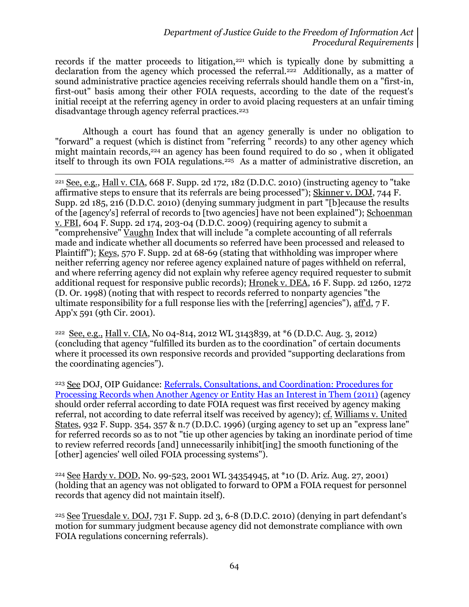records if the matter proceeds to litigation,<sup>221</sup> which is typically done by submitting a declaration from the agency which processed the referral.222 Additionally, as a matter of sound administrative practice agencies receiving referrals should handle them on a "first-in, first-out" basis among their other FOIA requests, according to the date of the request's initial receipt at the referring agency in order to avoid placing requesters at an unfair timing disadvantage through agency referral practices.<sup>223</sup>

Although a court has found that an agency generally is under no obligation to "forward" a request (which is distinct from "referring " records) to any other agency which might maintain records,<sup>224</sup> an agency has been found required to do so, when it obligated itself to through its own FOIA regulations.<sup>225</sup> As a matter of administrative discretion, an

 $\overline{a}$ <sup>221</sup> See, e.g., Hall v. CIA, 668 F. Supp. 2d 172, 182 (D.D.C. 2010) (instructing agency to "take affirmative steps to ensure that its referrals are being processed"); Skinner v. DOJ, 744 F. Supp. 2d 185, 216 (D.D.C. 2010) (denying summary judgment in part "[b]ecause the results of the [agency's] referral of records to [two agencies] have not been explained"); Schoenman v. FBI, 604 F. Supp. 2d 174, 203-04 (D.D.C. 2009) (requiring agency to submit a "comprehensive" Vaughn Index that will include "a complete accounting of all referrals made and indicate whether all documents so referred have been processed and released to Plaintiff"); Keys, 570 F. Supp. 2d at 68-69 (stating that withholding was improper where neither referring agency nor referee agency explained nature of pages withheld on referral, and where referring agency did not explain why referee agency required requester to submit additional request for responsive public records); Hronek v. DEA, 16 F. Supp. 2d 1260, 1272 (D. Or. 1998) (noting that with respect to records referred to nonparty agencies "the ultimate responsibility for a full response lies with the [referring] agencies"), aff'd, 7 F. App'x 591 (9th Cir. 2001).

<sup>222</sup> See, e.g., Hall v. CIA, No 04-814, 2012 WL 3143839, at \*6 (D.D.C. Aug. 3, 2012) (concluding that agency "fulfilled its burden as to the coordination" of certain documents where it processed its own responsive records and provided "supporting declarations from the coordinating agencies").

<sup>223</sup> See DOJ, OIP Guidance: [Referrals, Consultations, and Coordination: Procedures for](http://www.justice.gov/oip/foiapost/2011foiapost42.html)  [Processing Records when Another Agency or Entity Has an Interest in Them \(2011\)](http://www.justice.gov/oip/foiapost/2011foiapost42.html) (agency should order referral according to date FOIA request was first received by agency making referral, not according to date referral itself was received by agency); cf. Williams v. United States, 932 F. Supp. 354, 357 & n.7 (D.D.C. 1996) (urging agency to set up an "express lane" for referred records so as to not "tie up other agencies by taking an inordinate period of time to review referred records [and] unnecessarily inhibit[ing] the smooth functioning of the [other] agencies' well oiled FOIA processing systems").

<sup>224</sup> See Hardy v. DOD, No. 99-523, 2001 WL 34354945, at \*10 (D. Ariz. Aug. 27, 2001) (holding that an agency was not obligated to forward to OPM a FOIA request for personnel records that agency did not maintain itself).

<sup>225</sup> See Truesdale v. DOJ, 731 F. Supp. 2d 3, 6-8 (D.D.C. 2010) (denying in part defendant's motion for summary judgment because agency did not demonstrate compliance with own FOIA regulations concerning referrals).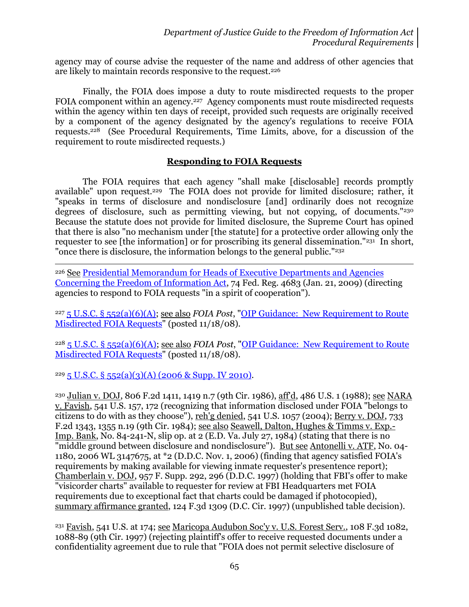agency may of course advise the requester of the name and address of other agencies that are likely to maintain records responsive to the request.<sup>226</sup>

Finally, the FOIA does impose a duty to route misdirected requests to the proper FOIA component within an agency.<sup>227</sup> Agency components must route misdirected requests within the agency within ten days of receipt, provided such requests are originally received by a component of the agency designated by the agency's regulations to receive FOIA requests.228 (See Procedural Requirements, Time Limits, above, for a discussion of the requirement to route misdirected requests.)

## **Responding to FOIA Requests**

The FOIA requires that each agency "shall make [disclosable] records promptly available" upon request.229 The FOIA does not provide for limited disclosure; rather, it "speaks in terms of disclosure and nondisclosure [and] ordinarily does not recognize degrees of disclosure, such as permitting viewing, but not copying, of documents."<sup>230</sup> Because the statute does not provide for limited disclosure, the Supreme Court has opined that there is also "no mechanism under [the statute] for a protective order allowing only the requester to see [the information] or for proscribing its general dissemination."<sup>231</sup> In short, "once there is disclosure, the information belongs to the general public."<sup>232</sup>

 $\overline{a}$ <sup>226</sup> See [Presidential Memorandum for Heads of Executive Departments and Agencies](http://www.justice.gov/oip/foia_guide09/presidential-foia.pdf)  [Concerning the Freedom of Information Act,](http://www.justice.gov/oip/foia_guide09/presidential-foia.pdf) 74 Fed. Reg. 4683 (Jan. 21, 2009) (directing agencies to respond to FOIA requests "in a spirit of cooperation").

<sup>227</sup> [5 U.S.C. § 552\(a\)\(6\)\(A\);](http://www.justice.gov/oip/amended-foia-redlined-2010.pdf) see also *FOIA Post*, ["OIP Guidance: New Requirement to Route](http://www.justice.gov/oip/foiapost/2008foiapost31.htm)  [Misdirected FOIA Requests"](http://www.justice.gov/oip/foiapost/2008foiapost31.htm) (posted 11/18/08).

<sup>228</sup> [5 U.S.C. § 552\(a\)\(6\)\(A\);](http://www.justice.gov/oip/amended-foia-redlined-2010.pdf) see also *FOIA Post*, ["OIP Guidance: New Requirement to Route](http://www.justice.gov/oip/foiapost/2008foiapost31.htm)  [Misdirected FOIA Requests"](http://www.justice.gov/oip/foiapost/2008foiapost31.htm) (posted 11/18/08).

 $229\overline{5}$  U.S.C. § [552\(a\)\(3\)\(A\) \(2006 & Supp. IV 2010\).](http://www.justice.gov/oip/amended-foia-redlined-2010.pdf)

<sup>230</sup> Julian v. DOJ, 806 F.2d 1411, 1419 n.7 (9th Cir. 1986), aff'd, 486 U.S. 1 (1988); see NARA v. Favish, 541 U.S. 157, 172 (recognizing that information disclosed under FOIA "belongs to citizens to do with as they choose"), reh'g denied, 541 U.S. 1057 (2004); Berry v. DOJ, 733 F.2d 1343, 1355 n.19 (9th Cir. 1984); see also Seawell, Dalton, Hughes & Timms v. Exp.- Imp. Bank, No. 84-241-N, slip op. at 2 (E.D. Va. July 27, 1984) (stating that there is no "middle ground between disclosure and nondisclosure"). <u>But see Antonelli v. ATF</u>, No. 04-1180, 2006 WL 3147675, at \*2 (D.D.C. Nov. 1, 2006) (finding that agency satisfied FOIA's requirements by making available for viewing inmate requester's presentence report); Chamberlain v. DOJ, 957 F. Supp. 292, 296 (D.D.C. 1997) (holding that FBI's offer to make "visicorder charts" available to requester for review at FBI Headquarters met FOIA requirements due to exceptional fact that charts could be damaged if photocopied), summary affirmance granted, 124 F.3d 1309 (D.C. Cir. 1997) (unpublished table decision).

<sup>231</sup> Favish, 541 U.S. at 174; see Maricopa Audubon Soc'y v. U.S. Forest Serv., 108 F.3d 1082, 1088-89 (9th Cir. 1997) (rejecting plaintiff's offer to receive requested documents under a confidentiality agreement due to rule that "FOIA does not permit selective disclosure of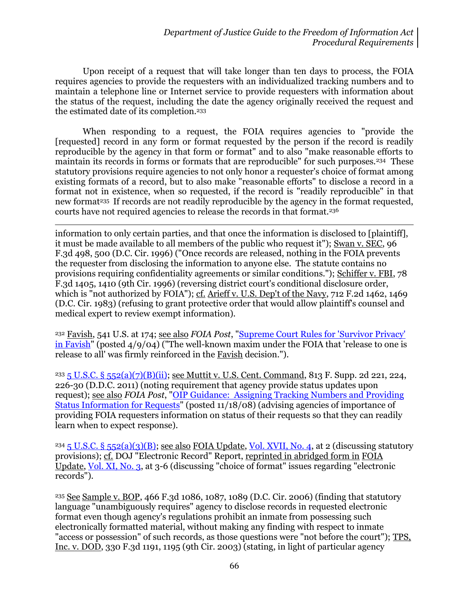Upon receipt of a request that will take longer than ten days to process, the FOIA requires agencies to provide the requesters with an individualized tracking numbers and to maintain a telephone line or Internet service to provide requesters with information about the status of the request, including the date the agency originally received the request and the estimated date of its completion.<sup>233</sup>

When responding to a request, the FOIA requires agencies to "provide the [requested] record in any form or format requested by the person if the record is readily reproducible by the agency in that form or format" and to also "make reasonable efforts to maintain its records in forms or formats that are reproducible" for such purposes.234 These statutory provisions require agencies to not only honor a requester's choice of format among existing formats of a record, but to also make "reasonable efforts" to disclose a record in a format not in existence, when so requested, if the record is "readily reproducible" in that new format<sup>235</sup> If records are not readily reproducible by the agency in the format requested, courts have not required agencies to release the records in that format.<sup>236</sup>

l information to only certain parties, and that once the information is disclosed to [plaintiff], it must be made available to all members of the public who request it"); Swan v. SEC, 96 F.3d 498, 500 (D.C. Cir. 1996) ("Once records are released, nothing in the FOIA prevents the requester from disclosing the information to anyone else. The statute contains no provisions requiring confidentiality agreements or similar conditions."); Schiffer v. FBI, 78 F.3d 1405, 1410 (9th Cir. 1996) (reversing district court's conditional disclosure order, which is "not authorized by FOIA"); cf. Arieff v. U.S. Dep't of the Navy, 712 F.2d 1462, 1469 (D.C. Cir. 1983) (refusing to grant protective order that would allow plaintiff's counsel and medical expert to review exempt information).

<sup>232</sup> Favish, 541 U.S. at 174; see also *FOIA Post*, ["Supreme Court Rules for 'Survivor Privacy'](http://www.justice.gov/oip/foiapost/2004foiapost12.htm)  [in Favish"](http://www.justice.gov/oip/foiapost/2004foiapost12.htm) (posted  $4/9/04$ ) ("The well-known maxim under the FOIA that 'release to one is release to all' was firmly reinforced in the Favish decision.").

<sup>233</sup> [5 U.S.C. § 552\(a\)\(7\)\(B\)\(ii\);](http://www.justice.gov/oip/amended-foia-redlined-2010.pdf) see Muttit v. U.S. Cent. Command, 813 F. Supp. 2d 221, 224, 226-30 (D.D.C. 2011) (noting requirement that agency provide status updates upon request); see also *FOIA Post*, ["OIP Guidance: Assigning Tracking Numbers and](http://www.justice.gov/oip/foiapost/2008foiapost30.htm) Providing [Status Information for Requests"](http://www.justice.gov/oip/foiapost/2008foiapost30.htm) (posted 11/18/08) (advising agencies of importance of providing FOIA requesters information on status of their requests so that they can readily learn when to expect response).

<sup>234</sup> 5 U.S.C. § [552\(a\)\(3\)\(B\);](http://www.justice.gov/oip/amended-foia-redlined-2010.pdf) see also FOIA Update, [Vol. XVII, No. 4,](http://www.justice.gov/oip/foia_updates/Vol_XVII_4/page1.htm) at 2 (discussing statutory provisions); cf. DOJ "Electronic Record" Report, reprinted in abridged form in FOIA Update, [Vol. XI, No. 3,](http://www.justice.gov/oip/foia_updates/Vol_XI_3/page%203.htm) at 3-6 (discussing "choice of format" issues regarding "electronic records").

<sup>235</sup> See Sample v. BOP, 466 F.3d 1086, 1087, 1089 (D.C. Cir. 2006) (finding that statutory language "unambiguously requires" agency to disclose records in requested electronic format even though agency's regulations prohibit an inmate from possessing such electronically formatted material, without making any finding with respect to inmate "access or possession" of such records, as those questions were "not before the court"); TPS, Inc. v. DOD, 330 F.3d 1191, 1195 (9th Cir. 2003) (stating, in light of particular agency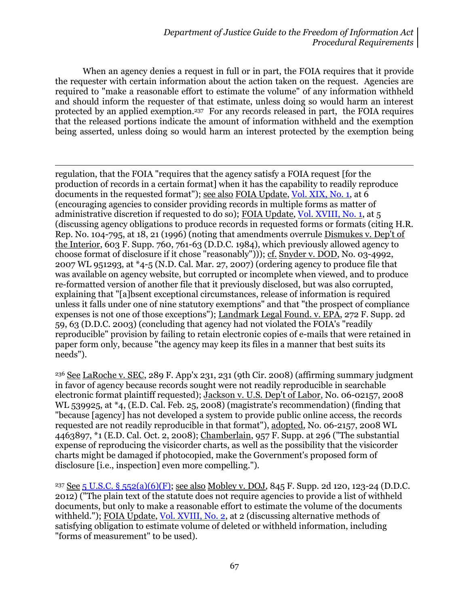When an agency denies a request in full or in part, the FOIA requires that it provide the requester with certain information about the action taken on the request. Agencies are required to "make a reasonable effort to estimate the volume" of any information withheld and should inform the requester of that estimate, unless doing so would harm an interest protected by an applied exemption.<sup>237</sup> For any records released in part, the FOIA requires that the released portions indicate the amount of information withheld and the exemption being asserted, unless doing so would harm an interest protected by the exemption being

l regulation, that the FOIA "requires that the agency satisfy a FOIA request [for the production of records in a certain format] when it has the capability to readily reproduce documents in the requested format"); see also FOIA Update, [Vol. XIX, No. 1,](http://www.justice.gov/oip/foia_updates/Vol_XIX_1/xixpage4.htm) at 6 (encouraging agencies to consider providing records in multiple forms as matter of administrative discretion if requested to do so); FOIA Update, [Vol. XVIII, No. 1,](http://www.justice.gov/oip/foia_updates/Vol_XVIII_1/page3.htm) at 5 (discussing agency obligations to produce records in requested forms or formats (citing H.R. Rep. No. 104-795, at 18, 21 (1996) (noting that amendments overrule Dismukes v. Dep't of the Interior, 603 F. Supp. 760, 761-63 (D.D.C. 1984), which previously allowed agency to choose format of disclosure if it chose "reasonably"))); cf. Snyder v. DOD, No. 03-4992, 2007 WL 951293, at \*4-5 (N.D. Cal. Mar. 27, 2007) (ordering agency to produce file that was available on agency website, but corrupted or incomplete when viewed, and to produce re-formatted version of another file that it previously disclosed, but was also corrupted, explaining that "[a]bsent exceptional circumstances, release of information is required unless it falls under one of nine statutory exemptions" and that "the prospect of compliance expenses is not one of those exceptions"); Landmark Legal Found. v. EPA, 272 F. Supp. 2d 59, 63 (D.D.C. 2003) (concluding that agency had not violated the FOIA's "readily reproducible" provision by failing to retain electronic copies of e-mails that were retained in paper form only, because "the agency may keep its files in a manner that best suits its needs").

<sup>236</sup> See LaRoche v. SEC, 289 F. App'x 231, 231 (9th Cir. 2008) (affirming summary judgment in favor of agency because records sought were not readily reproducible in searchable electronic format plaintiff requested); Jackson v. U.S. Dep't of Labor, No. 06-02157, 2008 WL 539925, at \*4, (E.D. Cal. Feb. 25, 2008) (magistrate's recommendation) (finding that "because [agency] has not developed a system to provide public online access, the records requested are not readily reproducible in that format"), adopted, No. 06-2157, 2008 WL 4463897, \*1 (E.D. Cal. Oct. 2, 2008); Chamberlain, 957 F. Supp. at 296 ("The substantial expense of reproducing the visicorder charts, as well as the possibility that the visicorder charts might be damaged if photocopied, make the Government's proposed form of disclosure [i.e., inspection] even more compelling.").

<sup>237</sup> See 5 U.S.C. § [552\(a\)\(6\)\(F\);](http://www.justice.gov/oip/amended-foia-redlined-2010.pdf) see also Mobley v. DOJ, 845 F. Supp. 2d 120, 123-24 (D.D.C. 2012) ("The plain text of the statute does not require agencies to provide a list of withheld documents, but only to make a reasonable effort to estimate the volume of the documents withheld."); FOIA Update, [Vol. XVIII, No. 2,](http://www.justice.gov/oip/foia_updates/Vol_XVIII_2/page2.htm) at 2 (discussing alternative methods of satisfying obligation to estimate volume of deleted or withheld information, including "forms of measurement" to be used).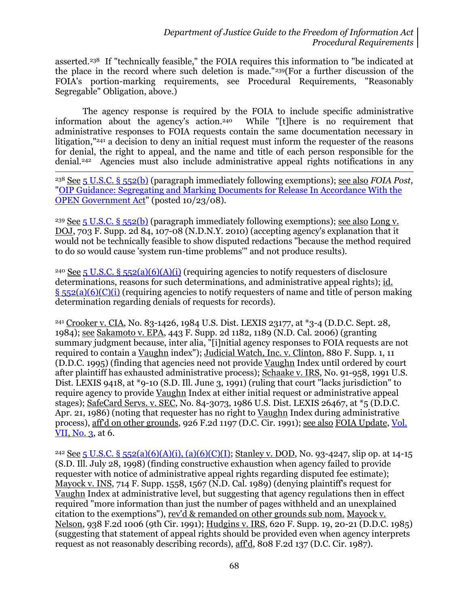asserted. <sup>238</sup> If "technically feasible," the FOIA requires this information to "be indicated at the place in the record where such deletion is made."239(For a further discussion of the FOIA's portion-marking requirements, see Procedural Requirements, "Reasonably Segregable" Obligation, above.)

The agency response is required by the FOIA to include specific administrative information about the agency's action.240 While "[t]here is no requirement that administrative responses to FOIA requests contain the same documentation necessary in litigation,"<sup>241</sup> a decision to deny an initial request must inform the requester of the reasons for denial, the right to appeal, and the name and title of each person responsible for the denial.242 Agencies must also include administrative appeal rights notifications in any

<sup>238</sup> See 5 [U.S.C. §](http://www.justice.gov/oip/amended-foia-redlined-2010.pdf) 552(b) (paragraph immediately following exemptions); see also *FOIA Post*, ["OIP Guidance: Segregating and Marking Documents for Release In Accordance With the](http://www.justice.gov/oip/foiapost/2008foiapost26.htm)  [OPEN Government Act"](http://www.justice.gov/oip/foiapost/2008foiapost26.htm) (posted 10/23/08).

 $\overline{a}$ 

<sup>239</sup> See 5 [U.S.C. §](http://www.justice.gov/oip/amended-foia-redlined-2010.pdf) 552(b) (paragraph immediately following exemptions); see also Long v. DOJ, 703 F. Supp. 2d 84, 107-08 (N.D.N.Y. 2010) (accepting agency's explanation that it would not be technically feasible to show disputed redactions "because the method required to do so would cause 'system run-time problems'" and not produce results).

<sup>240</sup> See 5 U.S.C. § [552\(a\)\(6\)\(A\)\(i\)](http://www.justice.gov/oip/amended-foia-redlined-2010.pdf) (requiring agencies to notify requesters of disclosure determinations, reasons for such determinations, and administrative appeal rights); id.  $\S$  [552\(a\)\(6\)\(C\)\(i\)](http://www.justice.gov/oip/amended-foia-redlined-2010.pdf) (requiring agencies to notify requesters of name and title of person making determination regarding denials of requests for records).

<sup>241</sup> Crooker v. CIA, No. 83-1426, 1984 U.S. Dist. LEXIS 23177, at \*3-4 (D.D.C. Sept. 28, 1984); see Sakamoto v. EPA, 443 F. Supp. 2d 1182, 1189 (N.D. Cal. 2006) (granting summary judgment because, inter alia, "[i]nitial agency responses to FOIA requests are not required to contain a Vaughn index"); Judicial Watch, Inc. v. Clinton, 880 F. Supp. 1, 11 (D.D.C. 1995) (finding that agencies need not provide Vaughn Index until ordered by court after plaintiff has exhausted administrative process); Schaake v. IRS, No. 91-958, 1991 U.S. Dist. LEXIS 9418, at \*9-10 (S.D. Ill. June 3, 1991) (ruling that court "lacks jurisdiction" to require agency to provide Vaughn Index at either initial request or administrative appeal stages); SafeCard Servs. v. SEC, No. 84-3073, 1986 U.S. Dist. LEXIS 26467, at \*5 (D.D.C. Apr. 21, 1986) (noting that requester has no right to Vaughn Index during administrative process), aff'd on other grounds, 926 F.2d 1197 (D.C. Cir. 1991); see also FOIA Update, [Vol.](http://www.justice.gov/oip/foia_updates/Vol_VII_3/page%206.htm)   $VII, No. 3$ , at 6.

<sup>242</sup> See 5 U.S.C. § [552\(a\)\(6\)\(A\)\(i\), \(a\)\(6\)\(C\)\(I\);](http://www.justice.gov/oip/amended-foia-redlined-2010.pdf) Stanley v. DOD, No. 93-4247, slip op. at 14-15 (S.D. Ill. July 28, 1998) (finding constructive exhaustion when agency failed to provide requester with notice of administrative appeal rights regarding disputed fee estimate); Mayock v. INS, 714 F. Supp. 1558, 1567 (N.D. Cal. 1989) (denying plaintiff's request for Vaughn Index at administrative level, but suggesting that agency regulations then in effect required "more information than just the number of pages withheld and an unexplained citation to the exemptions"), rev'd & remanded on other grounds sub nom. Mayock v. Nelson, 938 F.2d 1006 (9th Cir. 1991); Hudgins v. IRS, 620 F. Supp. 19, 20-21 (D.D.C. 1985) (suggesting that statement of appeal rights should be provided even when agency interprets request as not reasonably describing records), aff'd, 808 F.2d 137 (D.C. Cir. 1987).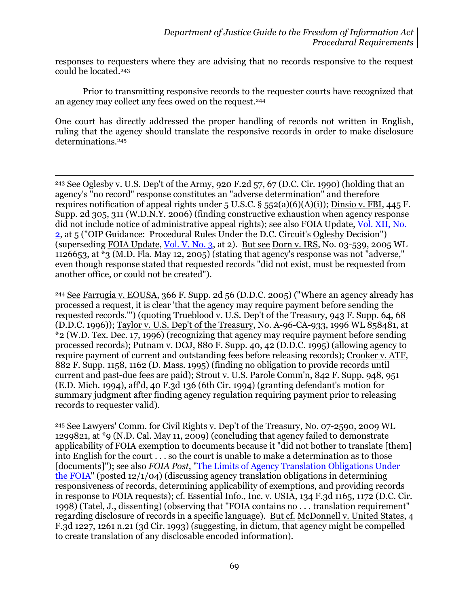responses to requesters where they are advising that no records responsive to the request could be located.<sup>243</sup>

Prior to transmitting responsive records to the requester courts have recognized that an agency may collect any fees owed on the request.<sup>244</sup>

One court has directly addressed the proper handling of records not written in English, ruling that the agency should translate the responsive records in order to make disclosure determinations.<sup>245</sup>

l

<sup>243</sup> See Oglesby v. U.S. Dep't of the Army, 920 F.2d 57, 67 (D.C. Cir. 1990) (holding that an agency's "no record" response constitutes an "adverse determination" and therefore requires notification of appeal rights under  $5$  U.S.C.  $\S$   $552(a)(6)(A)(i)$ ; Dinsio v. FBI, 445 F. Supp. 2d 305, 311 (W.D.N.Y. 2006) (finding constructive exhaustion when agency response did not include notice of administrative appeal rights); see also FOIA Update, [Vol. XII, No.](http://www.justice.gov/oip/foia_updates/Vol_XII_2/page2.htm)  [2,](http://www.justice.gov/oip/foia_updates/Vol_XII_2/page2.htm) at 5 ("OIP Guidance: Procedural Rules Under the D.C. Circuit's Oglesby Decision") (superseding FOIA Update, [Vol. V, No. 3,](http://www.justice.gov/oip/foia_updates/Vol_XVI_3/page3.htm) at 2). But see Dorn v. IRS, No. 03-539, 2005 WL 1126653, at  $*$ 3 (M.D. Fla. May 12, 2005) (stating that agency's response was not "adverse," even though response stated that requested records "did not exist, must be requested from another office, or could not be created").

<sup>244</sup> See Farrugia v. EOUSA, 366 F. Supp. 2d 56 (D.D.C. 2005) ("Where an agency already has processed a request, it is clear 'that the agency may require payment before sending the requested records.'") (quoting Trueblood v. U.S. Dep't of the Treasury, 943 F. Supp. 64, 68 (D.D.C. 1996)); Taylor v. U.S. Dep't of the Treasury, No. A-96-CA-933, 1996 WL 858481, at \*2 (W.D. Tex. Dec. 17, 1996) (recognizing that agency may require payment before sending processed records); Putnam v. DOJ, 880 F. Supp. 40, 42 (D.D.C. 1995) (allowing agency to require payment of current and outstanding fees before releasing records); Crooker v. ATF, 882 F. Supp. 1158, 1162 (D. Mass. 1995) (finding no obligation to provide records until current and past-due fees are paid); Strout v. U.S. Parole Comm'n, 842 F. Supp. 948, 951 (E.D. Mich. 1994), aff'd, 40 F.3d 136 (6th Cir. 1994) (granting defendant's motion for summary judgment after finding agency regulation requiring payment prior to releasing records to requester valid).

<sup>245</sup> See Lawyers' Comm. for Civil Rights v. Dep't of the Treasury, No. 07-2590, 2009 WL 1299821, at \*9 (N.D. Cal. May 11, 2009) (concluding that agency failed to demonstrate applicability of FOIA exemption to documents because it "did not bother to translate [them] into English for the court . . . so the court is unable to make a determination as to those [documents]"); see also *FOIA Post*, ["The Limits of Agency Translation Obligations Under](http://www.justice.gov/oip/foiapost/2004foiapost34.htm)  [the FOIA"](http://www.justice.gov/oip/foiapost/2004foiapost34.htm) (posted 12/1/04) (discussing agency translation obligations in determining responsiveness of records, determining applicability of exemptions, and providing records in response to FOIA requests); cf. Essential Info., Inc. v. USIA, 134 F.3d 1165, 1172 (D.C. Cir. 1998) (Tatel, J., dissenting) (observing that "FOIA contains no . . . translation requirement" regarding disclosure of records in a specific language). But cf. McDonnell v. United States, 4 F.3d 1227, 1261 n.21 (3d Cir. 1993) (suggesting, in dictum, that agency might be compelled to create translation of any disclosable encoded information).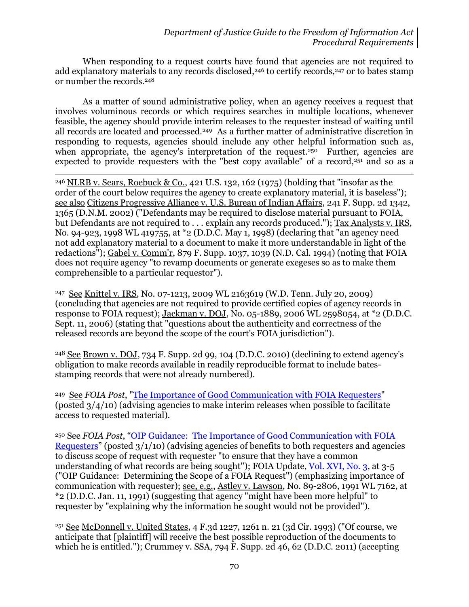When responding to a request courts have found that agencies are not required to add explanatory materials to any records disclosed, <sup>246</sup> to certify records,<sup>247</sup> or to bates stamp or number the records.<sup>248</sup>

As a matter of sound administrative policy, when an agency receives a request that involves voluminous records or which requires searches in multiple locations, whenever feasible, the agency should provide interim releases to the requester instead of waiting until all records are located and processed.249 As a further matter of administrative discretion in responding to requests, agencies should include any other helpful information such as, when appropriate, the agency's interpretation of the request.<sup>250</sup> Further, agencies are expected to provide requesters with the "best copy available" of a record, $251$  and so as a

 $\overline{a}$ <sup>246</sup> NLRB v. Sears, Roebuck & Co., 421 U.S. 132, 162 (1975) (holding that "insofar as the order of the court below requires the agency to create explanatory material, it is baseless"); see also Citizens Progressive Alliance v. U.S. Bureau of Indian Affairs, 241 F. Supp. 2d 1342, 1365 (D.N.M. 2002) ("Defendants may be required to disclose material pursuant to FOIA, but Defendants are not required to ... explain any records produced."); Tax Analysts v. IRS, No. 94-923, 1998 WL 419755, at \*2 (D.D.C. May 1, 1998) (declaring that "an agency need not add explanatory material to a document to make it more understandable in light of the redactions"); Gabel v. Comm'r, 879 F. Supp. 1037, 1039 (N.D. Cal. 1994) (noting that FOIA does not require agency "to revamp documents or generate exegeses so as to make them comprehensible to a particular requestor").

<sup>247</sup> See Knittel v. IRS, No. 07-1213, 2009 WL 2163619 (W.D. Tenn. July 20, 2009) (concluding that agencies are not required to provide certified copies of agency records in response to FOIA request); Jackman v. DOJ, No. 05-1889, 2006 WL 2598054, at \*2 (D.D.C. Sept. 11, 2006) (stating that "questions about the authenticity and correctness of the released records are beyond the scope of the court's FOIA jurisdiction").

<sup>248</sup> See Brown v. DOJ, 734 F. Supp. 2d 99, 104 (D.D.C. 2010) (declining to extend agency's obligation to make records available in readily reproducible format to include batesstamping records that were not already numbered).

<sup>249</sup> See *FOIA Post*, ["The Importance of Good Communication with FOIA Requesters"](http://www.justice.gov/oip/foiapost/2010foiapost5.htm) (posted 3/4/10) (advising agencies to make interim releases when possible to facilitate access to requested material).

<sup>250</sup> See *FOIA Post*, "OIP Guidance: [The Importance of Good Communication with FOIA](http://www.justice.gov/oip/foiapost/2010foiapost5.htm)  [Requesters](http://www.justice.gov/oip/foiapost/2010foiapost5.htm)" (posted 3/1/10) (advising agencies of benefits to both requesters and agencies to discuss scope of request with requester "to ensure that they have a common understanding of what records are being sought"); FOIA Update, [Vol. XVI, No. 3,](http://www.justice.gov/oip/foia_updates/Vol_XVI_3/page3.htm) at 3-5 ("OIP Guidance: Determining the Scope of a FOIA Request") (emphasizing importance of communication with requester); see, e.g., Astley v. Lawson, No. 89-2806, 1991 WL 7162, at \*2 (D.D.C. Jan. 11, 1991) (suggesting that agency "might have been more helpful" to requester by "explaining why the information he sought would not be provided").

<sup>251</sup> See McDonnell v. United States, 4 F.3d 1227, 1261 n. 21 (3d Cir. 1993) ("Of course, we anticipate that [plaintiff] will receive the best possible reproduction of the documents to which he is entitled."); Crummey v. SSA, 794 F. Supp. 2d 46, 62 (D.D.C. 2011) (accepting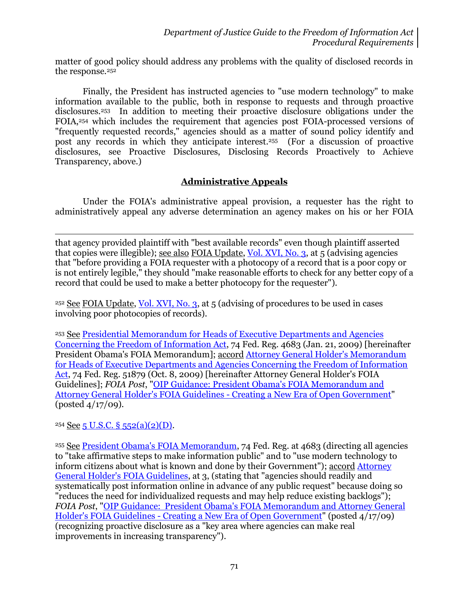matter of good policy should address any problems with the quality of disclosed records in the response.<sup>252</sup>

Finally, the President has instructed agencies to "use modern technology" to make information available to the public, both in response to requests and through proactive disclosures.253 In addition to meeting their proactive disclosure obligations under the FOIA,<sup>254</sup> which includes the requirement that agencies post FOIA-processed versions of "frequently requested records," agencies should as a matter of sound policy identify and post any records in which they anticipate interest. 255 (For a discussion of proactive disclosures, see Proactive Disclosures, Disclosing Records Proactively to Achieve Transparency, above.)

# **Administrative Appeals**

Under the FOIA's administrative appeal provision, a requester has the right to administratively appeal any adverse determination an agency makes on his or her FOIA

 $\overline{a}$ that agency provided plaintiff with "best available records" even though plaintiff asserted that copies were illegible); see also FOIA Update, [Vol. XVI, No. 3,](http://www.justice.gov/oip/foia_updates/Vol_XVI_3/page3.htm) at 5 (advising agencies that "before providing a FOIA requester with a photocopy of a record that is a poor copy or is not entirely legible," they should "make reasonable efforts to check for any better copy of a record that could be used to make a better photocopy for the requester").

<sup>252</sup> See FOIA Update, [Vol. XVI, No. 3,](http://www.justice.gov/oip/foia_updates/Vol_XVI_3/page3.htm) at 5 (advising of procedures to be used in cases involving poor photocopies of records).

<sup>253</sup> See [Presidential Memorandum for Heads of Executive Departments and Agencies](http://www.justice.gov/oip/foia_guide09/presidential-foia.pdf)  [Concerning the Freedom of Information Act,](http://www.justice.gov/oip/foia_guide09/presidential-foia.pdf) 74 Fed. Reg. 4683 (Jan. 21, 2009) [hereinafter President Obama's FOIA Memorandum]; accord [Attorney General Holder's Memorandum](http://www.justice.gov/ag/foia-memo-march2009.pdf)  [for Heads of Executive Departments and Agencies Concerning the Freedom of Information](http://www.justice.gov/ag/foia-memo-march2009.pdf)  [Act,](http://www.justice.gov/ag/foia-memo-march2009.pdf) 74 Fed. Reg. 51879 (Oct. 8, 2009) [hereinafter Attorney General Holder's FOIA Guidelines]; *FOIA Post*, ["OIP Guidance: President Obama's FOIA Memorandum and](http://www.justice.gov/oip/foiapost/2009foiapost8.htm)  [Attorney General Holder's FOIA Guidelines -](http://www.justice.gov/oip/foiapost/2009foiapost8.htm) Creating a New Era of Open Government" (posted 4/17/09).

 $254$  See 5 U.S.C. § [552\(a\)\(2\)\(D\).](http://www.justice.gov/oip/amended-foia-redlined-2010.pdf)

<sup>255</sup> See [President Obama's FOIA Memorandum,](http://www.justice.gov/oip/foia_guide09/presidential-foia.pdf) 74 Fed. Reg. at 4683 (directing all agencies to "take affirmative steps to make information public" and to "use modern technology to inform citizens about what is known and done by their Government"); accord [Attorney](http://www.justice.gov/ag/foia-memo-march2009.pdf)  [General Holder's FOIA Guidelines,](http://www.justice.gov/ag/foia-memo-march2009.pdf) at 3, (stating that "agencies should readily and systematically post information online in advance of any public request" because doing so "reduces the need for individualized requests and may help reduce existing backlogs"); *FOIA Post*, ["OIP Guidance: President Obama's FOIA Memorandum and Attorney General](http://www.justice.gov/oip/foiapost/2009foiapost8.htm)  Holder's FOIA Guidelines - [Creating a New Era of Open Government"](http://www.justice.gov/oip/foiapost/2009foiapost8.htm) (posted 4/17/09) (recognizing proactive disclosure as a "key area where agencies can make real improvements in increasing transparency").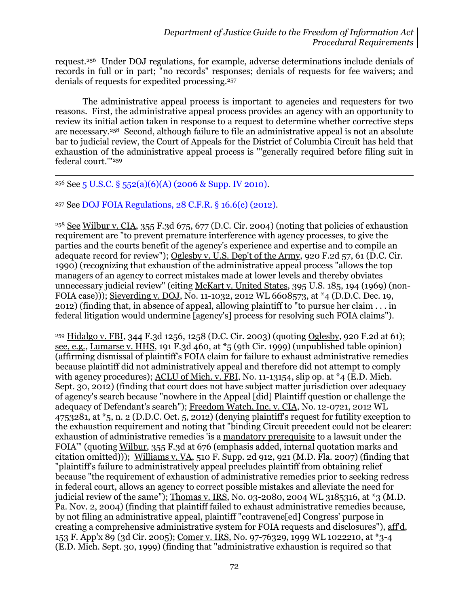request.256 Under DOJ regulations, for example, adverse determinations include denials of records in full or in part; "no records" responses; denials of requests for fee waivers; and denials of requests for expedited processing.<sup>257</sup>

The administrative appeal process is important to agencies and requesters for two reasons. First, the administrative appeal process provides an agency with an opportunity to review its initial action taken in response to a request to determine whether corrective steps are necessary.258 Second, although failure to file an administrative appeal is not an absolute bar to judicial review, the Court of Appeals for the District of Columbia Circuit has held that exhaustion of the administrative appeal process is "'generally required before filing suit in federal court.'"<sup>259</sup>

#### <sup>256</sup> See 5 U.S.C. § [552\(a\)\(6\)\(A\) \(2006 & Supp. IV 2010\).](http://www.justice.gov/oip/amended-foia-redlined-2010.pdf)

l

<sup>257</sup> See [DOJ FOIA Regulations, 28 C.F.R. § 16.6\(c\) \(2012\).](http://www.gpo.gov/fdsys/pkg/CFR-2012-title28-vol1/xml/CFR-2012-title28-vol1.xml#seqnum16.6)

<sup>258</sup> See Wilbur v. CIA, 355 F.3d 675, 677 (D.C. Cir. 2004) (noting that policies of exhaustion requirement are "to prevent premature interference with agency processes, to give the parties and the courts benefit of the agency's experience and expertise and to compile an adequate record for review"); Oglesby v. U.S. Dep't of the Army, 920 F.2d 57, 61 (D.C. Cir. 1990) (recognizing that exhaustion of the administrative appeal process "allows the top managers of an agency to correct mistakes made at lower levels and thereby obviates unnecessary judicial review" (citing McKart v. United States, 395 U.S. 185, 194 (1969) (non-FOIA case))); Sieverding v. DOJ, No. 11-1032, 2012 WL 6608573, at \*4 (D.D.C. Dec. 19, 2012) (finding that, in absence of appeal, allowing plaintiff to "to pursue her claim . . . in federal litigation would undermine [agency's] process for resolving such FOIA claims").

<sup>259</sup> Hidalgo v. FBI, 344 F.3d 1256, 1258 (D.C. Cir. 2003) (quoting Oglesby, 920 F.2d at 61); see, e.g., Lumarse v. HHS, 191 F.3d 460, at \*5 (9th Cir. 1999) (unpublished table opinion) (affirming dismissal of plaintiff's FOIA claim for failure to exhaust administrative remedies because plaintiff did not administratively appeal and therefore did not attempt to comply with agency procedures); ACLU of Mich. v. FBI, No. 11-13154, slip op. at \*4 (E.D. Mich. Sept. 30, 2012) (finding that court does not have subject matter jurisdiction over adequacy of agency's search because "nowhere in the Appeal [did] Plaintiff question or challenge the adequacy of Defendant's search"); Freedom Watch, Inc. v. CIA, No. 12-0721, 2012 WL 4753281, at \*5, n. 2 (D.D.C. Oct. 5, 2012) (denying plaintiff's request for futility exception to the exhaustion requirement and noting that "binding Circuit precedent could not be clearer: exhaustion of administrative remedies 'is a mandatory prerequisite to a lawsuit under the FOIA'" (quoting Wilbur, 355 F.3d at 676 (emphasis added, internal quotation marks and citation omitted))); Williams v. VA,  $510$  F. Supp. 2d  $912$ ,  $921$  (M.D. Fla. 2007) (finding that "plaintiff's failure to administratively appeal precludes plaintiff from obtaining relief because "the requirement of exhaustion of administrative remedies prior to seeking redress in federal court, allows an agency to correct possible mistakes and alleviate the need for judicial review of the same"); Thomas v. IRS, No. 03-2080, 2004 WL 3185316, at \*3 (M.D. Pa. Nov. 2, 2004) (finding that plaintiff failed to exhaust administrative remedies because, by not filing an administrative appeal, plaintiff "contravene[ed] Congress' purpose in creating a comprehensive administrative system for FOIA requests and disclosures"), aff'd, 153 F. App'x 89 (3d Cir. 2005); Comer v. IRS, No. 97-76329, 1999 WL 1022210, at \*3-4 (E.D. Mich. Sept. 30, 1999) (finding that "administrative exhaustion is required so that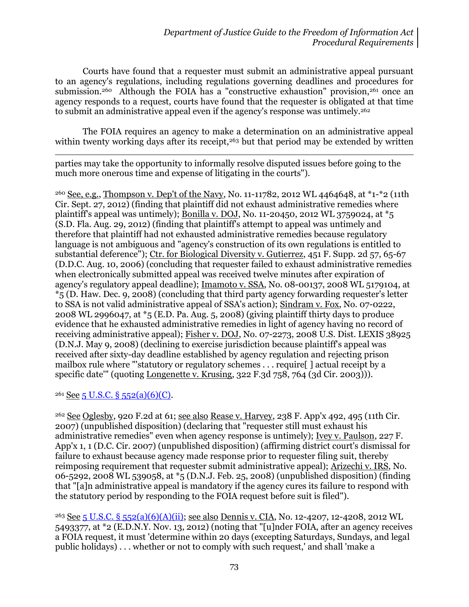Courts have found that a requester must submit an administrative appeal pursuant to an agency's regulations, including regulations governing deadlines and procedures for submission.<sup>260</sup> Although the FOIA has a "constructive exhaustion" provision.<sup>261</sup> once an agency responds to a request, courts have found that the requester is obligated at that time to submit an administrative appeal even if the agency's response was untimely.<sup>262</sup>

The FOIA requires an agency to make a determination on an administrative appeal within twenty working days after its receipt,<sup>263</sup> but that period may be extended by written

 $\overline{\phantom{a}}$ parties may take the opportunity to informally resolve disputed issues before going to the much more onerous time and expense of litigating in the courts").

<sup>260</sup> See, e.g., Thompson v. Dep't of the Navy, No. 11-11782, 2012 WL 4464648, at \*1-\*2 (11th Cir. Sept. 27, 2012) (finding that plaintiff did not exhaust administrative remedies where plaintiff's appeal was untimely); Bonilla v. DOJ, No. 11-20450, 2012 WL 3759024, at \*5 (S.D. Fla. Aug. 29, 2012) (finding that plaintiff's attempt to appeal was untimely and therefore that plaintiff had not exhausted administrative remedies because regulatory language is not ambiguous and "agency's construction of its own regulations is entitled to substantial deference"); Ctr. for Biological Diversity v. Gutierrez, 451 F. Supp. 2d 57, 65-67 (D.D.C. Aug. 10, 2006) (concluding that requester failed to exhaust administrative remedies when electronically submitted appeal was received twelve minutes after expiration of agency's regulatory appeal deadline); Imamoto v. SSA, No. 08-00137, 2008 WL 5179104, at \*5 (D. Haw. Dec. 9, 2008) (concluding that third party agency forwarding requester's letter to SSA is not valid administrative appeal of SSA's action); Sindram v. Fox, No. 07-0222, 2008 WL 2996047, at \*5 (E.D. Pa. Aug. 5, 2008) (giving plaintiff thirty days to produce evidence that he exhausted administrative remedies in light of agency having no record of receiving administrative appeal); Fisher v. DOJ, No. 07-2273, 2008 U.S. Dist. LEXIS 38925 (D.N.J. May 9, 2008) (declining to exercise jurisdiction because plaintiff's appeal was received after sixty-day deadline established by agency regulation and rejecting prison mailbox rule where "'statutory or regulatory schemes . . . require[ ] actual receipt by a specific date''' (quoting <u>Longenette v. Krusing</u>, 322 F.3d 758, 764 (3d Cir. 2003))).

## $261$  See [5 U.S.C. § 552\(a\)\(6\)\(C\).](http://www.justice.gov/oip/amended-foia-redlined-2010.pdf)

<sup>262</sup> See Oglesby, 920 F.2d at 61; see also Rease v. Harvey, 238 F. App'x 492, 495 (11th Cir. 2007) (unpublished disposition) (declaring that "requester still must exhaust his administrative remedies" even when agency response is untimely); Ivey v. Paulson, 227 F. App'x 1, 1 (D.C. Cir. 2007) (unpublished disposition) (affirming district court's dismissal for failure to exhaust because agency made response prior to requester filing suit, thereby reimposing requirement that requester submit administrative appeal); Arizechi v. IRS, No. 06-5292, 2008 WL 539058, at \*5 (D.N.J. Feb. 25, 2008) (unpublished disposition) (finding that "[a]n administrative appeal is mandatory if the agency cures its failure to respond with the statutory period by responding to the FOIA request before suit is filed").

<sup>263</sup> See 5 U.S.C. § [552\(a\)\(6\)\(A\)\(ii\);](http://www.justice.gov/oip/amended-foia-redlined-2010.pdf) see also Dennis v. CIA, No. 12-4207, 12-4208, 2012 WL 5493377, at \*2 (E.D.N.Y. Nov. 13, 2012) (noting that "[u]nder FOIA, after an agency receives a FOIA request, it must 'determine within 20 days (excepting Saturdays, Sundays, and legal public holidays) . . . whether or not to comply with such request,' and shall 'make a